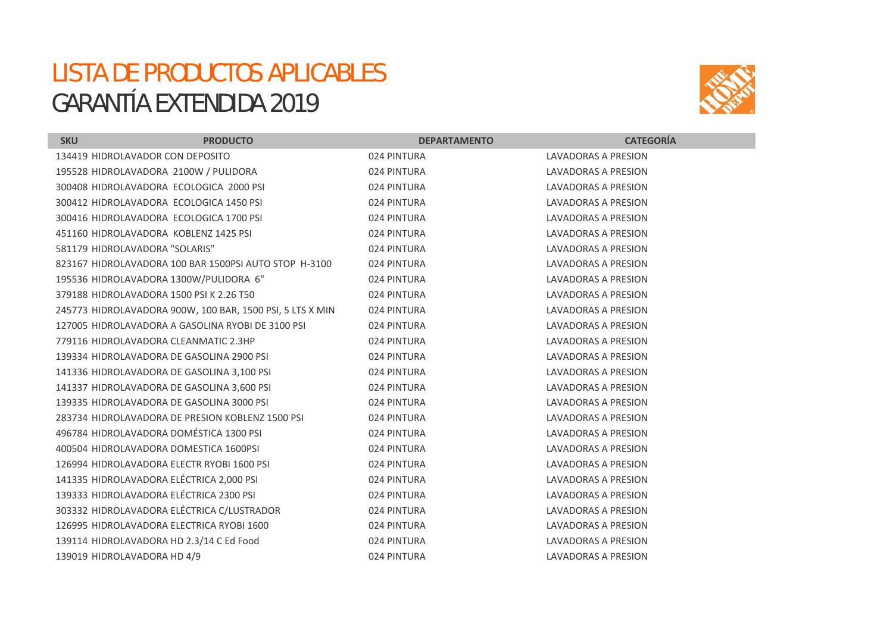## LISTA DE PRODUCTOS APLICABLES GARANTÍA EXTENDIDA 2019



| <b>SKU</b>                                        | <b>PRODUCTO</b>                                           | <b>DEPARTAMENTO</b> | <b>CATEGORÍA</b>           |
|---------------------------------------------------|-----------------------------------------------------------|---------------------|----------------------------|
| 134419 HIDROLAVADOR CON DEPOSITO                  |                                                           | 024 PINTURA         | LAVADORAS A PRESION        |
| 195528 HIDROLAVADORA 2100W / PULIDORA             |                                                           | 024 PINTURA         | LAVADORAS A PRESION        |
| 300408 HIDROLAVADORA ECOLOGICA 2000 PSI           |                                                           | 024 PINTURA         | LAVADORAS A PRESION        |
| 300412 HIDROLAVADORA ECOLOGICA 1450 PSI           |                                                           | 024 PINTURA         | <b>LAVADORAS A PRESION</b> |
| 300416 HIDROLAVADORA ECOLOGICA 1700 PSI           |                                                           | 024 PINTURA         | <b>LAVADORAS A PRESION</b> |
| 451160 HIDROLAVADORA KOBLENZ 1425 PSI             |                                                           | 024 PINTURA         | LAVADORAS A PRESION        |
| 581179 HIDROLAVADORA "SOLARIS"                    |                                                           | 024 PINTURA         | LAVADORAS A PRESION        |
|                                                   | 823167 HIDROLAVADORA 100 BAR 1500PSI AUTO STOP H-3100     | 024 PINTURA         | <b>LAVADORAS A PRESION</b> |
| 195536 HIDROLAVADORA 1300W/PULIDORA 6"            |                                                           | 024 PINTURA         | LAVADORAS A PRESION        |
| 379188 HIDROLAVADORA 1500 PSI K 2.26 T50          |                                                           | 024 PINTURA         | LAVADORAS A PRESION        |
|                                                   | 245773 HIDROLAVADORA 900W, 100 BAR, 1500 PSI, 5 LTS X MIN | 024 PINTURA         | LAVADORAS A PRESION        |
| 127005 HIDROLAVADORA A GASOLINA RYOBI DE 3100 PSI |                                                           | 024 PINTURA         | LAVADORAS A PRESION        |
| 779116 HIDROLAVADORA CLEANMATIC 2.3HP             |                                                           | 024 PINTURA         | <b>LAVADORAS A PRESION</b> |
| 139334 HIDROLAVADORA DE GASOLINA 2900 PSI         |                                                           | 024 PINTURA         | LAVADORAS A PRESION        |
| 141336 HIDROLAVADORA DE GASOLINA 3,100 PSI        |                                                           | 024 PINTURA         | LAVADORAS A PRESION        |
| 141337 HIDROLAVADORA DE GASOLINA 3,600 PSI        |                                                           | 024 PINTURA         | LAVADORAS A PRESION        |
| 139335 HIDROLAVADORA DE GASOLINA 3000 PSI         |                                                           | 024 PINTURA         | LAVADORAS A PRESION        |
| 283734 HIDROLAVADORA DE PRESION KOBLENZ 1500 PSI  |                                                           | 024 PINTURA         | LAVADORAS A PRESION        |
| 496784 HIDROLAVADORA DOMÉSTICA 1300 PSI           |                                                           | 024 PINTURA         | LAVADORAS A PRESION        |
| 400504 HIDROLAVADORA DOMESTICA 1600PSI            |                                                           | 024 PINTURA         | LAVADORAS A PRESION        |
| 126994 HIDROLAVADORA ELECTR RYOBI 1600 PSI        |                                                           | 024 PINTURA         | LAVADORAS A PRESION        |
| 141335 HIDROLAVADORA ELÉCTRICA 2,000 PSI          |                                                           | 024 PINTURA         | <b>LAVADORAS A PRESION</b> |
| 139333 HIDROLAVADORA ELÉCTRICA 2300 PSI           |                                                           | 024 PINTURA         | LAVADORAS A PRESION        |
| 303332 HIDROLAVADORA ELÉCTRICA C/LUSTRADOR        |                                                           | 024 PINTURA         | LAVADORAS A PRESION        |
| 126995 HIDROLAVADORA ELECTRICA RYOBI 1600         |                                                           | 024 PINTURA         | LAVADORAS A PRESION        |
| 139114 HIDROLAVADORA HD 2.3/14 C Ed Food          |                                                           | 024 PINTURA         | LAVADORAS A PRESION        |
| 139019 HIDROLAVADORA HD 4/9                       |                                                           | 024 PINTURA         | LAVADORAS A PRESION        |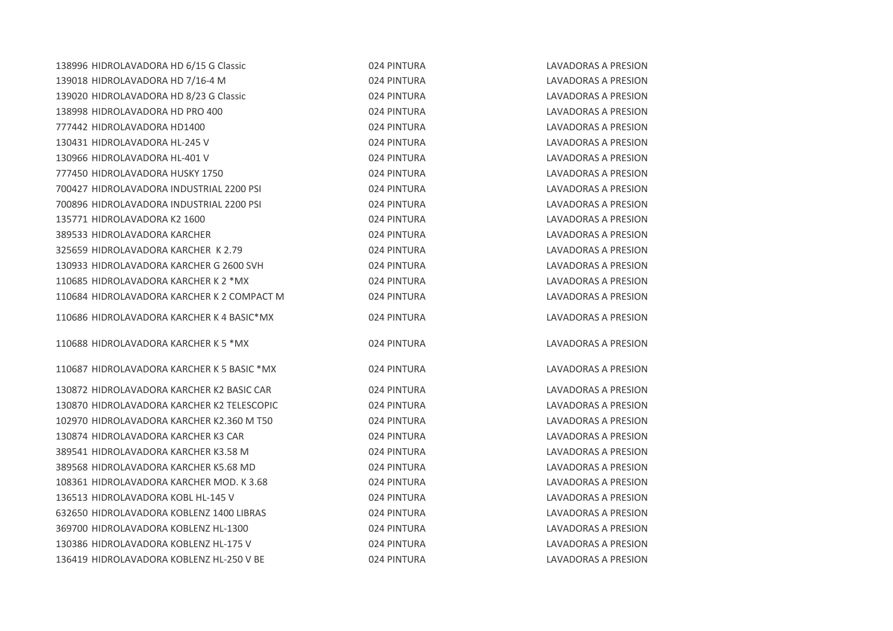| 138996 HIDROLAVADORA HD 6/15 G Classic     | 024 PINTURA | <b>LAVADORAS A PRESION</b> |
|--------------------------------------------|-------------|----------------------------|
| 139018 HIDROLAVADORA HD 7/16-4 M           | 024 PINTURA | LAVADORAS A PRESION        |
| 139020 HIDROLAVADORA HD 8/23 G Classic     | 024 PINTURA | LAVADORAS A PRESION        |
| 138998 HIDROLAVADORA HD PRO 400            | 024 PINTURA | LAVADORAS A PRESION        |
| 777442 HIDROLAVADORA HD1400                | 024 PINTURA | LAVADORAS A PRESION        |
| 130431 HIDROLAVADORA HL-245 V              | 024 PINTURA | <b>LAVADORAS A PRESION</b> |
| 130966 HIDROLAVADORA HL-401 V              | 024 PINTURA | <b>LAVADORAS A PRESION</b> |
| 777450 HIDROLAVADORA HUSKY 1750            | 024 PINTURA | LAVADORAS A PRESION        |
| 700427 HIDROLAVADORA INDUSTRIAL 2200 PSI   | 024 PINTURA | LAVADORAS A PRESION        |
| 700896 HIDROLAVADORA INDUSTRIAL 2200 PSI   | 024 PINTURA | <b>LAVADORAS A PRESION</b> |
| 135771 HIDROLAVADORA K2 1600               | 024 PINTURA | <b>LAVADORAS A PRESION</b> |
| 389533 HIDROLAVADORA KARCHER               | 024 PINTURA | LAVADORAS A PRESION        |
| 325659 HIDROLAVADORA KARCHER K 2.79        | 024 PINTURA | LAVADORAS A PRESION        |
| 130933 HIDROLAVADORA KARCHER G 2600 SVH    | 024 PINTURA | <b>LAVADORAS A PRESION</b> |
| 110685 HIDROLAVADORA KARCHER K 2 *MX       | 024 PINTURA | LAVADORAS A PRESION        |
| 110684 HIDROLAVADORA KARCHER K 2 COMPACT M | 024 PINTURA | LAVADORAS A PRESION        |
| 110686 HIDROLAVADORA KARCHER K 4 BASIC*MX  | 024 PINTURA | LAVADORAS A PRESION        |
| 110688 HIDROLAVADORA KARCHER K 5 *MX       | 024 PINTURA | <b>LAVADORAS A PRESION</b> |
| 110687 HIDROLAVADORA KARCHER K 5 BASIC *MX | 024 PINTURA | <b>LAVADORAS A PRESION</b> |
| 130872 HIDROLAVADORA KARCHER K2 BASIC CAR  | 024 PINTURA | LAVADORAS A PRESION        |
| 130870 HIDROLAVADORA KARCHER K2 TELESCOPIC | 024 PINTURA | <b>LAVADORAS A PRESION</b> |
| 102970 HIDROLAVADORA KARCHER K2.360 M T50  | 024 PINTURA | LAVADORAS A PRESION        |
| 130874 HIDROLAVADORA KARCHER K3 CAR        | 024 PINTURA | LAVADORAS A PRESION        |
| 389541 HIDROLAVADORA KARCHER K3.58 M       | 024 PINTURA | <b>LAVADORAS A PRESION</b> |
| 389568 HIDROLAVADORA KARCHER K5.68 MD      | 024 PINTURA | LAVADORAS A PRESION        |
| 108361 HIDROLAVADORA KARCHER MOD. K3.68    | 024 PINTURA | LAVADORAS A PRESION        |
| 136513 HIDROLAVADORA KOBL HL-145 V         | 024 PINTURA | LAVADORAS A PRESION        |
| 632650 HIDROLAVADORA KOBLENZ 1400 LIBRAS   | 024 PINTURA | LAVADORAS A PRESION        |
| 369700 HIDROLAVADORA KOBLENZ HL-1300       | 024 PINTURA | LAVADORAS A PRESION        |
| 130386 HIDROLAVADORA KOBLENZ HL-175 V      | 024 PINTURA | <b>LAVADORAS A PRESION</b> |
| 136419 HIDROLAVADORA KOBLENZ HL-250 V BE   | 024 PINTURA | <b>LAVADORAS A PRESION</b> |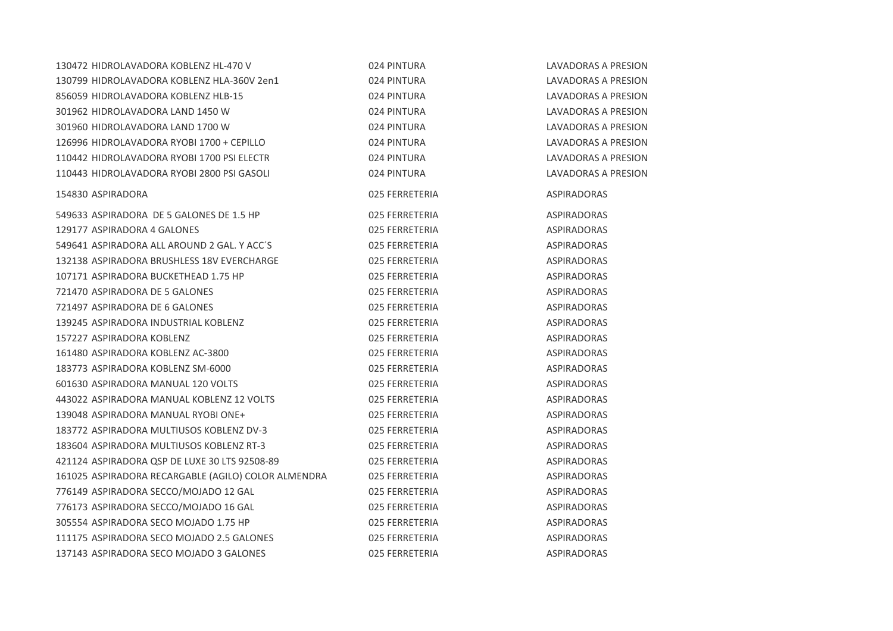| 130472 HIDROLAVADORA KOBLENZ HL-470 V               | 024 PINTURA    | LAVADORAS A PRESION        |
|-----------------------------------------------------|----------------|----------------------------|
| 130799 HIDROLAVADORA KOBLENZ HLA-360V 2en1          | 024 PINTURA    | <b>LAVADORAS A PRESION</b> |
| 856059 HIDROLAVADORA KOBLENZ HLB-15                 | 024 PINTURA    | LAVADORAS A PRESION        |
| 301962 HIDROLAVADORA LAND 1450 W                    | 024 PINTURA    | <b>LAVADORAS A PRESION</b> |
| 301960 HIDROLAVADORA LAND 1700 W                    | 024 PINTURA    | <b>LAVADORAS A PRESION</b> |
| 126996 HIDROLAVADORA RYOBI 1700 + CEPILLO           | 024 PINTURA    | LAVADORAS A PRESION        |
| 110442 HIDROLAVADORA RYOBI 1700 PSI ELECTR          | 024 PINTURA    | <b>LAVADORAS A PRESION</b> |
| 110443 HIDROLAVADORA RYOBI 2800 PSI GASOLI          | 024 PINTURA    | LAVADORAS A PRESION        |
| 154830 ASPIRADORA                                   | 025 FERRETERIA | <b>ASPIRADORAS</b>         |
| 549633 ASPIRADORA DE 5 GALONES DE 1.5 HP            | 025 FERRETERIA | <b>ASPIRADORAS</b>         |
| 129177 ASPIRADORA 4 GALONES                         | 025 FERRETERIA | <b>ASPIRADORAS</b>         |
| 549641 ASPIRADORA ALL AROUND 2 GAL. Y ACC'S         | 025 FERRETERIA | <b>ASPIRADORAS</b>         |
| 132138 ASPIRADORA BRUSHLESS 18V EVERCHARGE          | 025 FERRETERIA | <b>ASPIRADORAS</b>         |
| 107171 ASPIRADORA BUCKETHEAD 1.75 HP                | 025 FERRETERIA | <b>ASPIRADORAS</b>         |
| 721470 ASPIRADORA DE 5 GALONES                      | 025 FERRETERIA | <b>ASPIRADORAS</b>         |
| 721497 ASPIRADORA DE 6 GALONES                      | 025 FERRETERIA | <b>ASPIRADORAS</b>         |
| 139245 ASPIRADORA INDUSTRIAL KOBLENZ                | 025 FERRETERIA | <b>ASPIRADORAS</b>         |
| 157227 ASPIRADORA KOBLENZ                           | 025 FERRETERIA | ASPIRADORAS                |
| 161480 ASPIRADORA KOBLENZ AC-3800                   | 025 FERRETERIA | <b>ASPIRADORAS</b>         |
| 183773 ASPIRADORA KOBLENZ SM-6000                   | 025 FERRETERIA | ASPIRADORAS                |
| 601630 ASPIRADORA MANUAL 120 VOLTS                  | 025 FERRETERIA | <b>ASPIRADORAS</b>         |
| 443022 ASPIRADORA MANUAL KOBLENZ 12 VOLTS           | 025 FERRETERIA | <b>ASPIRADORAS</b>         |
| 139048 ASPIRADORA MANUAL RYOBI ONE+                 | 025 FERRETERIA | <b>ASPIRADORAS</b>         |
| 183772 ASPIRADORA MULTIUSOS KOBLENZ DV-3            | 025 FERRETERIA | <b>ASPIRADORAS</b>         |
| 183604 ASPIRADORA MULTIUSOS KOBLENZ RT-3            | 025 FERRETERIA | <b>ASPIRADORAS</b>         |
| 421124 ASPIRADORA QSP DE LUXE 30 LTS 92508-89       | 025 FERRETERIA | <b>ASPIRADORAS</b>         |
| 161025 ASPIRADORA RECARGABLE (AGILO) COLOR ALMENDRA | 025 FERRETERIA | <b>ASPIRADORAS</b>         |
| 776149 ASPIRADORA SECCO/MOJADO 12 GAL               | 025 FERRETERIA | ASPIRADORAS                |
| 776173 ASPIRADORA SECCO/MOJADO 16 GAL               | 025 FERRETERIA | <b>ASPIRADORAS</b>         |
| 305554 ASPIRADORA SECO MOJADO 1.75 HP               | 025 FERRETERIA | <b>ASPIRADORAS</b>         |
| 111175 ASPIRADORA SECO MOJADO 2.5 GALONES           | 025 FERRETERIA | ASPIRADORAS                |
| 137143 ASPIRADORA SECO MOJADO 3 GALONES             | 025 FERRETERIA | <b>ASPIRADORAS</b>         |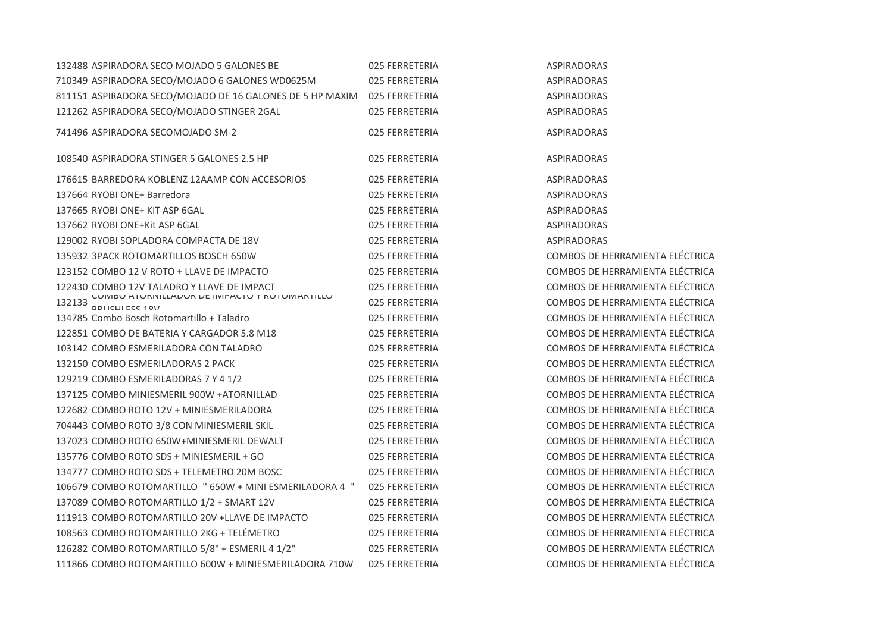| 132488 ASPIRADORA SECO MOJADO 5 GALONES BE                               | 025 FERRETERIA | <b>ASPIRADORAS</b>              |
|--------------------------------------------------------------------------|----------------|---------------------------------|
| 710349 ASPIRADORA SECO/MOJADO 6 GALONES WD0625M                          | 025 FERRETERIA | <b>ASPIRADORAS</b>              |
| 811151 ASPIRADORA SECO/MOJADO DE 16 GALONES DE 5 HP MAXIM 025 FERRETERIA |                | <b>ASPIRADORAS</b>              |
| 121262 ASPIRADORA SECO/MOJADO STINGER 2GAL                               | 025 FERRETERIA | <b>ASPIRADORAS</b>              |
| 741496 ASPIRADORA SECOMOJADO SM-2                                        | 025 FERRETERIA | <b>ASPIRADORAS</b>              |
| 108540 ASPIRADORA STINGER 5 GALONES 2.5 HP                               | 025 FERRETERIA | <b>ASPIRADORAS</b>              |
| 176615 BARREDORA KOBLENZ 12AAMP CON ACCESORIOS                           | 025 FERRETERIA | <b>ASPIRADORAS</b>              |
| 137664 RYOBI ONE+ Barredora                                              | 025 FERRETERIA | ASPIRADORAS                     |
| 137665 RYOBI ONE+ KIT ASP 6GAL                                           | 025 FERRETERIA | <b>ASPIRADORAS</b>              |
| 137662 RYOBI ONE+Kit ASP 6GAL                                            | 025 FERRETERIA | <b>ASPIRADORAS</b>              |
| 129002 RYOBI SOPLADORA COMPACTA DE 18V                                   | 025 FERRETERIA | <b>ASPIRADORAS</b>              |
| 135932 3PACK ROTOMARTILLOS BOSCH 650W                                    | 025 FERRETERIA | COMBOS DE HERRAMIENTA ELÉCTRICA |
| 123152 COMBO 12 V ROTO + LLAVE DE IMPACTO                                | 025 FERRETERIA | COMBOS DE HERRAMIENTA ELÉCTRICA |
| 122430 COMBO 12V TALADRO Y LLAVE DE IMPACT                               | 025 FERRETERIA | COMBOS DE HERRAMIENTA ELÉCTRICA |
| 132133 CUIVIBU ATURNILLADUR DE INIPACTU Y RUTUIVIARTILLU                 | 025 FERRETERIA | COMBOS DE HERRAMIENTA ELÉCTRICA |
| 134785 Combo Bosch Rotomartillo + Taladro                                | 025 FERRETERIA | COMBOS DE HERRAMIENTA ELÉCTRICA |
| 122851 COMBO DE BATERIA Y CARGADOR 5.8 M18                               | 025 FERRETERIA | COMBOS DE HERRAMIENTA ELÉCTRICA |
| 103142 COMBO ESMERILADORA CON TALADRO                                    | 025 FERRETERIA | COMBOS DE HERRAMIENTA ELÉCTRICA |
| 132150 COMBO ESMERILADORAS 2 PACK                                        | 025 FERRETERIA | COMBOS DE HERRAMIENTA ELÉCTRICA |
| 129219 COMBO ESMERILADORAS 7 Y 4 1/2                                     | 025 FERRETERIA | COMBOS DE HERRAMIENTA ELÉCTRICA |
| 137125 COMBO MINIESMERIL 900W +ATORNILLAD                                | 025 FERRETERIA | COMBOS DE HERRAMIENTA ELÉCTRICA |
| 122682 COMBO ROTO 12V + MINIESMERILADORA                                 | 025 FERRETERIA | COMBOS DE HERRAMIENTA ELÉCTRICA |
| 704443 COMBO ROTO 3/8 CON MINIESMERIL SKIL                               | 025 FERRETERIA | COMBOS DE HERRAMIENTA ELÉCTRICA |
| 137023 COMBO ROTO 650W+MINIESMERIL DEWALT                                | 025 FERRETERIA | COMBOS DE HERRAMIENTA ELÉCTRICA |
| 135776 COMBO ROTO SDS + MINIESMERIL + GO                                 | 025 FERRETERIA | COMBOS DE HERRAMIENTA ELÉCTRICA |
| 134777 COMBO ROTO SDS + TELEMETRO 20M BOSC                               | 025 FERRETERIA | COMBOS DE HERRAMIENTA ELÉCTRICA |
| 106679 COMBO ROTOMARTILLO " 650W + MINI ESMERILADORA 4 "                 | 025 FERRETERIA | COMBOS DE HERRAMIENTA ELÉCTRICA |
| 137089 COMBO ROTOMARTILLO 1/2 + SMART 12V                                | 025 FERRETERIA | COMBOS DE HERRAMIENTA ELÉCTRICA |
| 111913 COMBO ROTOMARTILLO 20V +LLAVE DE IMPACTO                          | 025 FERRETERIA | COMBOS DE HERRAMIENTA ELÉCTRICA |
| 108563 COMBO ROTOMARTILLO 2KG + TELÉMETRO                                | 025 FERRETERIA | COMBOS DE HERRAMIENTA ELÉCTRICA |
| 126282 COMBO ROTOMARTILLO 5/8" + ESMERIL 4 1/2"                          | 025 FERRETERIA | COMBOS DE HERRAMIENTA ELÉCTRICA |
| 111866 COMBO ROTOMARTILLO 600W + MINIESMERILADORA 710W                   | 025 FERRETERIA | COMBOS DE HERRAMIENTA ELÉCTRICA |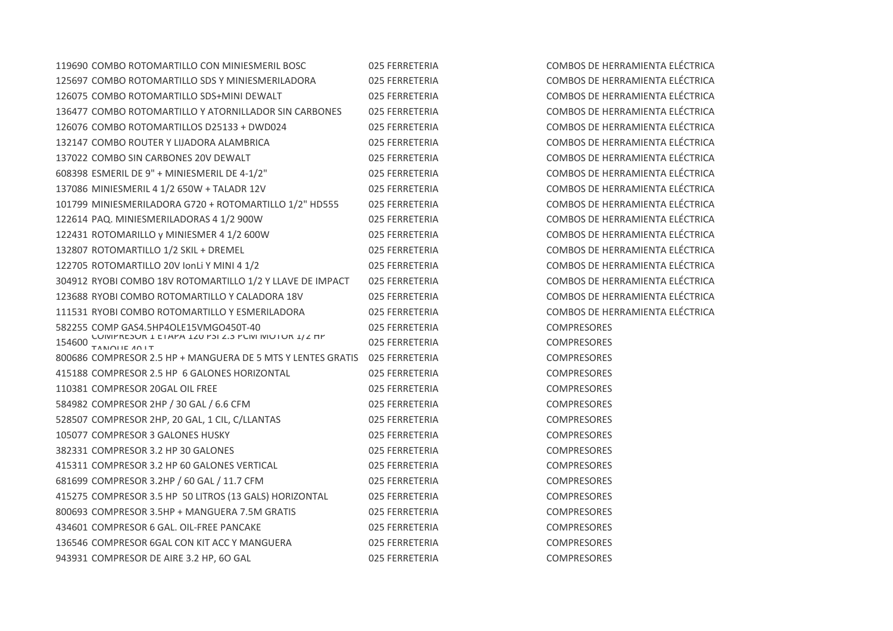| 119690 COMBO ROTOMARTILLO CON MINIESMERIL BOSC              | 025 FERRETERIA | <b>COMBOS DE HI</b> |
|-------------------------------------------------------------|----------------|---------------------|
| 125697 COMBO ROTOMARTILLO SDS Y MINIESMERILADORA            | 025 FERRETERIA | <b>COMBOS DE HE</b> |
| 126075 COMBO ROTOMARTILLO SDS+MINI DEWALT                   | 025 FERRETERIA | <b>COMBOS DE HI</b> |
| 136477 COMBO ROTOMARTILLO Y ATORNILLADOR SIN CARBONES       | 025 FERRETERIA | <b>COMBOS DE HI</b> |
| 126076 COMBO ROTOMARTILLOS D25133 + DWD024                  | 025 FERRETERIA | <b>COMBOS DE HI</b> |
| 132147 COMBO ROUTER Y LIJADORA ALAMBRICA                    | 025 FERRETERIA | <b>COMBOS DE HI</b> |
| 137022 COMBO SIN CARBONES 20V DEWALT                        | 025 FERRETERIA | <b>COMBOS DE HI</b> |
| 608398 ESMERIL DE 9" + MINIESMERIL DE 4-1/2"                | 025 FERRETERIA | <b>COMBOS DE HI</b> |
| 137086 MINIESMERIL 4 1/2 650W + TALADR 12V                  | 025 FERRETERIA | <b>COMBOS DE HI</b> |
| 101799 MINIESMERILADORA G720 + ROTOMARTILLO 1/2" HD555      | 025 FERRETERIA | <b>COMBOS DE HI</b> |
| 122614 PAQ. MINIESMERILADORAS 4 1/2 900W                    | 025 FERRETERIA | <b>COMBOS DE HI</b> |
| 122431 ROTOMARILLO y MINIESMER 4 1/2 600W                   | 025 FERRETERIA | <b>COMBOS DE HI</b> |
| 132807 ROTOMARTILLO 1/2 SKIL + DREMEL                       | 025 FERRETERIA | <b>COMBOS DE HI</b> |
| 122705 ROTOMARTILLO 20V IonLi Y MINI 4 1/2                  | 025 FERRETERIA | <b>COMBOS DE HI</b> |
| 304912 RYOBI COMBO 18V ROTOMARTILLO 1/2 Y LLAVE DE IMPACT   | 025 FERRETERIA | <b>COMBOS DE HI</b> |
| 123688 RYOBI COMBO ROTOMARTILLO Y CALADORA 18V              | 025 FERRETERIA | <b>COMBOS DE HI</b> |
| 111531 RYOBI COMBO ROTOMARTILLO Y ESMERILADORA              | 025 FERRETERIA | <b>COMBOS DE HI</b> |
| 582255 COMP GAS4.5HP4OLE15VMGO450T-40                       | 025 FERRETERIA | COMPRESORES         |
| $\frac{154600}{TANOLIEIATIT}$                               | 025 FERRETERIA | <b>COMPRESORES</b>  |
| 800686 COMPRESOR 2.5 HP + MANGUERA DE 5 MTS Y LENTES GRATIS | 025 FERRETERIA | COMPRESORES         |
| 415188 COMPRESOR 2.5 HP 6 GALONES HORIZONTAL                | 025 FERRETERIA | COMPRESORES         |
| 110381 COMPRESOR 20GAL OIL FREE                             | 025 FERRETERIA | COMPRESORES         |
| 584982 COMPRESOR 2HP / 30 GAL / 6.6 CFM                     | 025 FERRETERIA | COMPRESORES         |
| 528507 COMPRESOR 2HP, 20 GAL, 1 CIL, C/LLANTAS              | 025 FERRETERIA | COMPRESORES         |
| 105077 COMPRESOR 3 GALONES HUSKY                            | 025 FERRETERIA | <b>COMPRESORES</b>  |
| 382331 COMPRESOR 3.2 HP 30 GALONES                          | 025 FERRETERIA | <b>COMPRESORES</b>  |
| 415311 COMPRESOR 3.2 HP 60 GALONES VERTICAL                 | 025 FERRETERIA | COMPRESORES         |
| 681699 COMPRESOR 3.2HP / 60 GAL / 11.7 CFM                  | 025 FERRETERIA | COMPRESORES         |
| 415275 COMPRESOR 3.5 HP 50 LITROS (13 GALS) HORIZONTAL      | 025 FERRETERIA | <b>COMPRESORES</b>  |
| 800693 COMPRESOR 3.5HP + MANGUERA 7.5M GRATIS               | 025 FERRETERIA | <b>COMPRESORES</b>  |
| 434601 COMPRESOR 6 GAL. OIL-FREE PANCAKE                    | 025 FERRETERIA | COMPRESORES         |
| 136546 COMPRESOR 6GAL CON KIT ACC Y MANGUERA                | 025 FERRETERIA | COMPRESORES         |
| 943931 COMPRESOR DE AIRE 3.2 HP, 60 GAL                     | 025 FERRETERIA | <b>COMPRESORES</b>  |

COMBOS DE HERRAMIENTA ELÉCTRICA COMBOS DE HERRAMIENTA ELÉCTRICA COMBOS DE HERRAMIENTA ELÉCTRICA COMBOS DE HERRAMIENTA ELÉCTRICA COMBOS DE HERRAMIENTA ELÉCTRICA COMBOS DE HERRAMIENTA ELÉCTRICA COMBOS DE HERRAMIENTA ELÉCTRICA COMBOS DE HERRAMIENTA ELÉCTRICA COMBOS DE HERRAMIENTA ELÉCTRICA COMBOS DE HERRAMIENTA ELÉCTRICA COMBOS DE HERRAMIENTA ELÉCTRICA COMBOS DE HERRAMIENTA ELÉCTRICA COMBOS DE HERRAMIENTA ELÉCTRICA COMBOS DE HERRAMIENTA ELÉCTRICA COMBOS DE HERRAMIENTA ELÉCTRICA COMBOS DE HERRAMIENTA ELÉCTRICA COMBOS DE HERRAMIENTA ELÉCTRICA **COMPRESORES**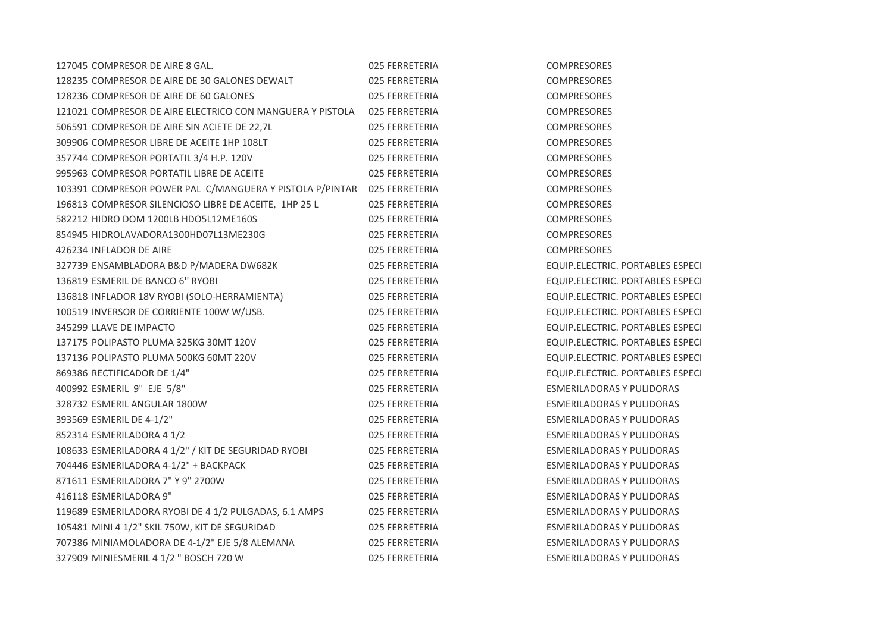| 127045 COMPRESOR DE AIRE 8 GAL.                           | 025 FERRETERIA | COMPRESORES                             |
|-----------------------------------------------------------|----------------|-----------------------------------------|
| 128235 COMPRESOR DE AIRE DE 30 GALONES DEWALT             | 025 FERRETERIA | <b>COMPRESORES</b>                      |
| 128236 COMPRESOR DE AIRE DE 60 GALONES                    | 025 FERRETERIA | <b>COMPRESORES</b>                      |
| 121021 COMPRESOR DE AIRE ELECTRICO CON MANGUERA Y PISTOLA | 025 FERRETERIA | <b>COMPRESORES</b>                      |
| 506591 COMPRESOR DE AIRE SIN ACIETE DE 22,7L              | 025 FERRETERIA | COMPRESORES                             |
| 309906 COMPRESOR LIBRE DE ACEITE 1HP 108LT                | 025 FERRETERIA | <b>COMPRESORES</b>                      |
| 357744 COMPRESOR PORTATIL 3/4 H.P. 120V                   | 025 FERRETERIA | COMPRESORES                             |
| 995963 COMPRESOR PORTATIL LIBRE DE ACEITE                 | 025 FERRETERIA | <b>COMPRESORES</b>                      |
| 103391 COMPRESOR POWER PAL C/MANGUERA Y PISTOLA P/PINTAR  | 025 FERRETERIA | COMPRESORES                             |
| 196813 COMPRESOR SILENCIOSO LIBRE DE ACEITE, 1HP 25 L     | 025 FERRETERIA | <b>COMPRESORES</b>                      |
| 582212 HIDRO DOM 1200LB HDO5L12ME160S                     | 025 FERRETERIA | <b>COMPRESORES</b>                      |
| 854945 HIDROLAVADORA1300HD07L13ME230G                     | 025 FERRETERIA | <b>COMPRESORES</b>                      |
| 426234 INFLADOR DE AIRE                                   | 025 FERRETERIA | COMPRESORES                             |
| 327739 ENSAMBLADORA B&D P/MADERA DW682K                   | 025 FERRETERIA | EQUIP.ELECTRIC. PORTABLES ESPECI        |
| 136819 ESMERIL DE BANCO 6" RYOBI                          | 025 FERRETERIA | EQUIP.ELECTRIC. PORTABLES ESPECI        |
| 136818 INFLADOR 18V RYOBI (SOLO-HERRAMIENTA)              | 025 FERRETERIA | EQUIP.ELECTRIC. PORTABLES ESPECI        |
| 100519 INVERSOR DE CORRIENTE 100W W/USB.                  | 025 FERRETERIA | EQUIP.ELECTRIC. PORTABLES ESPECI        |
| 345299 LLAVE DE IMPACTO                                   | 025 FERRETERIA | EQUIP.ELECTRIC. PORTABLES ESPECI        |
| 137175 POLIPASTO PLUMA 325KG 30MT 120V                    | 025 FERRETERIA | EQUIP.ELECTRIC. PORTABLES ESPECI        |
| 137136 POLIPASTO PLUMA 500KG 60MT 220V                    | 025 FERRETERIA | EQUIP.ELECTRIC. PORTABLES ESPECI        |
| 869386 RECTIFICADOR DE 1/4"                               | 025 FERRETERIA | <b>EQUIP.ELECTRIC. PORTABLES ESPECI</b> |
| 400992 ESMERIL 9" EJE 5/8"                                | 025 FERRETERIA | <b>ESMERILADORAS Y PULIDORAS</b>        |
| 328732 ESMERIL ANGULAR 1800W                              | 025 FERRETERIA | ESMERILADORAS Y PULIDORAS               |
| 393569 ESMERIL DE 4-1/2"                                  | 025 FERRETERIA | <b>ESMERILADORAS Y PULIDORAS</b>        |
| 852314 ESMERILADORA 4 1/2                                 | 025 FERRETERIA | <b>ESMERILADORAS Y PULIDORAS</b>        |
| 108633 ESMERILADORA 4 1/2" / KIT DE SEGURIDAD RYOBI       | 025 FERRETERIA | ESMERILADORAS Y PULIDORAS               |
| 704446 ESMERILADORA 4-1/2" + BACKPACK                     | 025 FERRETERIA | ESMERILADORAS Y PULIDORAS               |
| 871611 ESMERILADORA 7" Y 9" 2700W                         | 025 FERRETERIA | <b>ESMERILADORAS Y PULIDORAS</b>        |
| 416118 ESMERILADORA 9"                                    | 025 FERRETERIA | <b>ESMERILADORAS Y PULIDORAS</b>        |
| 119689 ESMERILADORA RYOBI DE 4 1/2 PULGADAS, 6.1 AMPS     | 025 FERRETERIA | <b>ESMERILADORAS Y PULIDORAS</b>        |
| 105481 MINI 4 1/2" SKIL 750W, KIT DE SEGURIDAD            | 025 FERRETERIA | ESMERILADORAS Y PULIDORAS               |
| 707386 MINIAMOLADORA DE 4-1/2" EJE 5/8 ALEMANA            | 025 FERRETERIA | <b>ESMERILADORAS Y PULIDORAS</b>        |
| 327909 MINIESMERIL 4 1/2 " BOSCH 720 W                    | 025 FERRETERIA | <b>ESMERILADORAS Y PULIDORAS</b>        |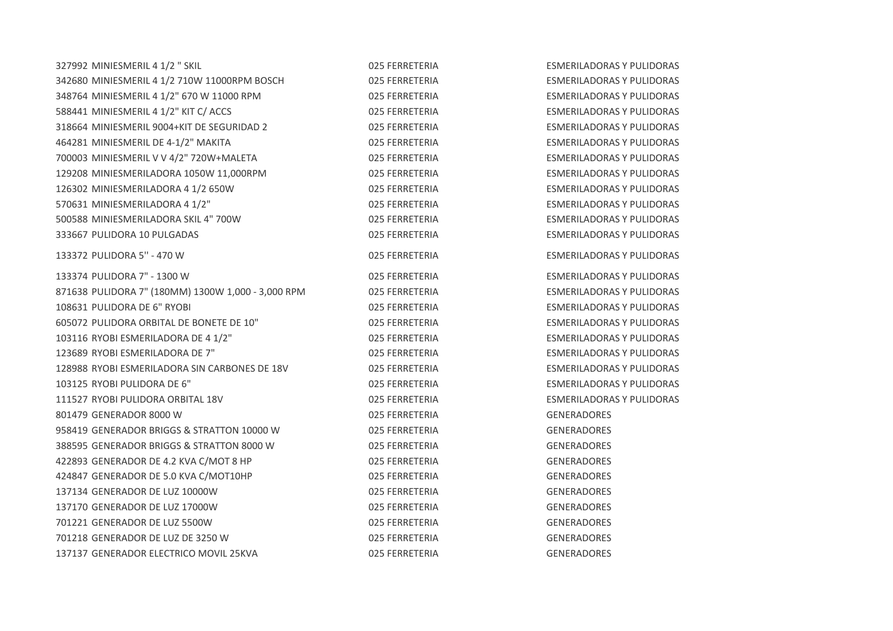| 327992 MINIESMERIL 4 1/2 " SKIL                    | 025 FERRETERIA | <b>ESMERILADORAS Y PULIDORAS</b> |
|----------------------------------------------------|----------------|----------------------------------|
| 342680 MINIESMERIL 4 1/2 710W 11000RPM BOSCH       | 025 FERRETERIA | <b>ESMERILADORAS Y PULIDORAS</b> |
| 348764 MINIESMERIL 4 1/2" 670 W 11000 RPM          | 025 FERRETERIA | <b>ESMERILADORAS Y PULIDORAS</b> |
| 588441 MINIESMERIL 4 1/2" KIT C/ ACCS              | 025 FERRETERIA | <b>ESMERILADORAS Y PULIDORAS</b> |
| 318664 MINIESMERIL 9004+KIT DE SEGURIDAD 2         | 025 FERRETERIA | <b>ESMERILADORAS Y PULIDORAS</b> |
| 464281 MINIESMERIL DE 4-1/2" MAKITA                | 025 FERRETERIA | <b>ESMERILADORAS Y PULIDORAS</b> |
| 700003 MINIESMERIL V V 4/2" 720W+MALETA            | 025 FERRETERIA | <b>ESMERILADORAS Y PULIDORAS</b> |
| 129208 MINIESMERILADORA 1050W 11,000RPM            | 025 FERRETERIA | <b>ESMERILADORAS Y PULIDORAS</b> |
| 126302 MINIESMERILADORA 4 1/2 650W                 | 025 FERRETERIA | <b>ESMERILADORAS Y PULIDORAS</b> |
| 570631 MINIESMERILADORA 4 1/2"                     | 025 FERRETERIA | <b>ESMERILADORAS Y PULIDORAS</b> |
| 500588 MINIESMERILADORA SKIL 4" 700W               | 025 FERRETERIA | <b>ESMERILADORAS Y PULIDORAS</b> |
| 333667 PULIDORA 10 PULGADAS                        | 025 FERRETERIA | <b>ESMERILADORAS Y PULIDORAS</b> |
| 133372 PULIDORA 5" - 470 W                         | 025 FERRETERIA | <b>ESMERILADORAS Y PULIDORAS</b> |
| 133374 PULIDORA 7" - 1300 W                        | 025 FERRETERIA | <b>ESMERILADORAS Y PULIDORAS</b> |
| 871638 PULIDORA 7" (180MM) 1300W 1,000 - 3,000 RPM | 025 FERRETERIA | <b>ESMERILADORAS Y PULIDORAS</b> |
| 108631 PULIDORA DE 6" RYOBI                        | 025 FERRETERIA | <b>ESMERILADORAS Y PULIDORAS</b> |
| 605072 PULIDORA ORBITAL DE BONETE DE 10"           | 025 FERRETERIA | <b>ESMERILADORAS Y PULIDORAS</b> |
| 103116 RYOBI ESMERILADORA DE 4 1/2"                | 025 FERRETERIA | <b>ESMERILADORAS Y PULIDORAS</b> |
| 123689 RYOBI ESMERILADORA DE 7"                    | 025 FERRETERIA | <b>ESMERILADORAS Y PULIDORAS</b> |
| 128988 RYOBI ESMERILADORA SIN CARBONES DE 18V      | 025 FERRETERIA | <b>ESMERILADORAS Y PULIDORAS</b> |
| 103125 RYOBI PULIDORA DE 6"                        | 025 FERRETERIA | <b>ESMERILADORAS Y PULIDORAS</b> |
| 111527 RYOBI PULIDORA ORBITAL 18V                  | 025 FERRETERIA | <b>ESMERILADORAS Y PULIDORAS</b> |
| 801479 GENERADOR 8000 W                            | 025 FERRETERIA | <b>GENERADORES</b>               |
| 958419 GENERADOR BRIGGS & STRATTON 10000 W         | 025 FERRETERIA | <b>GENERADORES</b>               |
| 388595 GENERADOR BRIGGS & STRATTON 8000 W          | 025 FERRETERIA | <b>GENERADORES</b>               |
| 422893 GENERADOR DE 4.2 KVA C/MOT 8 HP             | 025 FERRETERIA | GENERADORES                      |
| 424847 GENERADOR DE 5.0 KVA C/MOT10HP              | 025 FERRETERIA | <b>GENERADORES</b>               |
| 137134 GENERADOR DE LUZ 10000W                     | 025 FERRETERIA | <b>GENERADORES</b>               |
| 137170 GENERADOR DE LUZ 17000W                     | 025 FERRETERIA | GENERADORES                      |
| 701221 GENERADOR DE LUZ 5500W                      | 025 FERRETERIA | <b>GENERADORES</b>               |
| 701218 GENERADOR DE LUZ DE 3250 W                  | 025 FERRETERIA | <b>GENERADORES</b>               |
| 137137 GENERADOR ELECTRICO MOVIL 25KVA             | 025 FERRETERIA | <b>GENERADORES</b>               |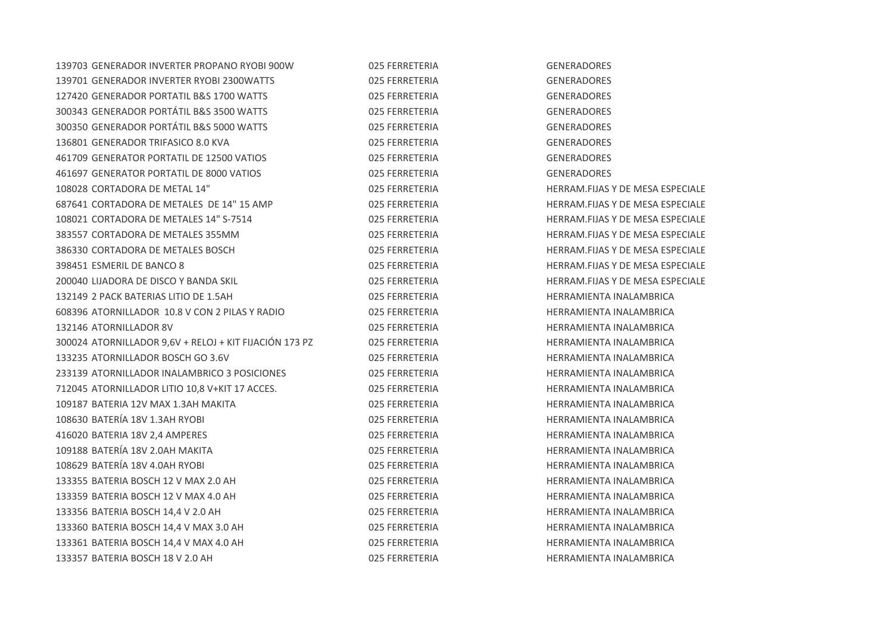| 139703 GENERADOR INVERTER PROPANO RYOBI 900W           | 025 FERRETERIA | GENERADORES         |
|--------------------------------------------------------|----------------|---------------------|
| 139701 GENERADOR INVERTER RYOBI 2300WATTS              | 025 FERRETERIA | GENERADORES         |
| 127420 GENERADOR PORTATIL B&S 1700 WATTS               | 025 FERRETERIA | GENERADORES         |
| 300343 GENERADOR PORTÁTIL B&S 3500 WATTS               | 025 FERRETERIA | GENERADORES         |
| 300350 GENERADOR PORTÁTIL B&S 5000 WATTS               | 025 FERRETERIA | GENERADORES         |
| 136801 GENERADOR TRIFASICO 8.0 KVA                     | 025 FERRETERIA | GENERADORES         |
| 461709 GENERATOR PORTATIL DE 12500 VATIOS              | 025 FERRETERIA | GENERADORES         |
| 461697 GENERATOR PORTATIL DE 8000 VATIOS               | 025 FERRETERIA | <b>GENERADORES</b>  |
| 108028 CORTADORA DE METAL 14"                          | 025 FERRETERIA | HERRAM.FIJAS        |
| 687641 CORTADORA DE METALES DE 14" 15 AMP              | 025 FERRETERIA | <b>HERRAM.FIJAS</b> |
| 108021 CORTADORA DE METALES 14" S-7514                 | 025 FERRETERIA | HERRAM.FIJAS        |
| 383557 CORTADORA DE METALES 355MM                      | 025 FERRETERIA | <b>HERRAM.FIJAS</b> |
| 386330 CORTADORA DE METALES BOSCH                      | 025 FERRETERIA | HERRAM.FIJAS        |
| 398451 ESMERIL DE BANCO 8                              | 025 FERRETERIA | HERRAM.FIJAS        |
| 200040 LIJADORA DE DISCO Y BANDA SKIL                  | 025 FERRETERIA | HERRAM.FIJAS        |
| 132149 2 PACK BATERIAS LITIO DE 1.5AH                  | 025 FERRETERIA | HERRAMIENTA         |
| 608396 ATORNILLADOR 10.8 V CON 2 PILAS Y RADIO         | 025 FERRETERIA | HERRAMIENTA         |
| 132146 ATORNILLADOR 8V                                 | 025 FERRETERIA | HERRAMIENTA         |
| 300024 ATORNILLADOR 9,6V + RELOJ + KIT FIJACIÓN 173 PZ | 025 FERRETERIA | <b>HERRAMIENTA</b>  |
| 133235 ATORNILLADOR BOSCH GO 3.6V                      | 025 FERRETERIA | HERRAMIENTA         |
| 233139 ATORNILLADOR INALAMBRICO 3 POSICIONES           | 025 FERRETERIA | <b>HERRAMIENTA</b>  |
| 712045 ATORNILLADOR LITIO 10,8 V+KIT 17 ACCES.         | 025 FERRETERIA | <b>HERRAMIENTA</b>  |
| 109187 BATERIA 12V MAX 1.3AH MAKITA                    | 025 FERRETERIA | HERRAMIENTA         |
| 108630 BATERÍA 18V 1.3AH RYOBI                         | 025 FERRETERIA | <b>HERRAMIENTA</b>  |
| 416020 BATERIA 18V 2,4 AMPERES                         | 025 FERRETERIA | <b>HERRAMIENTA</b>  |
| 109188 BATERÍA 18V 2.0AH MAKITA                        | 025 FERRETERIA | <b>HERRAMIENTA</b>  |
| 108629 BATERÍA 18V 4.0AH RYOBI                         | 025 FERRETERIA | <b>HERRAMIENTA</b>  |
| 133355 BATERIA BOSCH 12 V MAX 2.0 AH                   | 025 FERRETERIA | <b>HERRAMIENTA</b>  |
| 133359 BATERIA BOSCH 12 V MAX 4.0 AH                   | 025 FERRETERIA | <b>HERRAMIENTA</b>  |
| 133356 BATERIA BOSCH 14,4 V 2.0 AH                     | 025 FERRETERIA | HERRAMIENTA         |
| 133360 BATERIA BOSCH 14,4 V MAX 3.0 AH                 | 025 FERRETERIA | HERRAMIENTA         |
| 133361 BATERIA BOSCH 14,4 V MAX 4.0 AH                 | 025 FERRETERIA | <b>HERRAMIENTA</b>  |
| 133357 BATERIA BOSCH 18 V 2.0 AH                       | 025 FERRETERIA | <b>HERRAMIENTA</b>  |

108028 CORTADORA DE METAL 14" 025 FERRETERIA HERRAM.FIJAS Y DE MESA ESPECIALE FERIA ETALES DE 14 AMP 14 AMP 14 AMP 14 AMP 14 AMP 14 AMP 14 AMP 14 AMP 14 AMP 14 AMP 14 AMP 14 AMP 14 AMP 14 A TERIA 108021 CORTADORA HERRAM.FIJAS Y DE MESA ESPECIALE TERIA 355 FERRAM.FIJAS Y DE MESA ESPECIALE 386330 CORTADORA DE METALES BOSCH 025 FERRETERIA HERRAM.FIJAS Y DE MESA ESPECIALE TERIA 398461 ESPECIALE BANCO BANCO BANCO BANCO BANCO BANCO BANCO BANCO BANCO BANCO BANCO BANCO BANCO BANCO BAN TERIA 2000 LIJADORA HERRAM.FIJAS Y DE MESA ESPECIALE TERIA 1321 PACK BATERIA HERRAMIENTA INALAMBRICA TERIA 608396 ATORNIENTA INALAMBRICA 132146 ATORNILLADOR 8V 025 FERRETERIA HERRAMIENTA INALAMBRICA TERIA 30000024 ATORNIENTA INALAMBRICA TERIA 1333 BERRAMIENTA INALAMBRICA TERIA 2333 ATORNIELADOR INALAMBRICA 3 POSTE DE HERRAMIENTA INALAMBRICA TERIA 712045 ATORNIENTA INALAMBRICA TERIA 10919101 BATERIA 12091 BERRAMIENTA INALAMBRICA TERIA 1086 BATERIA 1986 HERRAMIENTA INALAMBRICA TERIA 1902 BATERIA 1902 HERRAMIENTA INALAMBRICA TERIA 1991 1091 BATERIA 1991 HERRAMIENTA INALAMBRICA TERIA 1986 BATERIA 1988 HERRAMIENTA INALAMBRICA TERIA 1333 BATERIA BOSCH 12 HERRAMIENTA INALAMBRICA TERIA 1333 BATERIA BOSCH 12 HERRAMIENTA INALAMBRICA TERIA 1333 BATERIA BOSCH 14,4 V 2.0 AH 025 HERRAMIENTA INALAMBRICA TERIA 133360 BATERIA BOSCH 14,4 DERRAMIENTA INALAMBRICA TERIA 133361 BATERIA BOSCH 14,4 JANUARI 14,4 JANUARI 14,4 JANUARI 14,4 JANUARI 14,4 JANUARI 14,4 JANUARI 14,4 V TERIA 1333 BATERIA BOSCH 18 HERRAMIENTA INALAMBRICA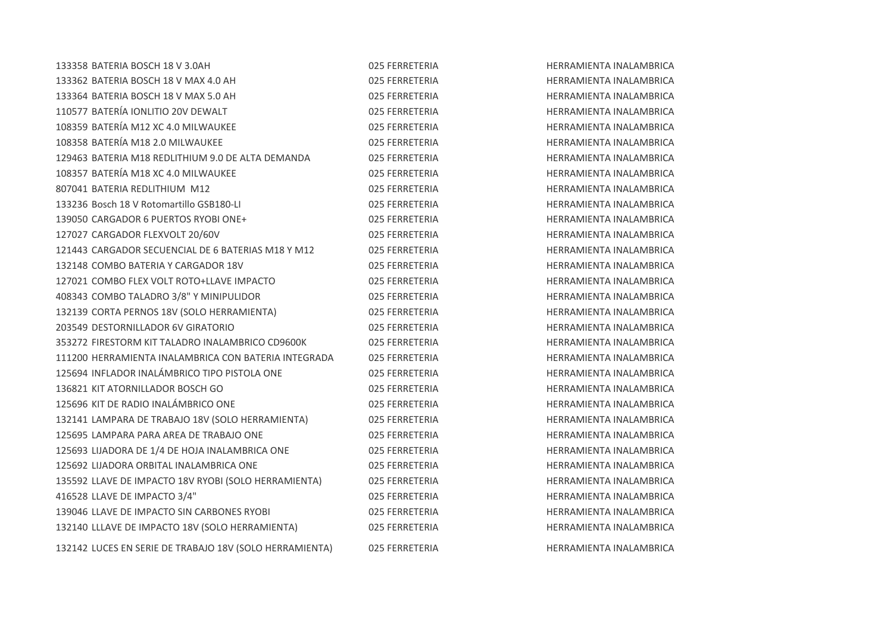| 133358 BATERIA BOSCH 18 V 3.0AH                         | 025 FERRETERIA |
|---------------------------------------------------------|----------------|
| 133362 BATERIA BOSCH 18 V MAX 4.0 AH                    | 025 FERRETERIA |
| 133364 BATERIA BOSCH 18 V MAX 5.0 AH                    | 025 FERRETERIA |
| 110577 BATERÍA IONLITIO 20V DEWALT                      | 025 FERRETERIA |
| 108359 BATERÍA M12 XC 4.0 MILWAUKEE                     | 025 FERRETERIA |
| 108358 BATERÍA M18 2.0 MILWAUKEE                        | 025 FERRETERIA |
| 129463 BATERIA M18 REDLITHIUM 9.0 DE ALTA DEMANDA       | 025 FERRETERIA |
| 108357 BATERÍA M18 XC 4.0 MILWAUKEE                     | 025 FERRETERIA |
| 807041 BATERIA REDLITHIUM M12                           | 025 FERRETERIA |
| 133236 Bosch 18 V Rotomartillo GSB180-LI                | 025 FERRETERIA |
| 139050 CARGADOR 6 PUERTOS RYOBI ONE+                    | 025 FERRETERIA |
| 127027 CARGADOR FLEXVOLT 20/60V                         | 025 FERRETERIA |
| 121443 CARGADOR SECUENCIAL DE 6 BATERIAS M18 Y M12      | 025 FERRETERIA |
| 132148 COMBO BATERIA Y CARGADOR 18V                     | 025 FERRETERIA |
| 127021 COMBO FLEX VOLT ROTO+LLAVE IMPACTO               | 025 FERRETERIA |
| 408343 COMBO TALADRO 3/8" Y MINIPULIDOR                 | 025 FERRETERIA |
| 132139 CORTA PERNOS 18V (SOLO HERRAMIENTA)              | 025 FERRETERIA |
| 203549 DESTORNILLADOR 6V GIRATORIO                      | 025 FERRETERIA |
| 353272 FIRESTORM KIT TALADRO INALAMBRICO CD9600K        | 025 FERRETERIA |
| 111200 HERRAMIENTA INALAMBRICA CON BATERIA INTEGRADA    | 025 FERRETERIA |
| 125694 INFLADOR INALÁMBRICO TIPO PISTOLA ONE            | 025 FERRETERIA |
| 136821 KIT ATORNILLADOR BOSCH GO                        | 025 FERRETERIA |
| 125696 KIT DE RADIO INALÁMBRICO ONE                     | 025 FERRETERIA |
| 132141 LAMPARA DE TRABAJO 18V (SOLO HERRAMIENTA)        | 025 FERRETERIA |
| 125695 LAMPARA PARA AREA DE TRABAJO ONE                 | 025 FERRETERIA |
| 125693 LIJADORA DE 1/4 DE HOJA INALAMBRICA ONE          | 025 FERRETERIA |
| 125692 LIJADORA ORBITAL INALAMBRICA ONE                 | 025 FERRETERIA |
| 135592 LLAVE DE IMPACTO 18V RYOBI (SOLO HERRAMIENTA)    | 025 FERRETERIA |
| 416528 LLAVE DE IMPACTO 3/4"                            | 025 FERRETERIA |
| 139046 LLAVE DE IMPACTO SIN CARBONES RYOBI              | 025 FERRETERIA |
| 132140 LLLAVE DE IMPACTO 18V (SOLO HERRAMIENTA)         | 025 FERRETERIA |
| 132142 LUCES EN SERIE DE TRABAJO 18V (SOLO HERRAMIENTA) | 025 FERRETERIA |

133358 BATERIA BOSCH 18 V 3.0AH 025 FERRETERIA HERRAMIENTA INALAMBRICA 133362 BATERIA BOSCH 18 V MAX 4.0 AH 025 FERRETERIA HERRAMIENTA INALAMBRICA HERRAMIENTA INALAMBRICA HERRAMIENTA INALAMBRICA 108359 BATERÍA M12 XC 4.0 MILWAUKEE 025 FERRETERIA HERRAMIENTA INALAMBRICA 108358 BATERÍA M18 2.0 MILWAUKEE 025 FERRETERIA HERRAMIENTA INALAMBRICA HERRAMIENTA INALAMBRICA **HERRAMIENTA INALAMBRICA** HERRAMIENTA INALAMBRICA **HERRAMIENTA INALAMBRICA** HERRAMIENTA INALAMBRICA HERRAMIENTA INALAMBRICA 121443 CARGADOR SECUENCIAL DE 6 BATERIAS M18 Y M12 025 FERRETERIA HERRAMIENTA INALAMBRICA HERRAMIENTA INALAMBRICA HERRAMIENTA INALAMBRICA HERRAMIENTA INALAMBRICA 132139 CORTA PERNOS 18V (SOLO HERRAMIENTA) 025 FERRETERIA HERRAMIENTA INALAMBRICA HERRAMIENTA INAI AMBRICA **HERRAMIENTA INALAMBRICA** 111200 HERRAMIENTA INALAMBRICA CON BATERIA INTEGRADA 025 FERRETERIA HERRAMIENTA INALAMBRICA **HERRAMIENTA INALAMBRICA** HERRAMIENTA INALAMBRICA HERRAMIENTA INALAMBRICA HERRAMIENTA INALAMBRICA 125695 LAMPARA PARA AREA DE TRABAJO ONE 025 FERRETERIA HERRAMIENTA INALAMBRICA **HERRAMIENTA INALAMBRICA** 125692 LIJADORA ORBITAL INALAMBRICA ONE 025 FERRETERIA HERRAMIENTA INALAMBRICA **HERRAMIENTA INALAMBRICA** 416528 LLAVE DE IMPACTO 3/4" 025 FERRETERIA HERRAMIENTA INALAMBRICA **HERRAMIENTA INALAMBRICA** 132140 LLLAVE DE IMPACTO 18V (SOLO HERRAMIENTA) 025 FERRETERIA HERRAMIENTA INALAMBRICA 132142 LUCES EN SERIE DE TRABAJO 18V (SOLO HERRAMIENTA) 025 FERRETERIA HERRAMIENTA INALAMBRICA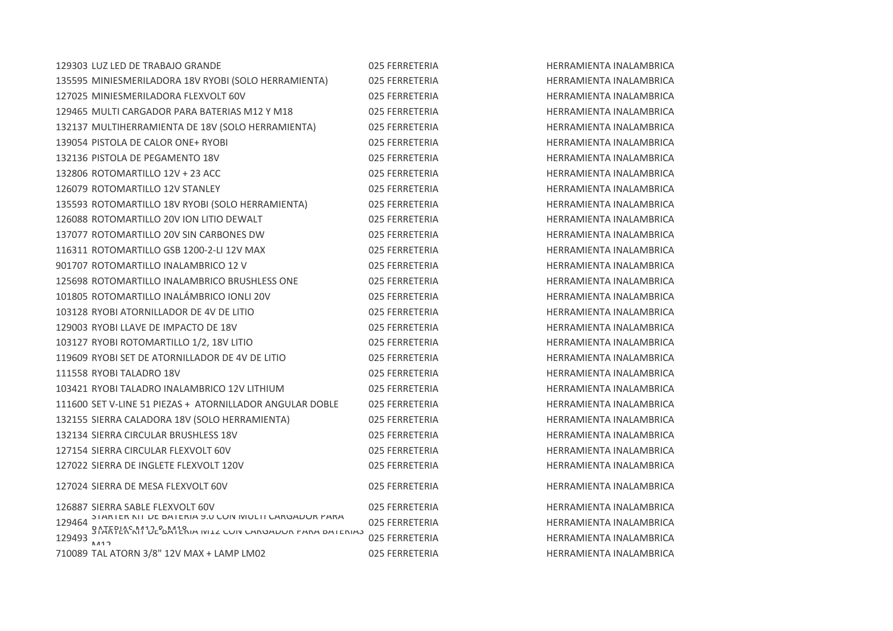|        | 129303 LUZ LED DE TRABAJO GRANDE                                                                                                             | 025 FERRETERIA |
|--------|----------------------------------------------------------------------------------------------------------------------------------------------|----------------|
|        | 135595 MINIESMERILADORA 18V RYOBI (SOLO HERRAMIENTA)                                                                                         | 025 FERRETERIA |
|        | 127025 MINIESMERILADORA FLEXVOLT 60V                                                                                                         | 025 FERRETERIA |
|        | 129465 MULTI CARGADOR PARA BATERIAS M12 Y M18                                                                                                | 025 FERRETERIA |
|        | 132137 MULTIHERRAMIENTA DE 18V (SOLO HERRAMIENTA)                                                                                            | 025 FERRETERIA |
|        | 139054 PISTOLA DE CALOR ONE+ RYOBI                                                                                                           | 025 FERRETERIA |
|        | 132136 PISTOLA DE PEGAMENTO 18V                                                                                                              | 025 FERRETERIA |
|        | 132806 ROTOMARTILLO 12V + 23 ACC                                                                                                             | 025 FERRETERIA |
|        | 126079 ROTOMARTILLO 12V STANLEY                                                                                                              | 025 FERRETERIA |
|        | 135593 ROTOMARTILLO 18V RYOBI (SOLO HERRAMIENTA)                                                                                             | 025 FERRETERIA |
|        | 126088 ROTOMARTILLO 20V ION LITIO DEWALT                                                                                                     | 025 FERRETERIA |
|        | 137077 ROTOMARTILLO 20V SIN CARBONES DW                                                                                                      | 025 FERRETERIA |
|        | 116311 ROTOMARTILLO GSB 1200-2-LI 12V MAX                                                                                                    | 025 FERRETERIA |
|        | 901707 ROTOMARTILLO INALAMBRICO 12 V                                                                                                         | 025 FERRETERIA |
|        | 125698 ROTOMARTILLO INALAMBRICO BRUSHLESS ONE                                                                                                | 025 FERRETERIA |
|        | 101805 ROTOMARTILLO INALÁMBRICO IONLI 20V                                                                                                    | 025 FERRETERIA |
|        | 103128 RYOBI ATORNILLADOR DE 4V DE LITIO                                                                                                     | 025 FERRETERIA |
|        | 129003 RYOBLITAVE DE IMPACTO DE 18V                                                                                                          | 025 FERRETERIA |
|        | 103127 RYOBI ROTOMARTILLO 1/2, 18V LITIO                                                                                                     | 025 FERRETERIA |
|        | 119609 RYOBI SET DE ATORNILLADOR DE 4V DE LITIO                                                                                              | 025 FERRETERIA |
|        | 111558 RYOBI TALADRO 18V                                                                                                                     | 025 FERRETERIA |
|        | 103421 RYOBI TALADRO INALAMBRICO 12V LITHIUM                                                                                                 | 025 FERRETERIA |
|        | 111600 SET V-LINE 51 PIEZAS + ATORNILLADOR ANGULAR DOBLE                                                                                     | 025 FERRETERIA |
|        | 132155 SIERRA CALADORA 18V (SOLO HERRAMIENTA)                                                                                                | 025 FERRETERIA |
|        | 132134 SIERRA CIRCULAR BRUSHLESS 18V                                                                                                         | 025 FERRETERIA |
|        | 127154 SIERRA CIRCULAR FLEXVOLT 60V                                                                                                          | 025 FERRETERIA |
|        | 127022 SIERRA DE INGLETE FLEXVOLT 120V                                                                                                       | 025 FERRETERIA |
|        | 127024 SIERRA DE MESA FLEXVOLT 60V                                                                                                           | 025 FERRETERIA |
|        | 126887 SIERRA SABLE FLEXVOLT 60V                                                                                                             | 025 FERRETERIA |
|        | 129464 STANTER NT DE BATENIA SU CON IVIOLIT CANGADON PANA<br>BATEDIAC M412 & M419<br>STARTER KIT DE BATERIA IVILZ CON CARGADOR PARA BATERIAS | 025 FERRETERIA |
| 129493 |                                                                                                                                              | 025 FERRETERIA |
|        | 710089 TAL ATORN 3/8" 12V MAX + LAMP LM02                                                                                                    | 025 FERRETERIA |

HERRAMIENTA INALAMBRICA **HERRAMIENTA INALAMBRICA** HERRAMIENTA INALAMBRICA HERRAMIENTA INALAMBRICA **HERRAMIENTA INALAMBRICA HERRAMIENTA INALAMBRICA HERRAMIENTA INALAMBRICA** HERRAMIENTA INALAMBRICA 126079 ROTOMARTILLO 12V STANLEY 025 FERRETERIA HERRAMIENTA INALAMBRICA 135593 ROTOMARTILLO 18V RYOBI (SOLO HERRAMIENTA) 025 FERRETERIA HERRAMIENTA INALAMBRICA HERRAMIENTA INALAMBRICA HERRAMIENTA INALAMBRICA 116311 ROTOMARTILLO GSB 1200-2-LI 12V MAX 025 FERRETERIA HERRAMIENTA INALAMBRICA HERRAMIENTA INALAMBRICA **HERRAMIENTA INALAMBRICA** HERRAMIENTA INALAMBRICA HERRAMIENTA INALAMBRICA **HERRAMIENTA INALAMBRICA HERRAMIENTA INALAMBRICA HERRAMIENTA INALAMBRICA** 111558 RYOBI TALADRO 18V 025 FERRETERIA HERRAMIENTA INALAMBRICA HERRAMIENTA INALAMBRICA HERRAMIENTA INALAMBRICA HERRAMIENTA INALAMBRICA **HERRAMIENTA INALAMBRICA HERRAMIENTA INALAMBRICA** HERRAMIENTA INALAMBRICA **HERRAMIENTA INALAMBRICA** HERRAMIENTA INALAMBRICA 025 FERRETERIA HERRAMIENTA INALAMBRICA 025 FERRETERIA HERRAMIENTA INALAMBRICA HERRAMIENTA INALAMBRICA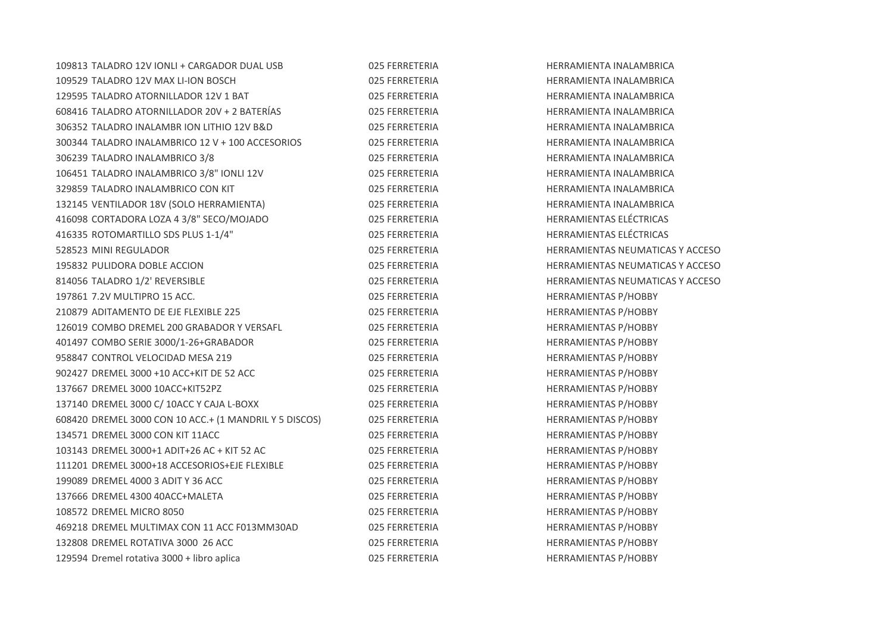| 109813 TALADRO 12V IONLI + CARGADOR DUAL USB           | 025 FERRET |
|--------------------------------------------------------|------------|
| 109529 TALADRO 12V MAX LI-ION BOSCH                    | 025 FERRET |
| 129595 TALADRO ATORNILLADOR 12V 1 BAT                  | 025 FERRET |
| 608416 TALADRO ATORNILLADOR 20V + 2 BATERÍAS           | 025 FERRET |
| 306352 TALADRO INALAMBR ION LITHIO 12V B&D             | 025 FERRET |
| 300344 TALADRO INALAMBRICO 12 V + 100 ACCESORIOS       | 025 FERRET |
| 306239 TALADRO INALAMBRICO 3/8                         | 025 FERRET |
| 106451 TALADRO INALAMBRICO 3/8" IONLI 12V              | 025 FERRET |
| 329859 TALADRO INALAMBRICO CON KIT                     | 025 FERRET |
| 132145 VENTILADOR 18V (SOLO HERRAMIENTA)               | 025 FERRET |
| 416098 CORTADORA LOZA 4 3/8" SECO/MOJADO               | 025 FERRET |
| 416335 ROTOMARTILLO SDS PLUS 1-1/4"                    | 025 FERRET |
| 528523 MINI REGULADOR                                  | 025 FERRET |
| 195832 PULIDORA DOBLE ACCION                           | 025 FERRET |
| 814056 TALADRO 1/2' REVERSIBLE                         | 025 FERRET |
| 197861 7.2V MULTIPRO 15 ACC.                           | 025 FERRET |
| 210879 ADITAMENTO DE EJE FLEXIBLE 225                  | 025 FERRET |
| 126019 COMBO DREMEL 200 GRABADOR Y VERSAFL             | 025 FERRET |
| 401497 COMBO SERIE 3000/1-26+GRABADOR                  | 025 FERRET |
| 958847 CONTROL VELOCIDAD MESA 219                      | 025 FERRET |
| 902427 DREMEL 3000 +10 ACC+KIT DE 52 ACC               | 025 FERRET |
| 137667 DREMEL 3000 10ACC+KIT52PZ                       | 025 FERRET |
| 137140 DREMEL 3000 C/ 10ACC Y CAJA L-BOXX              | 025 FERRET |
| 608420 DREMEL 3000 CON 10 ACC.+ (1 MANDRIL Y 5 DISCOS) | 025 FERRET |
| 134571 DREMEL 3000 CON KIT 11ACC                       | 025 FERRET |
| 103143 DREMEL 3000+1 ADIT+26 AC + KIT 52 AC            | 025 FERRET |
| 111201 DREMEL 3000+18 ACCESORIOS+EJE FLEXIBLE          | 025 FERRET |
| 199089 DREMEL 4000 3 ADIT Y 36 ACC                     | 025 FERRET |
| 137666 DREMEL 4300 40ACC+MALETA                        | 025 FERRET |
| 108572 DREMEL MICRO 8050                               | 025 FERRET |
| 469218 DREMEL MULTIMAX CON 11 ACC F013MM30AD           | 025 FERRET |
| 132808 DREMEL ROTATIVA 3000 26 ACC                     | 025 FERRET |
| 129594 Dremel rotativa 3000 + libro aplica             | 025 FERRET |

TERIA 109813 TALADRO 12098 HERRAMIENTA INALAMBRICA 10952 TERIA TERIA 1295 TERRAMIENTA INALAMBRICA FERIA TERRAMIENTA INALAMBRICA TERIA 3063 TALADRO INALAMBRICA 1206 FERRAMIENTA INALAMBRICA TERIA 10034 TALADRO 12 JUNIOR 12 JUNIOR 12 JUNIOR 12 V 100 ACCESSORIO 12 V 100 ACCESSORIO 12 JUNIOR 12 V 100 A TERIA 3062 TALADRO INALAMBRICA 37 HERRAMIENTA INALAMBRICA TERIA 10645 TERRAMIENTA INALAMBRICA TERIA 3298 TERRAMIENTA INALAMBRICA TERIA 1322 TERRAMIENTA INALAMBRICA 416098 CORTADORA LOZA 4 3/8" SECO/MOJADO 025 FERRETERIA HERRAMIENTAS ELÉCTRICAS TERIA 11633 ROTOMARTILLO SOS PLUS 1-10 HERRAMIENTAS ELÉCTRICAS FERIA ETA SERRETERIA HERRAMIENTAS NEUMATICAS Y ACCESO TERIA 19583 PULIDORA DO HERRAMIENTAS NEUMATICAS Y ACCESO TERIA 615056 TERRAMIENTAS NEUMATICAS Y ACCESO TERIA 19786 TERRAMIENTAS P/HOBBY **211087 TERIA** ADITAMENTAS P/HOBBY TERIA 1260 COMBO DREMEL 200 HERRAMIENTAS P/HOBBY 401497 COMBO SERIE 3000/1-26+GRABADOR 025 FERRETERIA HERRAMIENTAS P/HOBBY TERIA PERRAMIENTAS P/HOBBY ERIA 90227 DREMEL 3000 HERRAMIENTAS P/HOBBY TERIA 13766 DREMEL 3000 HERRAMIENTAS P/HOBBY TERIA 137140 DREMEL 3000 CONTRAMIENTAS P/HOBBY FERIA 10 ACC.+ (1 MANDRID 10 ACC.+ (1 MANDRID 10 ACC.+ (1 MANDRID 10 MANDRID 10 MANDRID 10 MANDRID 1 TERIA 1345 FERRAMIENTAS P/HOBBY 10314 TERIA DREMEL 3000-1 HERRAMIENTAS P/HOBBY TERIA 11120 DREMEL 3000-19 HERRAMIENTAS P/HOBBY TERIA 1990 DREMEL 4000 HERRAMIENTAS P/HOBBY TERIA 13766 DREMEL 4300 HERRAMIENTAS P/HOBBY TERIA 10850 DREMEL MERRAMIENTAS P/HOBBY TERIA DREMEL MULTIMAX PORT HERRAMIENTAS P/HOBBY TERIA 13280 DREMEL ROTATIVA 3000 HERRAMIENTAS P/HOBBY 129594 TERIA DREMEL ROTATIVA 3000 HERRAMIENTAS P/HOBBY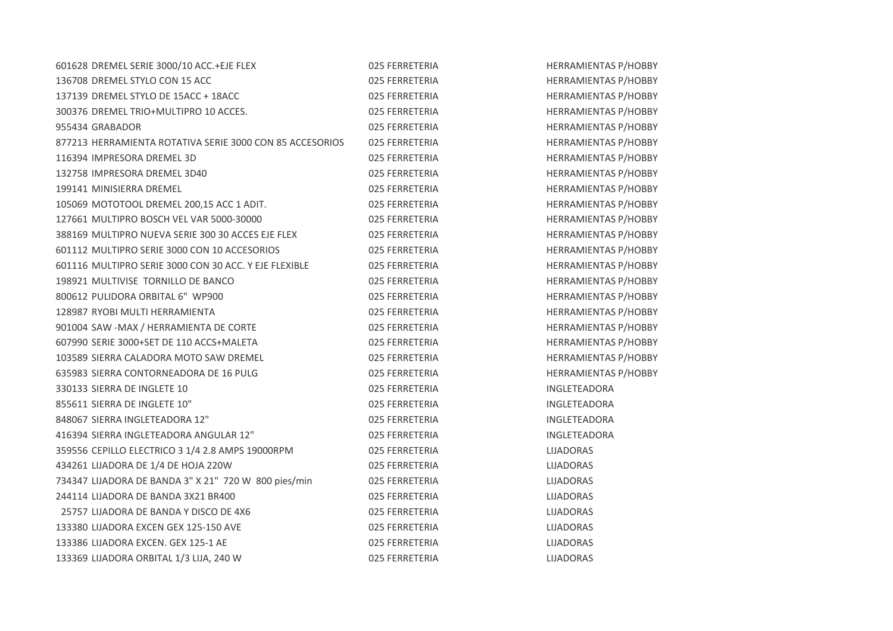| 601628 DREMEL SERIE 3000/10 ACC.+EJE FLEX                | 025 FERRETERIA | <b>HERRAMIENTAS P/HOBBY</b> |
|----------------------------------------------------------|----------------|-----------------------------|
| 136708 DREMEL STYLO CON 15 ACC                           | 025 FERRETERIA | <b>HERRAMIENTAS P/HOBBY</b> |
| 137139 DREMEL STYLO DE 15ACC + 18ACC                     | 025 FERRETERIA | HERRAMIENTAS P/HOBBY        |
| 300376 DREMEL TRIO+MULTIPRO 10 ACCES.                    | 025 FERRETERIA | <b>HERRAMIENTAS P/HOBBY</b> |
| 955434 GRABADOR                                          | 025 FERRETERIA | HERRAMIENTAS P/HOBBY        |
| 877213 HERRAMIENTA ROTATIVA SERIE 3000 CON 85 ACCESORIOS | 025 FERRETERIA | <b>HERRAMIENTAS P/HOBBY</b> |
| 116394 IMPRESORA DREMEL 3D                               | 025 FERRETERIA | <b>HERRAMIENTAS P/HOBBY</b> |
| 132758 IMPRESORA DREMEL 3D40                             | 025 FERRETERIA | HERRAMIENTAS P/HOBBY        |
| 199141 MINISIERRA DREMEL                                 | 025 FERRETERIA | HERRAMIENTAS P/HOBBY        |
| 105069 MOTOTOOL DREMEL 200,15 ACC 1 ADIT.                | 025 FERRETERIA | <b>HERRAMIENTAS P/HOBBY</b> |
| 127661 MULTIPRO BOSCH VEL VAR 5000-30000                 | 025 FERRETERIA | <b>HERRAMIENTAS P/HOBBY</b> |
| 388169 MULTIPRO NUEVA SERIE 300 30 ACCES EJE FLEX        | 025 FERRETERIA | HERRAMIENTAS P/HOBBY        |
| 601112 MULTIPRO SERIE 3000 CON 10 ACCESORIOS             | 025 FERRETERIA | HERRAMIENTAS P/HOBBY        |
| 601116 MULTIPRO SERIE 3000 CON 30 ACC. Y EJE FLEXIBLE    | 025 FERRETERIA | HERRAMIENTAS P/HOBBY        |
| 198921 MULTIVISE TORNILLO DE BANCO                       | 025 FERRETERIA | HERRAMIENTAS P/HOBBY        |
| 800612 PULIDORA ORBITAL 6" WP900                         | 025 FERRETERIA | <b>HERRAMIENTAS P/HOBBY</b> |
| 128987 RYOBI MULTI HERRAMIENTA                           | 025 FERRETERIA | HERRAMIENTAS P/HOBBY        |
| 901004 SAW -MAX / HERRAMIENTA DE CORTE                   | 025 FERRETERIA | <b>HERRAMIENTAS P/HOBBY</b> |
| 607990 SERIE 3000+SET DE 110 ACCS+MALETA                 | 025 FERRETERIA | <b>HERRAMIENTAS P/HOBBY</b> |
| 103589 SIERRA CALADORA MOTO SAW DREMEL                   | 025 FERRETERIA | <b>HERRAMIENTAS P/HOBBY</b> |
| 635983 SIERRA CONTORNEADORA DE 16 PULG                   | 025 FERRETERIA | HERRAMIENTAS P/HOBBY        |
| 330133 SIERRA DE INGLETE 10                              | 025 FERRETERIA | INGLETEADORA                |
| 855611 SIERRA DE INGLETE 10"                             | 025 FERRETERIA | INGLETEADORA                |
| 848067 SIERRA INGLETEADORA 12"                           | 025 FERRETERIA | INGLETEADORA                |
| 416394 SIERRA INGLETEADORA ANGULAR 12"                   | 025 FERRETERIA | <b>INGLETEADORA</b>         |
| 359556 CEPILLO ELECTRICO 3 1/4 2.8 AMPS 19000RPM         | 025 FERRETERIA | <b>LIJADORAS</b>            |
| 434261 LIJADORA DE 1/4 DE HOJA 220W                      | 025 FERRETERIA | <b>LIJADORAS</b>            |
| 734347 LIJADORA DE BANDA 3" X 21" 720 W 800 pies/min     | 025 FERRETERIA | <b>LIJADORAS</b>            |
| 244114 LIJADORA DE BANDA 3X21 BR400                      | 025 FERRETERIA | <b>LIJADORAS</b>            |
| 25757 LIJADORA DE BANDA Y DISCO DE 4X6                   | 025 FERRETERIA | LIJADORAS                   |
| 133380 LIJADORA EXCEN GEX 125-150 AVE                    | 025 FERRETERIA | <b>LIJADORAS</b>            |
| 133386 LIJADORA EXCEN. GEX 125-1 AE                      | 025 FERRETERIA | <b>LIJADORAS</b>            |
| 133369 LIJADORA ORBITAL 1/3 LIJA, 240 W                  | 025 FERRETERIA | <b>LIJADORAS</b>            |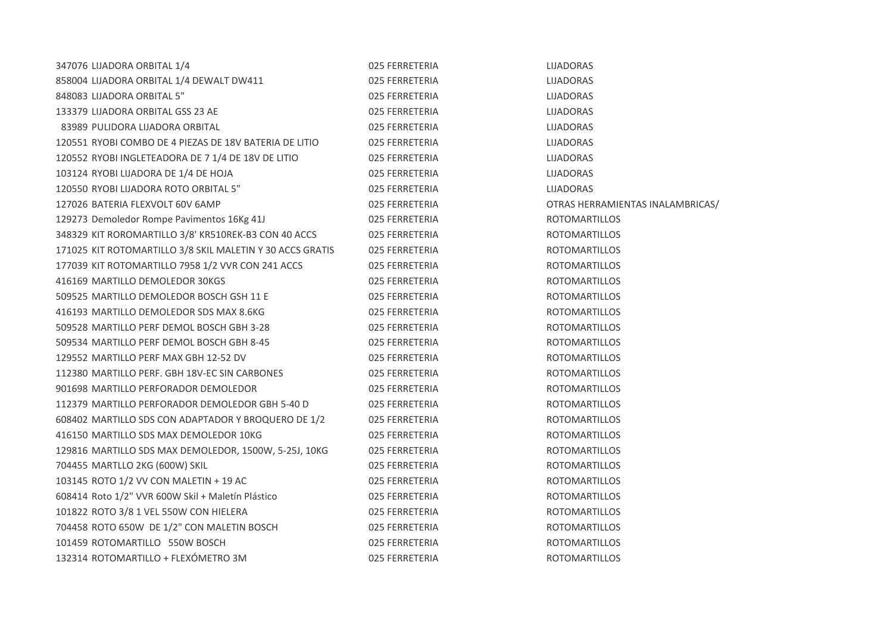| 347076 LIJADORA ORBITAL 1/4                               | 025 FERRETERIA | <b>LIJADORAS</b>                 |
|-----------------------------------------------------------|----------------|----------------------------------|
| 858004 LIJADORA ORBITAL 1/4 DEWALT DW411                  | 025 FERRETERIA | <b>LIJADORAS</b>                 |
| 848083 LIJADORA ORBITAL 5"                                | 025 FERRETERIA | LIJADORAS                        |
| 133379 LIJADORA ORBITAL GSS 23 AE                         | 025 FERRETERIA | LIJADORAS                        |
| 83989 PULIDORA LIJADORA ORBITAL                           | 025 FERRETERIA | <b>LIJADORAS</b>                 |
| 120551 RYOBI COMBO DE 4 PIEZAS DE 18V BATERIA DE LITIO    | 025 FERRETERIA | <b>LIJADORAS</b>                 |
| 120552 RYOBI INGLETEADORA DE 7 1/4 DE 18V DE LITIO        | 025 FERRETERIA | LIJADORAS                        |
| 103124 RYOBI LIJADORA DE 1/4 DE HOJA                      | 025 FERRETERIA | LIJADORAS                        |
| 120550 RYOBI LIJADORA ROTO ORBITAL 5"                     | 025 FERRETERIA | <b>LIJADORAS</b>                 |
| 127026 BATERIA FLEXVOLT 60V 6AMP                          | 025 FERRETERIA | OTRAS HERRAMIENTAS INALAMBRICAS/ |
| 129273 Demoledor Rompe Pavimentos 16Kg 41J                | 025 FERRETERIA | <b>ROTOMARTILLOS</b>             |
| 348329 KIT ROROMARTILLO 3/8' KR510REK-B3 CON 40 ACCS      | 025 FERRETERIA | <b>ROTOMARTILLOS</b>             |
| 171025 KIT ROTOMARTILLO 3/8 SKIL MALETIN Y 30 ACCS GRATIS | 025 FERRETERIA | <b>ROTOMARTILLOS</b>             |
| 177039 KIT ROTOMARTILLO 7958 1/2 VVR CON 241 ACCS         | 025 FERRETERIA | <b>ROTOMARTILLOS</b>             |
| 416169 MARTILLO DEMOLEDOR 30KGS                           | 025 FERRETERIA | <b>ROTOMARTILLOS</b>             |
| 509525 MARTILLO DEMOLEDOR BOSCH GSH 11 E                  | 025 FERRETERIA | <b>ROTOMARTILLOS</b>             |
| 416193 MARTILLO DEMOLEDOR SDS MAX 8.6KG                   | 025 FERRETERIA | <b>ROTOMARTILLOS</b>             |
| 509528 MARTILLO PERF DEMOL BOSCH GBH 3-28                 | 025 FERRETERIA | <b>ROTOMARTILLOS</b>             |
| 509534 MARTILLO PERF DEMOL BOSCH GBH 8-45                 | 025 FERRETERIA | <b>ROTOMARTILLOS</b>             |
| 129552 MARTILLO PERF MAX GBH 12-52 DV                     | 025 FERRETERIA | <b>ROTOMARTILLOS</b>             |
| 112380 MARTILLO PERF. GBH 18V-EC SIN CARBONES             | 025 FERRETERIA | <b>ROTOMARTILLOS</b>             |
| 901698 MARTILLO PERFORADOR DEMOLEDOR                      | 025 FERRETERIA | <b>ROTOMARTILLOS</b>             |
| 112379 MARTILLO PERFORADOR DEMOLEDOR GBH 5-40 D           | 025 FERRETERIA | <b>ROTOMARTILLOS</b>             |
| 608402 MARTILLO SDS CON ADAPTADOR Y BROQUERO DE 1/2       | 025 FERRETERIA | <b>ROTOMARTILLOS</b>             |
| 416150 MARTILLO SDS MAX DEMOLEDOR 10KG                    | 025 FERRETERIA | <b>ROTOMARTILLOS</b>             |
| 129816 MARTILLO SDS MAX DEMOLEDOR, 1500W, 5-25J, 10KG     | 025 FERRETERIA | <b>ROTOMARTILLOS</b>             |
| 704455 MARTLLO 2KG (600W) SKIL                            | 025 FERRETERIA | <b>ROTOMARTILLOS</b>             |
| 103145 ROTO 1/2 VV CON MALETIN + 19 AC                    | 025 FERRETERIA | <b>ROTOMARTILLOS</b>             |
| 608414 Roto 1/2" VVR 600W Skil + Maletín Plástico         | 025 FERRETERIA | <b>ROTOMARTILLOS</b>             |
| 101822 ROTO 3/8 1 VEL 550W CON HIELERA                    | 025 FERRETERIA | <b>ROTOMARTILLOS</b>             |
| 704458 ROTO 650W DE 1/2" CON MALETIN BOSCH                | 025 FERRETERIA | <b>ROTOMARTILLOS</b>             |
| 101459 ROTOMARTILLO 550W BOSCH                            | 025 FERRETERIA | <b>ROTOMARTILLOS</b>             |
| 132314 ROTOMARTILLO + FLEXÓMETRO 3M                       | 025 FERRETERIA | <b>ROTOMARTILLOS</b>             |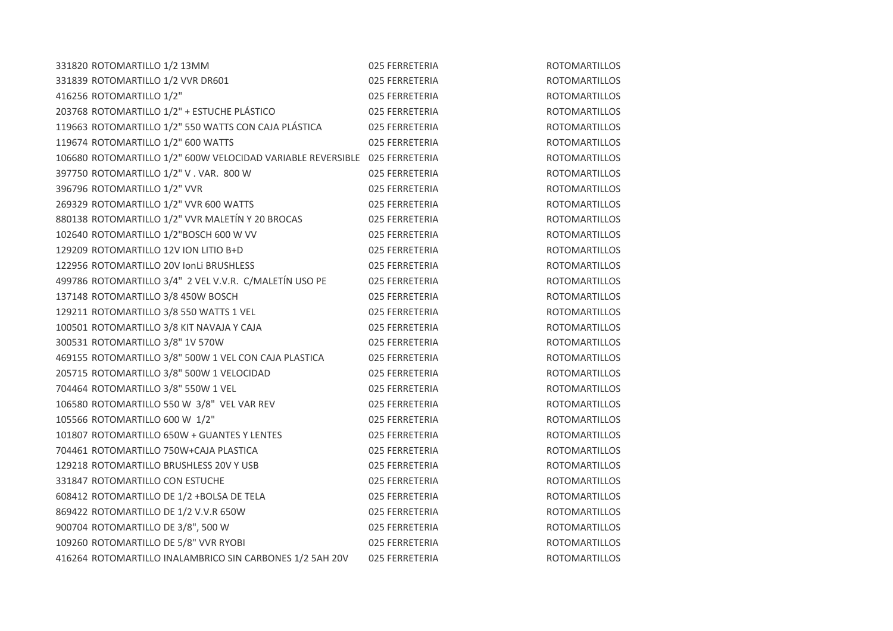| 331820 ROTOMARTILLO 1/2 13MM                                               | 025 FERRETERIA | <b>ROTOMARTILLOS</b> |
|----------------------------------------------------------------------------|----------------|----------------------|
| 331839 ROTOMARTILLO 1/2 VVR DR601                                          | 025 FERRETERIA | <b>ROTOMARTILLOS</b> |
| 416256 ROTOMARTILLO 1/2"                                                   | 025 FERRETERIA | <b>ROTOMARTILLOS</b> |
| 203768 ROTOMARTILLO 1/2" + ESTUCHE PLÁSTICO                                | 025 FERRETERIA | <b>ROTOMARTILLOS</b> |
| 119663 ROTOMARTILLO 1/2" 550 WATTS CON CAJA PLÁSTICA                       | 025 FERRETERIA | <b>ROTOMARTILLOS</b> |
| 119674 ROTOMARTILLO 1/2" 600 WATTS                                         | 025 FERRETERIA | <b>ROTOMARTILLOS</b> |
| 106680 ROTOMARTILLO 1/2" 600W VELOCIDAD VARIABLE REVERSIBLE 025 FERRETERIA |                | <b>ROTOMARTILLOS</b> |
| 397750 ROTOMARTILLO 1/2" V . VAR. 800 W                                    | 025 FERRETERIA | <b>ROTOMARTILLOS</b> |
| 396796 ROTOMARTILLO 1/2" VVR                                               | 025 FERRETERIA | <b>ROTOMARTILLOS</b> |
| 269329 ROTOMARTILLO 1/2" VVR 600 WATTS                                     | 025 FERRETERIA | <b>ROTOMARTILLOS</b> |
| 880138 ROTOMARTILLO 1/2" VVR MALETÍN Y 20 BROCAS                           | 025 FERRETERIA | <b>ROTOMARTILLOS</b> |
| 102640 ROTOMARTILLO 1/2"BOSCH 600 W VV                                     | 025 FERRETERIA | <b>ROTOMARTILLOS</b> |
| 129209 ROTOMARTILLO 12V ION LITIO B+D                                      | 025 FERRETERIA | <b>ROTOMARTILLOS</b> |
| 122956 ROTOMARTILLO 20V IonLi BRUSHLESS                                    | 025 FERRETERIA | <b>ROTOMARTILLOS</b> |
| 499786 ROTOMARTILLO 3/4" 2 VEL V.V.R. C/MALETÍN USO PE                     | 025 FERRETERIA | <b>ROTOMARTILLOS</b> |
| 137148 ROTOMARTILLO 3/8 450W BOSCH                                         | 025 FERRETERIA | <b>ROTOMARTILLOS</b> |
| 129211 ROTOMARTILLO 3/8 550 WATTS 1 VEL                                    | 025 FERRETERIA | <b>ROTOMARTILLOS</b> |
| 100501 ROTOMARTILLO 3/8 KIT NAVAJA Y CAJA                                  | 025 FERRETERIA | <b>ROTOMARTILLOS</b> |
| 300531 ROTOMARTILLO 3/8" 1V 570W                                           | 025 FERRETERIA | <b>ROTOMARTILLOS</b> |
| 469155 ROTOMARTILLO 3/8" 500W 1 VEL CON CAJA PLASTICA                      | 025 FERRETERIA | <b>ROTOMARTILLOS</b> |
| 205715 ROTOMARTILLO 3/8" 500W 1 VELOCIDAD                                  | 025 FERRETERIA | <b>ROTOMARTILLOS</b> |
| 704464 ROTOMARTILLO 3/8" 550W 1 VEL                                        | 025 FERRETERIA | <b>ROTOMARTILLOS</b> |
| 106580 ROTOMARTILLO 550 W 3/8" VEL VAR REV                                 | 025 FERRETERIA | <b>ROTOMARTILLOS</b> |
| 105566 ROTOMARTILLO 600 W 1/2"                                             | 025 FERRETERIA | <b>ROTOMARTILLOS</b> |
| 101807 ROTOMARTILLO 650W + GUANTES Y LENTES                                | 025 FERRETERIA | <b>ROTOMARTILLOS</b> |
| 704461 ROTOMARTILLO 750W+CAJA PLASTICA                                     | 025 FERRETERIA | <b>ROTOMARTILLOS</b> |
| 129218 ROTOMARTILLO BRUSHLESS 20V Y USB                                    | 025 FERRETERIA | <b>ROTOMARTILLOS</b> |
| 331847 ROTOMARTILLO CON ESTUCHE                                            | 025 FERRETERIA | <b>ROTOMARTILLOS</b> |
| 608412 ROTOMARTILLO DE 1/2 +BOLSA DE TELA                                  | 025 FERRETERIA | <b>ROTOMARTILLOS</b> |
| 869422 ROTOMARTILLO DE 1/2 V.V.R 650W                                      | 025 FERRETERIA | <b>ROTOMARTILLOS</b> |
| 900704 ROTOMARTILLO DE 3/8", 500 W                                         | 025 FERRETERIA | <b>ROTOMARTILLOS</b> |
| 109260 ROTOMARTILLO DE 5/8" VVR RYOBI                                      | 025 FERRETERIA | <b>ROTOMARTILLOS</b> |
| 416264 ROTOMARTILLO INALAMBRICO SIN CARBONES 1/2 5AH 20V                   | 025 FERRETERIA | <b>ROTOMARTILLOS</b> |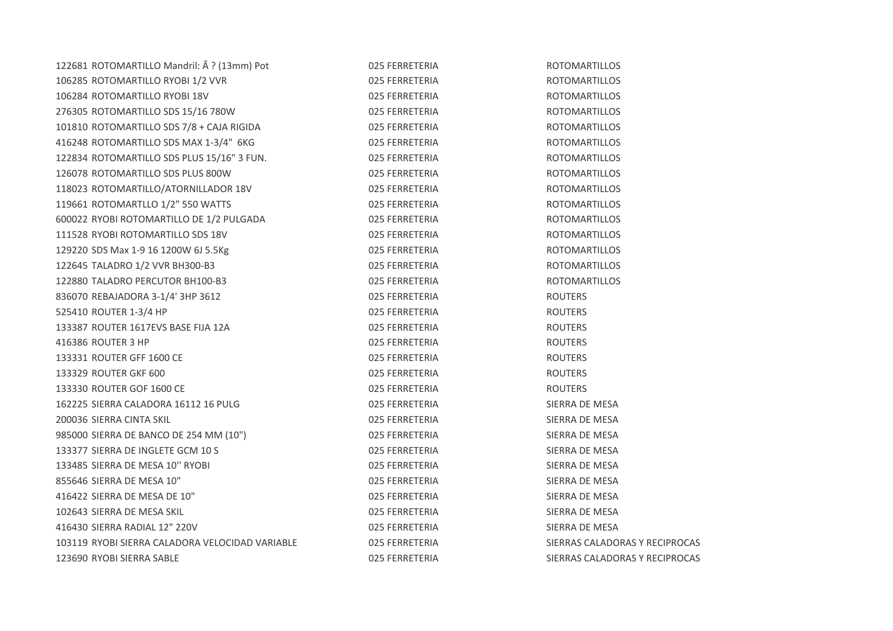| 122681 ROTOMARTILLO Mandril: Â ? (13mm) Pot     | 025 FERRETERIA | <b>ROTOMARTILLOS</b>           |
|-------------------------------------------------|----------------|--------------------------------|
| 106285 ROTOMARTILLO RYOBI 1/2 VVR               | 025 FERRETERIA | <b>ROTOMARTILLOS</b>           |
| 106284 ROTOMARTILLO RYOBI 18V                   | 025 FERRETERIA | <b>ROTOMARTILLOS</b>           |
| 276305 ROTOMARTILLO SDS 15/16 780W              | 025 FERRETERIA | <b>ROTOMARTILLOS</b>           |
| 101810 ROTOMARTILLO SDS 7/8 + CAJA RIGIDA       | 025 FERRETERIA | <b>ROTOMARTILLOS</b>           |
| 416248 ROTOMARTILLO SDS MAX 1-3/4" 6KG          | 025 FERRETERIA | <b>ROTOMARTILLOS</b>           |
| 122834 ROTOMARTILLO SDS PLUS 15/16" 3 FUN.      | 025 FERRETERIA | <b>ROTOMARTILLOS</b>           |
| 126078 ROTOMARTILLO SDS PLUS 800W               | 025 FERRETERIA | <b>ROTOMARTILLOS</b>           |
| 118023 ROTOMARTILLO/ATORNILLADOR 18V            | 025 FERRETERIA | <b>ROTOMARTILLOS</b>           |
| 119661 ROTOMARTLLO 1/2" 550 WATTS               | 025 FERRETERIA | <b>ROTOMARTILLOS</b>           |
| 600022 RYOBI ROTOMARTILLO DE 1/2 PULGADA        | 025 FERRETERIA | <b>ROTOMARTILLOS</b>           |
| 111528 RYOBI ROTOMARTILLO SDS 18V               | 025 FERRETERIA | <b>ROTOMARTILLOS</b>           |
| 129220 SDS Max 1-9 16 1200W 6J 5.5Kg            | 025 FERRETERIA | <b>ROTOMARTILLOS</b>           |
| 122645 TALADRO 1/2 VVR BH300-B3                 | 025 FERRETERIA | <b>ROTOMARTILLOS</b>           |
| 122880 TALADRO PERCUTOR BH100-B3                | 025 FERRETERIA | <b>ROTOMARTILLOS</b>           |
| 836070 REBAJADORA 3-1/4' 3HP 3612               | 025 FERRETERIA | <b>ROUTERS</b>                 |
| 525410 ROUTER 1-3/4 HP                          | 025 FERRETERIA | <b>ROUTERS</b>                 |
| 133387 ROUTER 1617EVS BASE FIJA 12A             | 025 FERRETERIA | <b>ROUTERS</b>                 |
| 416386 ROUTER 3 HP                              | 025 FERRETERIA | <b>ROUTERS</b>                 |
| 133331 ROUTER GFF 1600 CE                       | 025 FERRETERIA | <b>ROUTERS</b>                 |
| 133329 ROUTER GKF 600                           | 025 FERRETERIA | <b>ROUTERS</b>                 |
| 133330 ROUTER GOF 1600 CE                       | 025 FERRETERIA | <b>ROUTERS</b>                 |
| 162225 SIERRA CALADORA 16112 16 PULG            | 025 FERRETERIA | SIERRA DE MESA                 |
| 200036 SIERRA CINTA SKIL                        | 025 FERRETERIA | SIERRA DE MESA                 |
| 985000 SIERRA DE BANCO DE 254 MM (10")          | 025 FERRETERIA | SIERRA DE MESA                 |
| 133377 SIERRA DE INGLETE GCM 10 S               | 025 FERRETERIA | SIERRA DE MESA                 |
| 133485 SIERRA DE MESA 10" RYOBI                 | 025 FERRETERIA | SIERRA DE MESA                 |
| 855646 SIERRA DE MESA 10"                       | 025 FERRETERIA | SIERRA DE MESA                 |
| 416422 SIERRA DE MESA DE 10"                    | 025 FERRETERIA | SIERRA DE MESA                 |
| 102643 SIERRA DE MESA SKIL                      | 025 FERRETERIA | SIERRA DE MESA                 |
| 416430 SIERRA RADIAL 12" 220V                   | 025 FERRETERIA | SIERRA DE MESA                 |
| 103119 RYOBI SIERRA CALADORA VELOCIDAD VARIABLE | 025 FERRETERIA | SIERRAS CALADORAS Y RECIPROCAS |
| 123690 RYOBI SIERRA SABLE                       | 025 FERRETERIA | SIERRAS CALADORAS Y RECIPROCAS |
|                                                 |                |                                |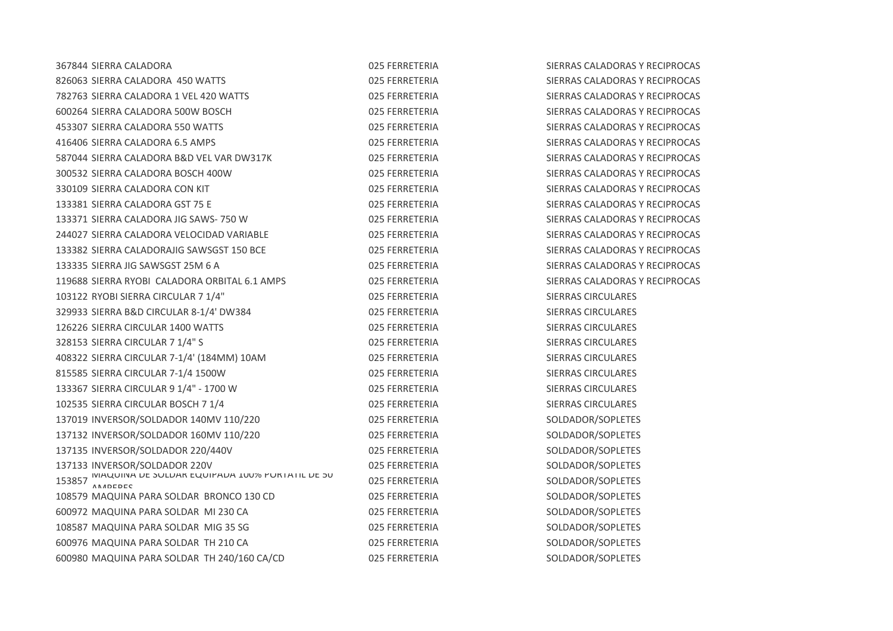| 367844 SIERRA CALADORA                                | 025 FERRETERIA | SIERRAS CALADORAS Y RECIPROCAS |
|-------------------------------------------------------|----------------|--------------------------------|
| 826063 SIERRA CALADORA 450 WATTS                      | 025 FERRETERIA | SIERRAS CALADORAS Y RECIPROCAS |
| 782763 SIERRA CALADORA 1 VEL 420 WATTS                | 025 FERRETERIA | SIERRAS CALADORAS Y RECIPROCAS |
| 600264 SIERRA CALADORA 500W BOSCH                     | 025 FERRETERIA | SIERRAS CALADORAS Y RECIPROCAS |
| 453307 SIERRA CALADORA 550 WATTS                      | 025 FERRETERIA | SIERRAS CALADORAS Y RECIPROCAS |
| 416406 SIERRA CALADORA 6.5 AMPS                       | 025 FERRETERIA | SIERRAS CALADORAS Y RECIPROCAS |
| 587044 SIERRA CALADORA B&D VEL VAR DW317K             | 025 FERRETERIA | SIERRAS CALADORAS Y RECIPROCAS |
| 300532 SIERRA CALADORA BOSCH 400W                     | 025 FERRETERIA | SIERRAS CALADORAS Y RECIPROCAS |
| 330109 SIERRA CALADORA CON KIT                        | 025 FERRETERIA | SIERRAS CALADORAS Y RECIPROCAS |
| 133381 SIERRA CALADORA GST 75 E                       | 025 FERRETERIA | SIERRAS CALADORAS Y RECIPROCAS |
| 133371 SIERRA CALADORA JIG SAWS-750 W                 | 025 FERRETERIA | SIERRAS CALADORAS Y RECIPROCAS |
| 244027 SIERRA CALADORA VELOCIDAD VARIABLE             | 025 FERRETERIA | SIERRAS CALADORAS Y RECIPROCAS |
| 133382 SIERRA CALADORAJIG SAWSGST 150 BCE             | 025 FERRETERIA | SIERRAS CALADORAS Y RECIPROCAS |
| 133335 SIERRA JIG SAWSGST 25M 6 A                     | 025 FERRETERIA | SIERRAS CALADORAS Y RECIPROCAS |
| 119688 SIERRA RYOBI CALADORA ORBITAL 6.1 AMPS         | 025 FERRETERIA | SIERRAS CALADORAS Y RECIPROCAS |
| 103122 RYOBI SIERRA CIRCULAR 7 1/4"                   | 025 FERRETERIA | SIERRAS CIRCULARES             |
| 329933 SIERRA B&D CIRCULAR 8-1/4' DW384               | 025 FERRETERIA | SIERRAS CIRCULARES             |
| 126226 SIERRA CIRCULAR 1400 WATTS                     | 025 FERRETERIA | SIERRAS CIRCULARES             |
| 328153 SIERRA CIRCULAR 7 1/4" S                       | 025 FERRETERIA | <b>SIERRAS CIRCULARES</b>      |
| 408322 SIERRA CIRCULAR 7-1/4' (184MM) 10AM            | 025 FERRETERIA | SIERRAS CIRCULARES             |
| 815585 SIERRA CIRCULAR 7-1/4 1500W                    | 025 FERRETERIA | SIERRAS CIRCULARES             |
| 133367 SIERRA CIRCULAR 9 1/4" - 1700 W                | 025 FERRETERIA | <b>SIERRAS CIRCULARES</b>      |
| 102535 SIERRA CIRCULAR BOSCH 7 1/4                    | 025 FERRETERIA | SIERRAS CIRCULARES             |
| 137019 INVERSOR/SOLDADOR 140MV 110/220                | 025 FERRETERIA | SOLDADOR/SOPLETES              |
| 137132 INVERSOR/SOLDADOR 160MV 110/220                | 025 FERRETERIA | SOLDADOR/SOPLETES              |
| 137135 INVERSOR/SOLDADOR 220/440V                     | 025 FERRETERIA | SOLDADOR/SOPLETES              |
| 137133 INVERSOR/SOLDADOR 220V                         | 025 FERRETERIA | SOLDADOR/SOPLETES              |
| 153857 MAQUINA DE SULDAR EQUIPADA 100% PURTATIL DE SU | 025 FERRETERIA | SOLDADOR/SOPLETES              |
| 108579 MAQUINA PARA SOLDAR BRONCO 130 CD              | 025 FERRETERIA | SOLDADOR/SOPLETES              |
| 600972 MAQUINA PARA SOLDAR MI 230 CA                  | 025 FERRETERIA | SOLDADOR/SOPLETES              |
| 108587 MAQUINA PARA SOLDAR MIG 35 SG                  | 025 FERRETERIA | SOLDADOR/SOPLETES              |
| 600976 MAQUINA PARA SOLDAR TH 210 CA                  | 025 FERRETERIA | SOLDADOR/SOPLETES              |
| 600980 MAQUINA PARA SOLDAR TH 240/160 CA/CD           | 025 FERRETERIA | SOLDADOR/SOPLETES              |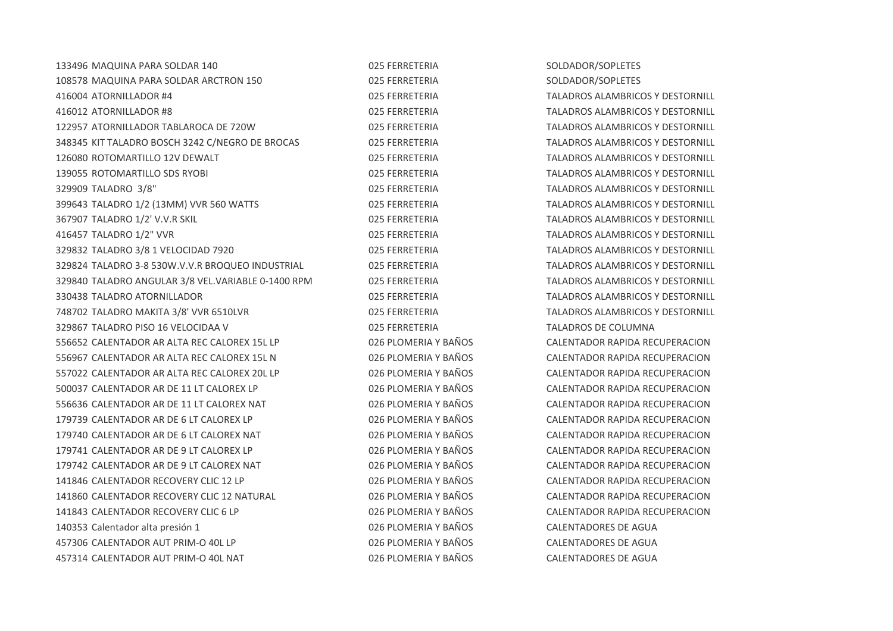| 133496 MAQUINA PARA SOLDAR 140                     | 025 FERRETERIA       | SOLDADOR/SOPLETES                       |
|----------------------------------------------------|----------------------|-----------------------------------------|
| 108578 MAQUINA PARA SOLDAR ARCTRON 150             | 025 FERRETERIA       | SOLDADOR/SOPLETES                       |
| 416004 ATORNILLADOR #4                             | 025 FERRETERIA       | TALADROS ALAMBRICOS Y DESTORNILL        |
| 416012 ATORNILLADOR #8                             | 025 FERRETERIA       | <b>TALADROS ALAMBRICOS Y DESTORNILL</b> |
| 122957 ATORNILLADOR TABLAROCA DE 720W              | 025 FERRETERIA       | TALADROS ALAMBRICOS Y DESTORNILL        |
| 348345 KIT TALADRO BOSCH 3242 C/NEGRO DE BROCAS    | 025 FERRETERIA       | TALADROS ALAMBRICOS Y DESTORNILL        |
| 126080 ROTOMARTILLO 12V DEWALT                     | 025 FERRETERIA       | TALADROS ALAMBRICOS Y DESTORNILL        |
| 139055 ROTOMARTILLO SDS RYOBI                      | 025 FERRETERIA       | TALADROS ALAMBRICOS Y DESTORNILL        |
| 329909 TALADRO 3/8"                                | 025 FERRETERIA       | TALADROS ALAMBRICOS Y DESTORNILL        |
| 399643 TALADRO 1/2 (13MM) VVR 560 WATTS            | 025 FERRETERIA       | TALADROS ALAMBRICOS Y DESTORNILL        |
| 367907 TALADRO 1/2' V.V.R SKIL                     | 025 FERRETERIA       | TALADROS ALAMBRICOS Y DESTORNILL        |
| 416457 TALADRO 1/2" VVR                            | 025 FERRETERIA       | TALADROS ALAMBRICOS Y DESTORNILL        |
| 329832 TALADRO 3/8 1 VELOCIDAD 7920                | 025 FERRETERIA       | TALADROS ALAMBRICOS Y DESTORNILL        |
| 329824 TALADRO 3-8 530W.V.V.R BROQUEO INDUSTRIAL   | 025 FERRETERIA       | TALADROS ALAMBRICOS Y DESTORNILL        |
| 329840 TALADRO ANGULAR 3/8 VEL.VARIABLE 0-1400 RPM | 025 FERRETERIA       | TALADROS ALAMBRICOS Y DESTORNILL        |
| 330438 TALADRO ATORNILLADOR                        | 025 FERRETERIA       | TALADROS ALAMBRICOS Y DESTORNILL        |
| 748702 TALADRO MAKITA 3/8' VVR 6510LVR             | 025 FERRETERIA       | TALADROS ALAMBRICOS Y DESTORNILL        |
| 329867 TALADRO PISO 16 VELOCIDAA V                 | 025 FERRETERIA       | TALADROS DE COLUMNA                     |
| 556652 CALENTADOR AR ALTA REC CALOREX 15L LP       | 026 PLOMERIA Y BAÑOS | CALENTADOR RAPIDA RECUPERACION          |
| 556967 CALENTADOR AR ALTA REC CALOREX 15L N        | 026 PLOMERIA Y BAÑOS | CALENTADOR RAPIDA RECUPERACION          |
| 557022 CALENTADOR AR ALTA REC CALOREX 20L LP       | 026 PLOMERIA Y BAÑOS | CALENTADOR RAPIDA RECUPERACION          |
| 500037 CALENTADOR AR DE 11 LT CALOREX LP           | 026 PLOMERIA Y BAÑOS | CALENTADOR RAPIDA RECUPERACION          |
| 556636 CALENTADOR AR DE 11 LT CALOREX NAT          | 026 PLOMERIA Y BAÑOS | CALENTADOR RAPIDA RECUPERACION          |
| 179739 CALENTADOR AR DE 6 LT CALOREX LP            | 026 PLOMERIA Y BAÑOS | CALENTADOR RAPIDA RECUPERACION          |
| 179740 CALENTADOR AR DE 6 LT CALOREX NAT           | 026 PLOMERIA Y BAÑOS | CALENTADOR RAPIDA RECUPERACION          |
| 179741 CALENTADOR AR DE 9 LT CALOREX LP            | 026 PLOMERIA Y BAÑOS | CALENTADOR RAPIDA RECUPERACION          |
| 179742 CALENTADOR AR DE 9 LT CALOREX NAT           | 026 PLOMERIA Y BAÑOS | CALENTADOR RAPIDA RECUPERACION          |
| 141846 CALENTADOR RECOVERY CLIC 12 LP              | 026 PLOMERIA Y BAÑOS | CALENTADOR RAPIDA RECUPERACION          |
| 141860 CALENTADOR RECOVERY CLIC 12 NATURAL         | 026 PLOMERIA Y BAÑOS | CALENTADOR RAPIDA RECUPERACION          |
| 141843 CALENTADOR RECOVERY CLIC 6 LP               | 026 PLOMERIA Y BAÑOS | CALENTADOR RAPIDA RECUPERACION          |
| 140353 Calentador alta presión 1                   | 026 PLOMERIA Y BAÑOS | <b>CALENTADORES DE AGUA</b>             |
| 457306 CALENTADOR AUT PRIM-O 40L LP                | 026 PLOMERIA Y BAÑOS | <b>CALENTADORES DE AGUA</b>             |
| 457314 CALENTADOR AUT PRIM-O 40L NAT               | 026 PLOMERIA Y BAÑOS | CALENTADORES DE AGUA                    |
|                                                    |                      |                                         |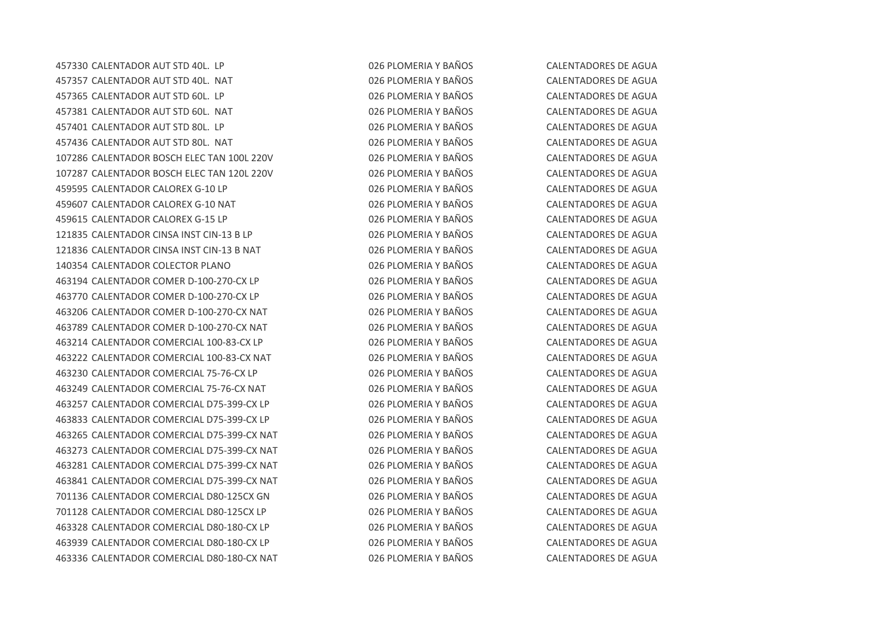CALENTADOR AUT STD 40L. LP 026 PLOMERIA Y BAÑOS CALENTADORES DE AGUA CALENTADOR AUT STD 40L. NAT 026 PLOMERIA Y BAÑOS CALENTADORES DE AGUA CALENTADOR AUT STD 60L. LP 026 PLOMERIA Y BAÑOS CALENTADORES DE AGUA CALENTADOR AUT STD 60L. NAT 026 PLOMERIA Y BAÑOS CALENTADORES DE AGUA CALENTADOR AUT STD 80L. LP 026 PLOMERIA Y BAÑOS CALENTADORES DE AGUA CALENTADOR AUT STD 80L. NAT 026 PLOMERIA Y BAÑOS CALENTADORES DE AGUA CALENTADOR BOSCH ELEC TAN 100L 220V 026 PLOMERIA Y BAÑOS CALENTADORES DE AGUA CALENTADOR BOSCH ELEC TAN 120L 220V 026 PLOMERIA Y BAÑOS CALENTADORES DE AGUA CALENTADOR CALOREX G-10 LP 026 PLOMERIA Y BAÑOS CALENTADORES DE AGUA CALENTADOR CALOREX G-10 NAT 026 PLOMERIA Y BAÑOS CALENTADORES DE AGUA CALENTADOR CALOREX G-15 LP 026 PLOMERIA Y BAÑOS CALENTADORES DE AGUA CALENTADOR CINSA INST CIN-13 B LP 026 PLOMERIA Y BAÑOS CALENTADORES DE AGUA 121836 CALENTADOR CINSA INST CIN-13 B NAT 026 PLOMERIA Y BAÑOS CALENTADORES DE AGUA CALENTADOR COLECTOR PLANO 026 PLOMERIA Y BAÑOS CALENTADORES DE AGUA CALENTADOR COMER D-100-270-CX LP 026 PLOMERIA Y BAÑOS CALENTADORES DE AGUA CALENTADOR COMER D-100-270-CX LP 026 PLOMERIA Y BAÑOS CALENTADORES DE AGUA CALENTADOR COMER D-100-270-CX NAT 026 PLOMERIA Y BAÑOS CALENTADORES DE AGUA CALENTADOR COMER D-100-270-CX NAT 026 PLOMERIA Y BAÑOS CALENTADORES DE AGUA CALENTADOR COMERCIAL 100-83-CX LP 026 PLOMERIA Y BAÑOS CALENTADORES DE AGUA CALENTADOR COMERCIAL 100-83-CX NAT 026 PLOMERIA Y BAÑOS CALENTADORES DE AGUA CALENTADOR COMERCIAL 75-76-CX LP 026 PLOMERIA Y BAÑOS CALENTADORES DE AGUA CALENTADOR COMERCIAL 75-76-CX NAT 026 PLOMERIA Y BAÑOS CALENTADORES DE AGUA CALENTADOR COMERCIAL D75-399-CX LP 026 PLOMERIA Y BAÑOS CALENTADORES DE AGUA CALENTADOR COMERCIAL D75-399-CX LP 026 PLOMERIA Y BAÑOS CALENTADORES DE AGUA CALENTADOR COMERCIAL D75-399-CX NAT 026 PLOMERIA Y BAÑOS CALENTADORES DE AGUA CALENTADOR COMERCIAL D75-399-CX NAT 026 PLOMERIA Y BAÑOS CALENTADORES DE AGUA CALENTADOR COMERCIAL D75-399-CX NAT 026 PLOMERIA Y BAÑOS CALENTADORES DE AGUA CALENTADOR COMERCIAL D75-399-CX NAT 026 PLOMERIA Y BAÑOS CALENTADORES DE AGUA CALENTADOR COMERCIAL D80-125CX GN 026 PLOMERIA Y BAÑOS CALENTADORES DE AGUA CALENTADOR COMERCIAL D80-125CX LP 026 PLOMERIA Y BAÑOS CALENTADORES DE AGUA CALENTADOR COMERCIAL D80-180-CX LP 026 PLOMERIA Y BAÑOS CALENTADORES DE AGUA CALENTADOR COMERCIAL D80-180-CX LP 026 PLOMERIA Y BAÑOS CALENTADORES DE AGUA CALENTADOR COMERCIAL D80-180-CX NAT 026 PLOMERIA Y BAÑOS CALENTADORES DE AGUA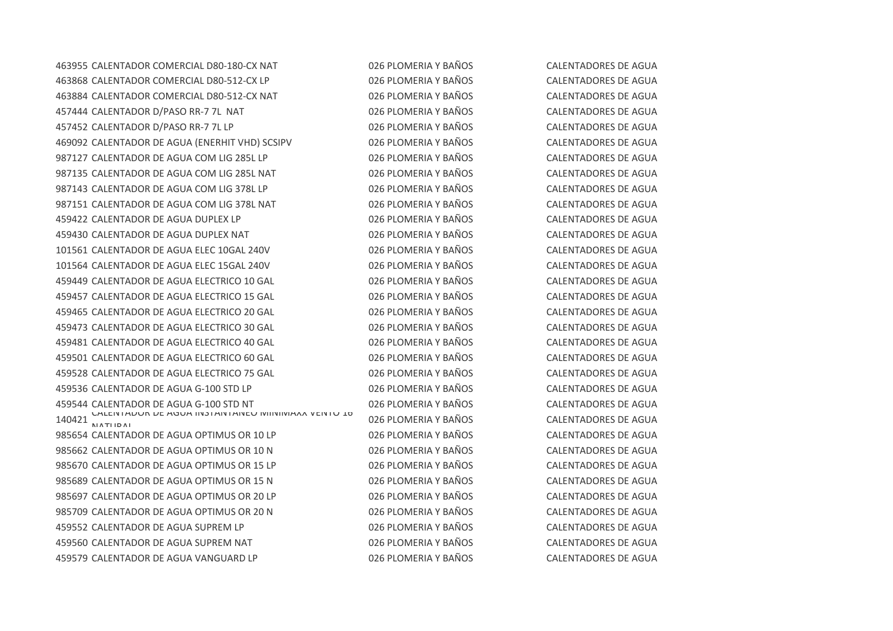CALENTADOR COMERCIAL D80-180-CX NAT 026 PLOMERIA Y BAÑOS CALENTADORES DE AGUA CALENTADOR COMERCIAL D80-512-CX LP 026 PLOMERIA Y BAÑOS CALENTADORES DE AGUA CALENTADOR COMERCIAL D80-512-CX NAT 026 PLOMERIA Y BAÑOS CALENTADORES DE AGUA 457444 CALENTADOR D/PASO RR-7 7L NAT  $026$  PLOMERIA Y BAÑOS CALENTADORES DE AGUA CALENTADOR D/PASO RR-7 7L LP 026 PLOMERIA Y BAÑOS CALENTADORES DE AGUA CALENTADOR DE AGUA (ENERHIT VHD) SCSIPV 026 PLOMERIA Y BAÑOS CALENTADORES DE AGUA CALENTADOR DE AGUA COM LIG 285L LP 026 PLOMERIA Y BAÑOS CALENTADORES DE AGUA CALENTADOR DE AGUA COM LIG 285L NAT 026 PLOMERIA Y BAÑOS CALENTADORES DE AGUA CALENTADOR DE AGUA COM LIG 378L LP 026 PLOMERIA Y BAÑOS CALENTADORES DE AGUA CALENTADOR DE AGUA COM LIG 378L NAT 026 PLOMERIA Y BAÑOS CALENTADORES DE AGUA CALENTADOR DE AGUA DUPLEX LP 026 PLOMERIA Y BAÑOS CALENTADORES DE AGUA CALENTADOR DE AGUA DUPLEX NAT 026 PLOMERIA Y BAÑOS CALENTADORES DE AGUA CALENTADOR DE AGUA ELEC 10GAL 240V 026 PLOMERIA Y BAÑOS CALENTADORES DE AGUA CALENTADOR DE AGUA ELEC 15GAL 240V 026 PLOMERIA Y BAÑOS CALENTADORES DE AGUA CALENTADOR DE AGUA ELECTRICO 10 GAL 026 PLOMERIA Y BAÑOS CALENTADORES DE AGUA CALENTADOR DE AGUA ELECTRICO 15 GAL 026 PLOMERIA Y BAÑOS CALENTADORES DE AGUA CALENTADOR DE AGUA ELECTRICO 20 GAL 026 PLOMERIA Y BAÑOS CALENTADORES DE AGUA CALENTADOR DE AGUA ELECTRICO 30 GAL 026 PLOMERIA Y BAÑOS CALENTADORES DE AGUA CALENTADOR DE AGUA ELECTRICO 40 GAL 026 PLOMERIA Y BAÑOS CALENTADORES DE AGUA CALENTADOR DE AGUA ELECTRICO 60 GAL 026 PLOMERIA Y BAÑOS CALENTADORES DE AGUA CALENTADOR DE AGUA ELECTRICO 75 GAL 026 PLOMERIA Y BAÑOS CALENTADORES DE AGUA CALENTADOR DE AGUA G-100 STD LP 026 PLOMERIA Y BAÑOS CALENTADORES DE AGUA CALENTADOR DE AGUA G-100 STD NT 026 PLOMERIA Y BAÑOS CALENTADORES DE AGUA CALENTADOR DE AGUA INSTANTANEO MINIMAXX VENTO 16 **NATUDAL** 985654 CALENTADOR DE AGUA OPTIMUS OR 10 LP 026 PLOMERIA Y BAÑOS CALENTADORES DE AGUA 985662 CALENTADOR DE AGUA OPTIMUS OR 10 N 026 PLOMERIA Y BAÑOS CALENTADORES DE AGUA CALENTADOR DE AGUA OPTIMUS OR 15 LP 026 PLOMERIA Y BAÑOS CALENTADORES DE AGUA CALENTADOR DE AGUA OPTIMUS OR 15 N 026 PLOMERIA Y BAÑOS CALENTADORES DE AGUA CALENTADOR DE AGUA OPTIMUS OR 20 LP 026 PLOMERIA Y BAÑOS CALENTADORES DE AGUA CALENTADOR DE AGUA OPTIMUS OR 20 N 026 PLOMERIA Y BAÑOS CALENTADORES DE AGUA CALENTADOR DE AGUA SUPREM LP 026 PLOMERIA Y BAÑOS CALENTADORES DE AGUA CALENTADOR DE AGUA SUPREM NAT 026 PLOMERIA Y BAÑOS CALENTADORES DE AGUA CALENTADOR DE AGUA VANGUARD LP 026 PLOMERIA Y BAÑOS CALENTADORES DE AGUA

026 PLOMERIA Y BAÑOS CALENTADORES DE AGUA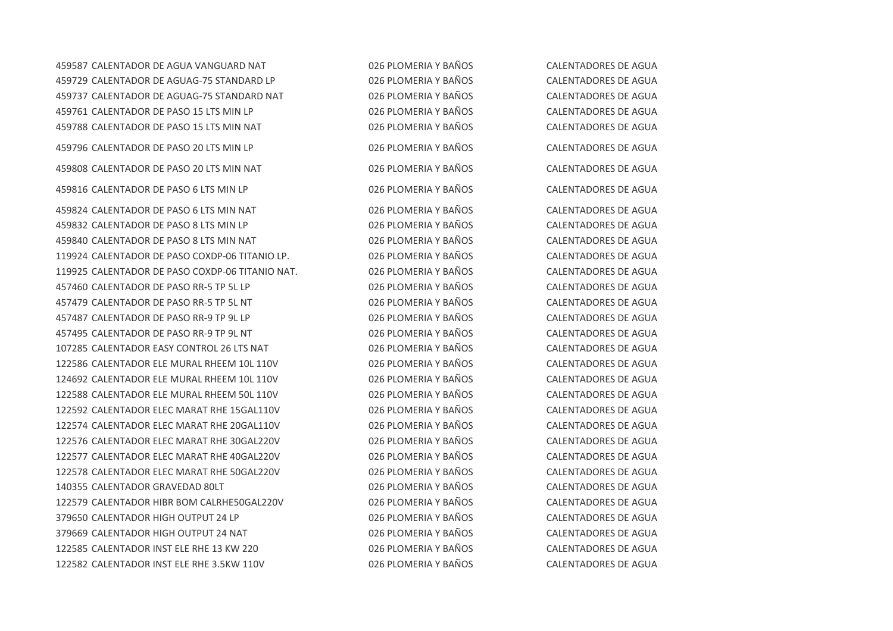CALENTADOR DE AGUA VANGUARD NAT 026 PLOMERIA Y BAÑOS CALENTADORES DE AGUA CALENTADOR DE AGUAG-75 STANDARD LP 026 PLOMERIA Y BAÑOS CALENTADORES DE AGUA CALENTADOR DE AGUAG-75 STANDARD NAT 026 PLOMERIA Y BAÑOS CALENTADORES DE AGUA CALENTADOR DE PASO 15 LTS MIN LP 026 PLOMERIA Y BAÑOS CALENTADORES DE AGUA CALENTADOR DE PASO 15 LTS MIN NAT 026 PLOMERIA Y BAÑOS CALENTADORES DE AGUA CALENTADOR DE PASO 20 LTS MIN LP 026 PLOMERIA Y BAÑOS CALENTADORES DE AGUA CALENTADOR DE PASO 20 LTS MIN NAT 026 PLOMERIA Y BAÑOS CALENTADORES DE AGUA CALENTADOR DE PASO 6 LTS MIN LP 026 PLOMERIA Y BAÑOS CALENTADORES DE AGUA CALENTADOR DE PASO 6 LTS MIN NAT 026 PLOMERIA Y BAÑOS CALENTADORES DE AGUA CALENTADOR DE PASO 8 LTS MIN LP 026 PLOMERIA Y BAÑOS CALENTADORES DE AGUA CALENTADOR DE PASO 8 LTS MIN NAT 026 PLOMERIA Y BAÑOS CALENTADORES DE AGUA CALENTADOR DE PASO COXDP-06 TITANIO LP. 026 PLOMERIA Y BAÑOS CALENTADORES DE AGUA CALENTADOR DE PASO COXDP-06 TITANIO NAT. 026 PLOMERIA Y BAÑOS CALENTADORES DE AGUA CALENTADOR DE PASO RR-5 TP 5L LP 026 PLOMERIA Y BAÑOS CALENTADORES DE AGUA CALENTADOR DE PASO RR-5 TP 5L NT 026 PLOMERIA Y BAÑOS CALENTADORES DE AGUA CALENTADOR DE PASO RR-9 TP 9L LP 026 PLOMERIA Y BAÑOS CALENTADORES DE AGUA CALENTADOR DE PASO RR-9 TP 9L NT 026 PLOMERIA Y BAÑOS CALENTADORES DE AGUA CALENTADOR EASY CONTROL 26 LTS NAT 026 PLOMERIA Y BAÑOS CALENTADORES DE AGUA CALENTADOR ELE MURAL RHEEM 10L 110V 026 PLOMERIA Y BAÑOS CALENTADORES DE AGUA CALENTADOR ELE MURAL RHEEM 10L 110V 026 PLOMERIA Y BAÑOS CALENTADORES DE AGUA CALENTADOR ELE MURAL RHEEM 50L 110V 026 PLOMERIA Y BAÑOS CALENTADORES DE AGUA CALENTADOR ELEC MARAT RHE 15GAL110V 026 PLOMERIA Y BAÑOS CALENTADORES DE AGUA CALENTADOR ELEC MARAT RHE 20GAL110V 026 PLOMERIA Y BAÑOS CALENTADORES DE AGUA CALENTADOR ELEC MARAT RHE 30GAL220V 026 PLOMERIA Y BAÑOS CALENTADORES DE AGUA CALENTADOR ELEC MARAT RHE 40GAL220V 026 PLOMERIA Y BAÑOS CALENTADORES DE AGUA CALENTADOR ELEC MARAT RHE 50GAL220V 026 PLOMERIA Y BAÑOS CALENTADORES DE AGUA CALENTADOR GRAVEDAD 80LT 026 PLOMERIA Y BAÑOS CALENTADORES DE AGUA CALENTADOR HIBR BOM CALRHE50GAL220V 026 PLOMERIA Y BAÑOS CALENTADORES DE AGUA 379650 CALENTADOR HIGH OUTPUT 24 LP 026 PLOMERIA Y BAÑOS CALENTADORES DE AGUA 379669 CALENTADOR HIGH OUTPUT 24 NAT 026 PLOMERIA Y BAÑOS CALENTADORES DE AGUA CALENTADOR INST ELE RHE 13 KW 220 026 PLOMERIA Y BAÑOS CALENTADORES DE AGUA CALENTADOR INST ELE RHE 3.5KW 110V 026 PLOMERIA Y BAÑOS CALENTADORES DE AGUA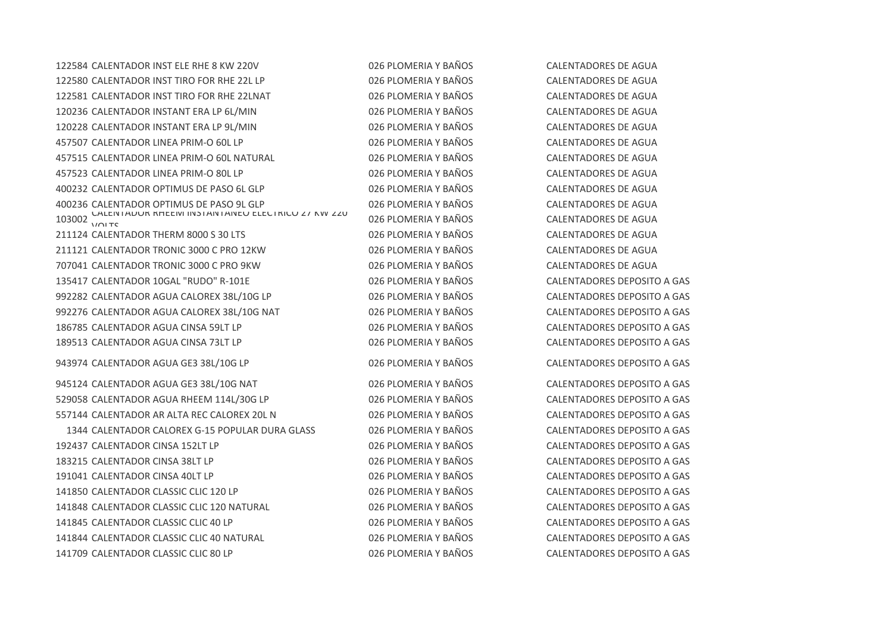CALENTADOR INST ELE RHE 8 KW 220V 026 PLOMERIA Y BAÑOS CALENTADORES DE AGUA CALENTADOR INST TIRO FOR RHE 22L LP 026 PLOMERIA Y BAÑOS CALENTADORES DE AGUA 122581 CALENTADOR INST TIRO FOR RHE 22LNAT 026 PLOMERIA Y BAÑOS CALENTADORES DE AGUA CALENTADOR INSTANT ERA LP 6L/MIN 026 PLOMERIA Y BAÑOS CALENTADORES DE AGUA CALENTADOR INSTANT ERA LP 9L/MIN 026 PLOMERIA Y BAÑOS CALENTADORES DE AGUA CALENTADOR LINEA PRIM-O 60L LP 026 PLOMERIA Y BAÑOS CALENTADORES DE AGUA CALENTADOR LINEA PRIM-O 60L NATURAL 026 PLOMERIA Y BAÑOS CALENTADORES DE AGUA CALENTADOR LINEA PRIM-O 80L LP 026 PLOMERIA Y BAÑOS CALENTADORES DE AGUA CALENTADOR OPTIMUS DE PASO 6L GLP 026 PLOMERIA Y BAÑOS CALENTADORES DE AGUA CALENTADOR OPTIMUS DE PASO 9L GLP 026 PLOMERIA Y BAÑOS CALENTADORES DE AGUA  $\frac{64}{101}$  TC CALENTADOR RHEEM INSTANTANEO ELECTRICO 27 KW 220 CALENTADOR THERM 8000 S 30 LTS 026 PLOMERIA Y BAÑOS CALENTADORES DE AGUA CALENTADOR TRONIC 3000 C PRO 12KW 026 PLOMERIA Y BAÑOS CALENTADORES DE AGUA CALENTADOR TRONIC 3000 C PRO 9KW 026 PLOMERIA Y BAÑOS CALENTADORES DE AGUA CALENTADOR 10GAL "RUDO" R-101E 026 PLOMERIA Y BAÑOS CALENTADORES DEPOSITO A GAS 992282 CALENTADOR AGUA CALOREX 38L/10G LP 026 PLOMERIA Y BAÑOS CALENTADORES DEPOSITO A GAS CALENTADOR AGUA CALOREX 38L/10G NAT 026 PLOMERIA Y BAÑOS CALENTADORES DEPOSITO A GAS CALENTADOR AGUA CINSA 59LT LP 026 PLOMERIA Y BAÑOS CALENTADORES DEPOSITO A GAS CALENTADOR AGUA CINSA 73LT LP 026 PLOMERIA Y BAÑOS CALENTADORES DEPOSITO A GAS CALENTADOR AGUA GE3 38L/10G LP 026 PLOMERIA Y BAÑOS CALENTADORES DEPOSITO A GAS CALENTADOR AGUA GE3 38L/10G NAT 026 PLOMERIA Y BAÑOS CALENTADORES DEPOSITO A GAS CALENTADOR AGUA RHEEM 114L/30G LP 026 PLOMERIA Y BAÑOS CALENTADORES DEPOSITO A GAS CALENTADOR AR ALTA REC CALOREX 20L N 026 PLOMERIA Y BAÑOS CALENTADORES DEPOSITO A GAS CALENTADOR CALOREX G-15 POPULAR DURA GLASS 026 PLOMERIA Y BAÑOS CALENTADORES DEPOSITO A GAS CALENTADOR CINSA 152LT LP 026 PLOMERIA Y BAÑOS CALENTADORES DEPOSITO A GAS CALENTADOR CINSA 38LT LP 026 PLOMERIA Y BAÑOS CALENTADORES DEPOSITO A GAS CALENTADOR CINSA 40LT LP 026 PLOMERIA Y BAÑOS CALENTADORES DEPOSITO A GAS CALENTADOR CLASSIC CLIC 120 LP 026 PLOMERIA Y BAÑOS CALENTADORES DEPOSITO A GAS CALENTADOR CLASSIC CLIC 120 NATURAL 026 PLOMERIA Y BAÑOS CALENTADORES DEPOSITO A GAS CALENTADOR CLASSIC CLIC 40 LP 026 PLOMERIA Y BAÑOS CALENTADORES DEPOSITO A GAS 141844 CALENTADOR CLASSIC CLIC 40 NATURAL 026 PLOMERIA Y BAÑOS CALENTADORES DEPOSITO A GAS CALENTADOR CLASSIC CLIC 80 LP 026 PLOMERIA Y BAÑOS CALENTADORES DEPOSITO A GAS

026 PLOMERIA Y BAÑOS CALENTADORES DE AGUA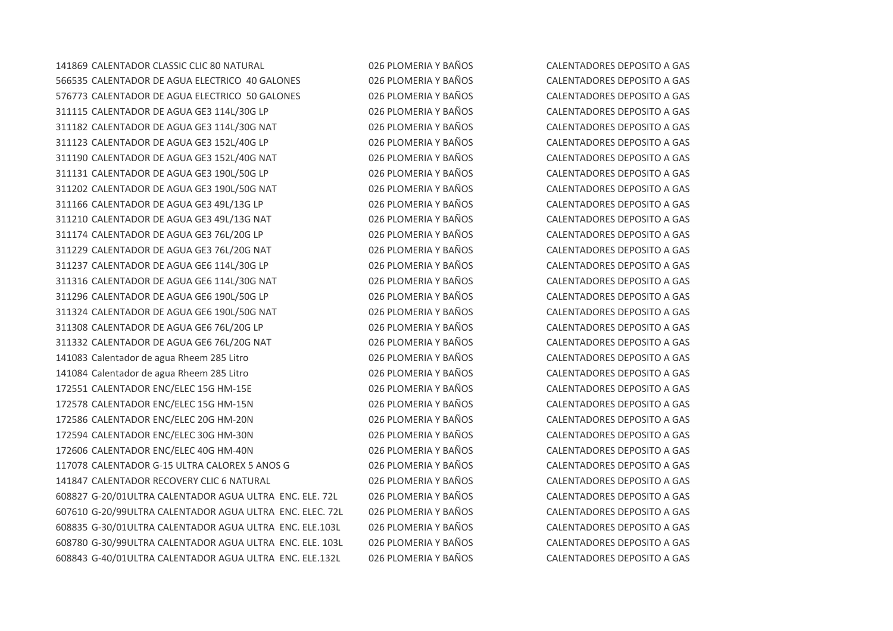CALENTADOR CLASSIC CLIC 80 NATURAL 026 PLOMERIA Y BAÑOS CALENTADORES DEPOSITO A GAS CALENTADOR DE AGUA ELECTRICO 40 GALONES 026 PLOMERIA Y BAÑOS CALENTADORES DEPOSITO A GAS CALENTADOR DE AGUA ELECTRICO 50 GALONES 026 PLOMERIA Y BAÑOS CALENTADORES DEPOSITO A GAS CALENTADOR DE AGUA GE3 114L/30G LP 026 PLOMERIA Y BAÑOS CALENTADORES DEPOSITO A GAS CALENTADOR DE AGUA GE3 114L/30G NAT 026 PLOMERIA Y BAÑOS CALENTADORES DEPOSITO A GAS CALENTADOR DE AGUA GE3 152L/40G LP 026 PLOMERIA Y BAÑOS CALENTADORES DEPOSITO A GAS CALENTADOR DE AGUA GE3 152L/40G NAT 026 PLOMERIA Y BAÑOS CALENTADORES DEPOSITO A GAS CALENTADOR DE AGUA GE3 190L/50G LP 026 PLOMERIA Y BAÑOS CALENTADORES DEPOSITO A GAS CALENTADOR DE AGUA GE3 190L/50G NAT 026 PLOMERIA Y BAÑOS CALENTADORES DEPOSITO A GAS CALENTADOR DE AGUA GE3 49L/13G LP 026 PLOMERIA Y BAÑOS CALENTADORES DEPOSITO A GAS CALENTADOR DE AGUA GE3 49L/13G NAT 026 PLOMERIA Y BAÑOS CALENTADORES DEPOSITO A GAS CALENTADOR DE AGUA GE3 76L/20G LP 026 PLOMERIA Y BAÑOS CALENTADORES DEPOSITO A GAS CALENTADOR DE AGUA GE3 76L/20G NAT 026 PLOMERIA Y BAÑOS CALENTADORES DEPOSITO A GAS CALENTADOR DE AGUA GE6 114L/30G LP 026 PLOMERIA Y BAÑOS CALENTADORES DEPOSITO A GAS CALENTADOR DE AGUA GE6 114L/30G NAT 026 PLOMERIA Y BAÑOS CALENTADORES DEPOSITO A GAS CALENTADOR DE AGUA GE6 190L/50G LP 026 PLOMERIA Y BAÑOS CALENTADORES DEPOSITO A GAS CALENTADOR DE AGUA GE6 190L/50G NAT 026 PLOMERIA Y BAÑOS CALENTADORES DEPOSITO A GAS CALENTADOR DE AGUA GE6 76L/20G LP 026 PLOMERIA Y BAÑOS CALENTADORES DEPOSITO A GAS CALENTADOR DE AGUA GE6 76L/20G NAT 026 PLOMERIA Y BAÑOS CALENTADORES DEPOSITO A GAS Calentador de agua Rheem 285 Litro 026 PLOMERIA Y BAÑOS CALENTADORES DEPOSITO A GAS Calentador de agua Rheem 285 Litro 026 PLOMERIA Y BAÑOS CALENTADORES DEPOSITO A GAS CALENTADOR ENC/ELEC 15G HM-15E 026 PLOMERIA Y BAÑOS CALENTADORES DEPOSITO A GAS CALENTADOR ENC/ELEC 15G HM-15N 026 PLOMERIA Y BAÑOS CALENTADORES DEPOSITO A GAS CALENTADOR ENC/ELEC 20G HM-20N 026 PLOMERIA Y BAÑOS CALENTADORES DEPOSITO A GAS CALENTADOR ENC/ELEC 30G HM-30N 026 PLOMERIA Y BAÑOS CALENTADORES DEPOSITO A GAS CALENTADOR ENC/ELEC 40G HM-40N 026 PLOMERIA Y BAÑOS CALENTADORES DEPOSITO A GAS CALENTADOR G-15 ULTRA CALOREX 5 ANOS G 026 PLOMERIA Y BAÑOS CALENTADORES DEPOSITO A GAS CALENTADOR RECOVERY CLIC 6 NATURAL 026 PLOMERIA Y BAÑOS CALENTADORES DEPOSITO A GAS G-20/01ULTRA CALENTADOR AGUA ULTRA ENC. ELE. 72L 026 PLOMERIA Y BAÑOS CALENTADORES DEPOSITO A GAS G-20/99ULTRA CALENTADOR AGUA ULTRA ENC. ELEC. 72L 026 PLOMERIA Y BAÑOS CALENTADORES DEPOSITO A GAS G-30/01ULTRA CALENTADOR AGUA ULTRA ENC. ELE.103L 026 PLOMERIA Y BAÑOS CALENTADORES DEPOSITO A GAS G-30/99ULTRA CALENTADOR AGUA ULTRA ENC. ELE. 103L 026 PLOMERIA Y BAÑOS CALENTADORES DEPOSITO A GAS G-40/01ULTRA CALENTADOR AGUA ULTRA ENC. ELE.132L 026 PLOMERIA Y BAÑOS CALENTADORES DEPOSITO A GAS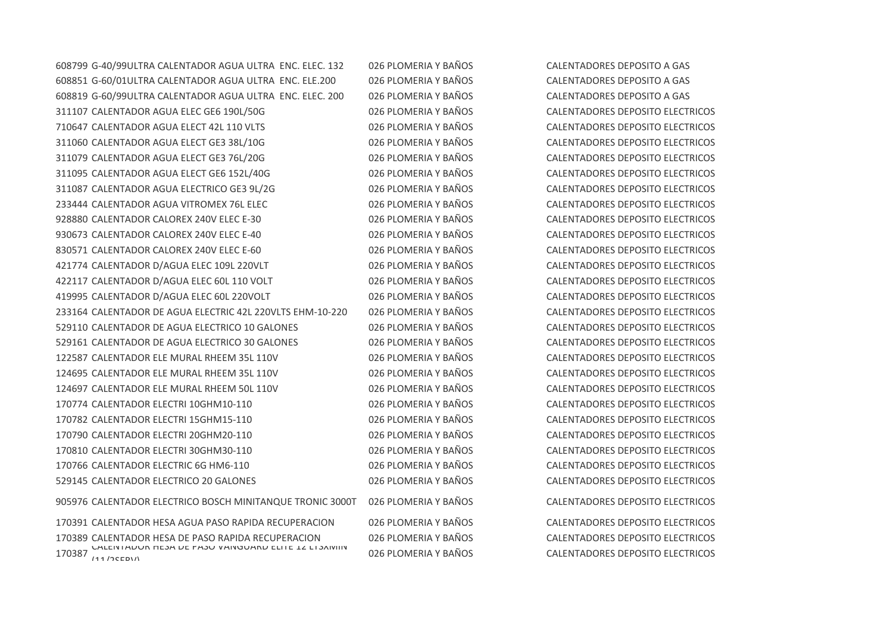G-40/99ULTRA CALENTADOR AGUA ULTRA ENC. ELEC. 132 026 PLOMERIA Y BAÑOS CALENTADORES DEPOSITO A GAS G-60/01ULTRA CALENTADOR AGUA ULTRA ENC. ELE.200 026 PLOMERIA Y BAÑOS CALENTADORES DEPOSITO A GAS G-60/99ULTRA CALENTADOR AGUA ULTRA ENC. ELEC. 200 026 PLOMERIA Y BAÑOS CALENTADORES DEPOSITO A GAS CALENTADOR AGUA ELEC GE6 190L/50G 026 PLOMERIA Y BAÑOS CALENTADORES DEPOSITO ELECTRICOS CALENTADOR AGUA ELECT 42L 110 VLTS 026 PLOMERIA Y BAÑOS CALENTADORES DEPOSITO ELECTRICOS CALENTADOR AGUA ELECT GE3 38L/10G 026 PLOMERIA Y BAÑOS CALENTADORES DEPOSITO ELECTRICOS CALENTADOR AGUA ELECT GE3 76L/20G 026 PLOMERIA Y BAÑOS CALENTADORES DEPOSITO ELECTRICOS CALENTADOR AGUA ELECT GE6 152L/40G 026 PLOMERIA Y BAÑOS CALENTADORES DEPOSITO ELECTRICOS CALENTADOR AGUA ELECTRICO GE3 9L/2G 026 PLOMERIA Y BAÑOS CALENTADORES DEPOSITO ELECTRICOS CALENTADOR AGUA VITROMEX 76L ELEC 026 PLOMERIA Y BAÑOS CALENTADORES DEPOSITO ELECTRICOS CALENTADOR CALOREX 240V ELEC E-30 026 PLOMERIA Y BAÑOS CALENTADORES DEPOSITO ELECTRICOS CALENTADOR CALOREX 240V ELEC E-40 026 PLOMERIA Y BAÑOS CALENTADORES DEPOSITO ELECTRICOS CALENTADOR CALOREX 240V ELEC E-60 026 PLOMERIA Y BAÑOS CALENTADORES DEPOSITO ELECTRICOS CALENTADOR D/AGUA ELEC 109L 220VLT 026 PLOMERIA Y BAÑOS CALENTADORES DEPOSITO ELECTRICOS CALENTADOR D/AGUA ELEC 60L 110 VOLT 026 PLOMERIA Y BAÑOS CALENTADORES DEPOSITO ELECTRICOS CALENTADOR D/AGUA ELEC 60L 220VOLT 026 PLOMERIA Y BAÑOS CALENTADORES DEPOSITO ELECTRICOS CALENTADOR DE AGUA ELECTRIC 42L 220VLTS EHM-10-220 026 PLOMERIA Y BAÑOS CALENTADORES DEPOSITO ELECTRICOS CALENTADOR DE AGUA ELECTRICO 10 GALONES 026 PLOMERIA Y BAÑOS CALENTADORES DEPOSITO ELECTRICOS CALENTADOR DE AGUA ELECTRICO 30 GALONES 026 PLOMERIA Y BAÑOS CALENTADORES DEPOSITO ELECTRICOS CALENTADOR ELE MURAL RHEEM 35L 110V 026 PLOMERIA Y BAÑOS CALENTADORES DEPOSITO ELECTRICOS CALENTADOR ELE MURAL RHEEM 35L 110V 026 PLOMERIA Y BAÑOS CALENTADORES DEPOSITO ELECTRICOS CALENTADOR ELE MURAL RHEEM 50L 110V 026 PLOMERIA Y BAÑOS CALENTADORES DEPOSITO ELECTRICOS CALENTADOR ELECTRI 10GHM10-110 026 PLOMERIA Y BAÑOS CALENTADORES DEPOSITO ELECTRICOS CALENTADOR ELECTRI 15GHM15-110 026 PLOMERIA Y BAÑOS CALENTADORES DEPOSITO ELECTRICOS CALENTADOR ELECTRI 20GHM20-110 026 PLOMERIA Y BAÑOS CALENTADORES DEPOSITO ELECTRICOS CALENTADOR ELECTRI 30GHM30-110 026 PLOMERIA Y BAÑOS CALENTADORES DEPOSITO ELECTRICOS CALENTADOR ELECTRIC 6G HM6-110 026 PLOMERIA Y BAÑOS CALENTADORES DEPOSITO ELECTRICOS CALENTADOR ELECTRICO 20 GALONES 026 PLOMERIA Y BAÑOS CALENTADORES DEPOSITO ELECTRICOS CALENTADOR ELECTRICO BOSCH MINITANQUE TRONIC 3000T 026 PLOMERIA Y BAÑOS CALENTADORES DEPOSITO ELECTRICOS CALENTADOR HESA AGUA PASO RAPIDA RECUPERACION 026 PLOMERIA Y BAÑOS CALENTADORES DEPOSITO ELECTRICOS

CALENTADOR HESA DE PASO VANGUARD ELITE 12 LTSXIVIIN (O26 PLOMERIA Y BAÑOS CALENTADORES DEPOSITO ELECTRICOS UN E<br>170387 144 DEEDVA

CALENTADOR HESA DE PASO RAPIDA RECUPERACION 026 PLOMERIA Y BAÑOS CALENTADORES DEPOSITO ELECTRICOS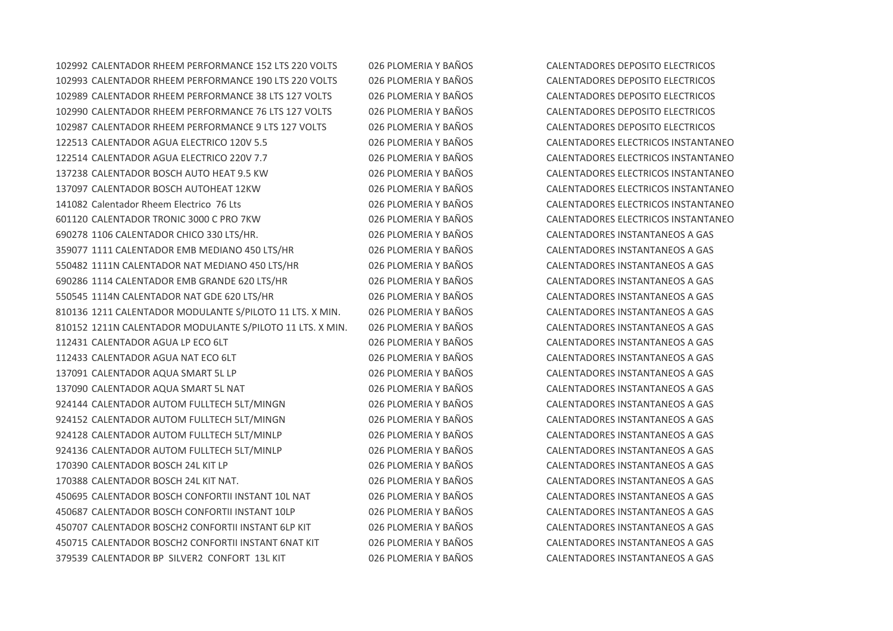CALENTADOR RHEEM PERFORMANCE 152 LTS 220 VOLTS 026 PLOMERIA Y BAÑOS CALENTADORES DEPOSITO ELECTRICOS CALENTADOR RHEEM PERFORMANCE 190 LTS 220 VOLTS 026 PLOMERIA Y BAÑOS CALENTADORES DEPOSITO ELECTRICOS CALENTADOR RHEEM PERFORMANCE 38 LTS 127 VOLTS 026 PLOMERIA Y BAÑOS CALENTADORES DEPOSITO ELECTRICOS CALENTADOR RHEEM PERFORMANCE 76 LTS 127 VOLTS 026 PLOMERIA Y BAÑOS CALENTADORES DEPOSITO ELECTRICOS CALENTADOR RHEEM PERFORMANCE 9 LTS 127 VOLTS 026 PLOMERIA Y BAÑOS CALENTADORES DEPOSITO ELECTRICOS CALENTADOR AGUA ELECTRICO 120V 5.5 026 PLOMERIA Y BAÑOS CALENTADORES ELECTRICOS INSTANTANEO CALENTADOR AGUA ELECTRICO 220V 7.7 026 PLOMERIA Y BAÑOS CALENTADORES ELECTRICOS INSTANTANEO CALENTADOR BOSCH AUTO HEAT 9.5 KW 026 PLOMERIA Y BAÑOS CALENTADORES ELECTRICOS INSTANTANEO CALENTADOR BOSCH AUTOHEAT 12KW 026 PLOMERIA Y BAÑOS CALENTADORES ELECTRICOS INSTANTANEO Calentador Rheem Electrico 76 Lts 026 PLOMERIA Y BAÑOS CALENTADORES ELECTRICOS INSTANTANEO CALENTADOR TRONIC 3000 C PRO 7KW 026 PLOMERIA Y BAÑOS CALENTADORES ELECTRICOS INSTANTANEO 1106 CALENTADOR CHICO 330 LTS/HR. 026 PLOMERIA Y BAÑOS CALENTADORES INSTANTANEOS A GAS 1111 CALENTADOR EMB MEDIANO 450 LTS/HR 026 PLOMERIA Y BAÑOS CALENTADORES INSTANTANEOS A GAS 1111N CALENTADOR NAT MEDIANO 450 LTS/HR 026 PLOMERIA Y BAÑOS CALENTADORES INSTANTANEOS A GAS 1114 CALENTADOR EMB GRANDE 620 LTS/HR 026 PLOMERIA Y BAÑOS CALENTADORES INSTANTANEOS A GAS 1114N CALENTADOR NAT GDE 620 LTS/HR 026 PLOMERIA Y BAÑOS CALENTADORES INSTANTANEOS A GAS 1211 CALENTADOR MODULANTE S/PILOTO 11 LTS. X MIN. 026 PLOMERIA Y BAÑOS CALENTADORES INSTANTANEOS A GAS 1211N CALENTADOR MODULANTE S/PILOTO 11 LTS. X MIN. 026 PLOMERIA Y BAÑOS CALENTADORES INSTANTANEOS A GAS CALENTADOR AGUA LP ECO 6LT 026 PLOMERIA Y BAÑOS CALENTADORES INSTANTANEOS A GAS CALENTADOR AGUA NAT ECO 6LT 026 PLOMERIA Y BAÑOS CALENTADORES INSTANTANEOS A GAS CALENTADOR AQUA SMART 5L LP 026 PLOMERIA Y BAÑOS CALENTADORES INSTANTANEOS A GAS CALENTADOR AQUA SMART 5L NAT 026 PLOMERIA Y BAÑOS CALENTADORES INSTANTANEOS A GAS CALENTADOR AUTOM FULLTECH 5LT/MINGN 026 PLOMERIA Y BAÑOS CALENTADORES INSTANTANEOS A GAS CALENTADOR AUTOM FULLTECH 5LT/MINGN 026 PLOMERIA Y BAÑOS CALENTADORES INSTANTANEOS A GAS CALENTADOR AUTOM FULLTECH 5LT/MINLP 026 PLOMERIA Y BAÑOS CALENTADORES INSTANTANEOS A GAS 924136 CALENTADOR AUTOM FULLTECH 5LT/MINLP 026 PLOMERIA Y BAÑOS CALENTADORES INSTANTANEOS A GAS CALENTADOR BOSCH 24L KIT LP 026 PLOMERIA Y BAÑOS CALENTADORES INSTANTANEOS A GAS CALENTADOR BOSCH 24L KIT NAT. 026 PLOMERIA Y BAÑOS CALENTADORES INSTANTANEOS A GAS CALENTADOR BOSCH CONFORTII INSTANT 10L NAT 026 PLOMERIA Y BAÑOS CALENTADORES INSTANTANEOS A GAS CALENTADOR BOSCH CONFORTII INSTANT 10LP 026 PLOMERIA Y BAÑOS CALENTADORES INSTANTANEOS A GAS CALENTADOR BOSCH2 CONFORTII INSTANT 6LP KIT 026 PLOMERIA Y BAÑOS CALENTADORES INSTANTANEOS A GAS CALENTADOR BOSCH2 CONFORTII INSTANT 6NAT KIT 026 PLOMERIA Y BAÑOS CALENTADORES INSTANTANEOS A GAS CALENTADOR BP SILVER2 CONFORT 13L KIT 026 PLOMERIA Y BAÑOS CALENTADORES INSTANTANEOS A GAS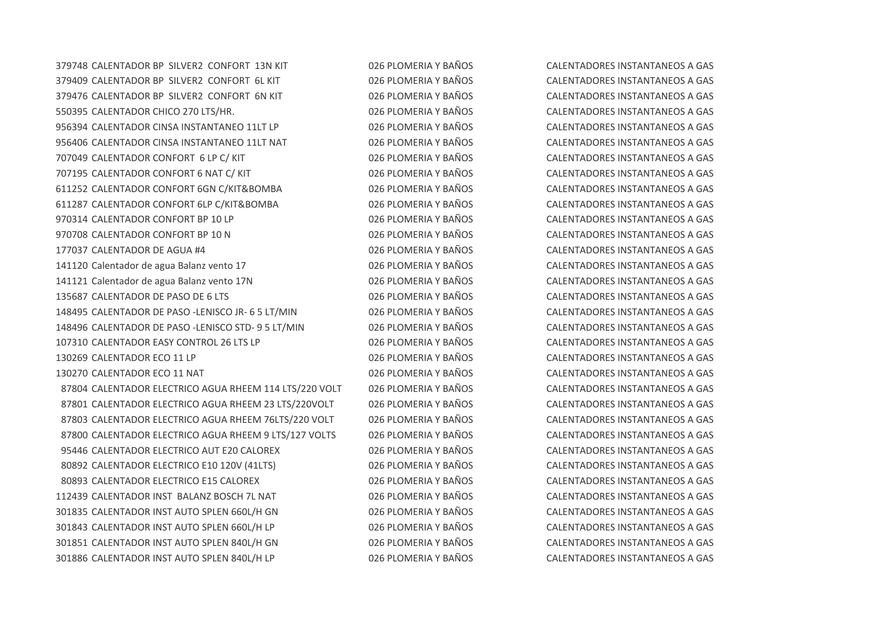CALENTADOR BP SILVER2 CONFORT 13N KIT 026 PLOMERIA Y BAÑOS CALENTADORES INSTANTANEOS A GAS CALENTADOR BP SILVER2 CONFORT 6L KIT 026 PLOMERIA Y BAÑOS CALENTADORES INSTANTANEOS A GAS CALENTADOR BP SILVER2 CONFORT 6N KIT 026 PLOMERIA Y BAÑOS CALENTADORES INSTANTANEOS A GAS CALENTADOR CHICO 270 LTS/HR. 026 PLOMERIA Y BAÑOS CALENTADORES INSTANTANEOS A GAS CALENTADOR CINSA INSTANTANEO 11LT LP 026 PLOMERIA Y BAÑOS CALENTADORES INSTANTANEOS A GAS CALENTADOR CINSA INSTANTANEO 11LT NAT 026 PLOMERIA Y BAÑOS CALENTADORES INSTANTANEOS A GAS CALENTADOR CONFORT 6 LP C/ KIT 026 PLOMERIA Y BAÑOS CALENTADORES INSTANTANEOS A GAS CALENTADOR CONFORT 6 NAT C/ KIT 026 PLOMERIA Y BAÑOS CALENTADORES INSTANTANEOS A GAS CALENTADOR CONFORT 6GN C/KIT&BOMBA 026 PLOMERIA Y BAÑOS CALENTADORES INSTANTANEOS A GAS CALENTADOR CONFORT 6LP C/KIT&BOMBA 026 PLOMERIA Y BAÑOS CALENTADORES INSTANTANEOS A GAS 970314 CALENTADOR CONFORT BP 10 LP 026 PLOMERIA Y BAÑOS CALENTADORES INSTANTANEOS A GAS CALENTADOR CONFORT BP 10 N 026 PLOMERIA Y BAÑOS CALENTADORES INSTANTANEOS A GAS CALENTADOR DE AGUA #4 026 PLOMERIA Y BAÑOS CALENTADORES INSTANTANEOS A GAS Calentador de agua Balanz vento 17 026 PLOMERIA Y BAÑOS CALENTADORES INSTANTANEOS A GAS Calentador de agua Balanz vento 17N 026 PLOMERIA Y BAÑOS CALENTADORES INSTANTANEOS A GAS CALENTADOR DE PASO DE 6 LTS 026 PLOMERIA Y BAÑOS CALENTADORES INSTANTANEOS A GAS CALENTADOR DE PASO -LENISCO JR- 6 5 LT/MIN 026 PLOMERIA Y BAÑOS CALENTADORES INSTANTANEOS A GAS CALENTADOR DE PASO -LENISCO STD- 9 5 LT/MIN 026 PLOMERIA Y BAÑOS CALENTADORES INSTANTANEOS A GAS CALENTADOR EASY CONTROL 26 LTS LP 026 PLOMERIA Y BAÑOS CALENTADORES INSTANTANEOS A GAS CALENTADOR ECO 11 LP 026 PLOMERIA Y BAÑOS CALENTADORES INSTANTANEOS A GAS CALENTADOR ECO 11 NAT 026 PLOMERIA Y BAÑOS CALENTADORES INSTANTANEOS A GAS CALENTADOR ELECTRICO AGUA RHEEM 114 LTS/220 VOLT 026 PLOMERIA Y BAÑOS CALENTADORES INSTANTANEOS A GAS CALENTADOR ELECTRICO AGUA RHEEM 23 LTS/220VOLT 026 PLOMERIA Y BAÑOS CALENTADORES INSTANTANEOS A GAS CALENTADOR ELECTRICO AGUA RHEEM 76LTS/220 VOLT 026 PLOMERIA Y BAÑOS CALENTADORES INSTANTANEOS A GAS 87800 CALENTADOR ELECTRICO AGUA RHEEM 9 LTS/127 VOLTS 026 PLOMERIA Y BAÑOS CALENTADORES INSTANTANEOS A GAS CALENTADOR ELECTRICO AUT E20 CALOREX 026 PLOMERIA Y BAÑOS CALENTADORES INSTANTANEOS A GAS CALENTADOR ELECTRICO E10 120V (41LTS) 026 PLOMERIA Y BAÑOS CALENTADORES INSTANTANEOS A GAS CALENTADOR ELECTRICO E15 CALOREX 026 PLOMERIA Y BAÑOS CALENTADORES INSTANTANEOS A GAS CALENTADOR INST BALANZ BOSCH 7L NAT 026 PLOMERIA Y BAÑOS CALENTADORES INSTANTANEOS A GAS CALENTADOR INST AUTO SPLEN 660L/H GN 026 PLOMERIA Y BAÑOS CALENTADORES INSTANTANEOS A GAS CALENTADOR INST AUTO SPLEN 660L/H LP 026 PLOMERIA Y BAÑOS CALENTADORES INSTANTANEOS A GAS CALENTADOR INST AUTO SPLEN 840L/H GN 026 PLOMERIA Y BAÑOS CALENTADORES INSTANTANEOS A GAS CALENTADOR INST AUTO SPLEN 840L/H LP 026 PLOMERIA Y BAÑOS CALENTADORES INSTANTANEOS A GAS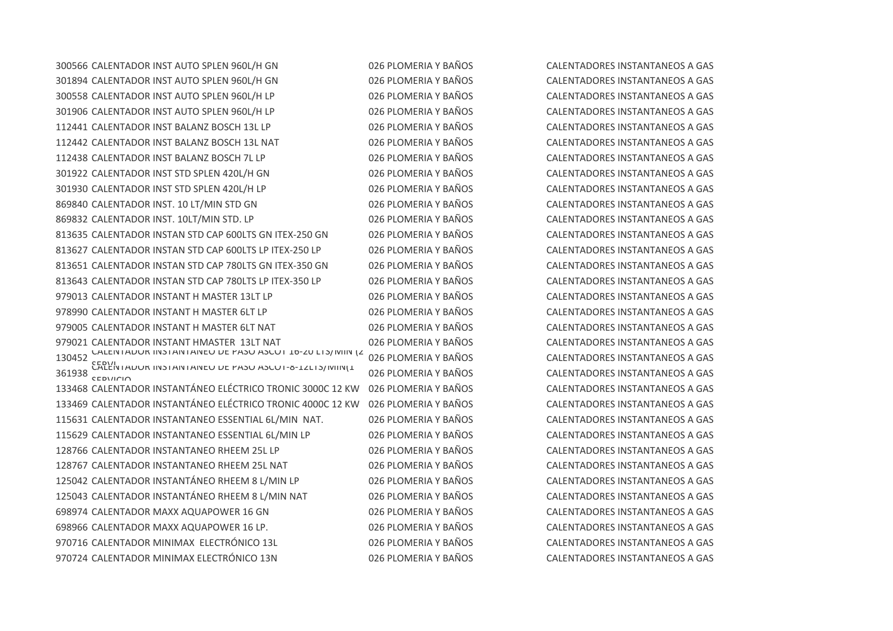CALENTADOR INST AUTO SPLEN 960L/H GN 026 PLOMERIA Y BAÑOS CALENTADORES INSTANTANEOS A GAS CALENTADOR INST AUTO SPLEN 960L/H GN 026 PLOMERIA Y BAÑOS CALENTADORES INSTANTANEOS A GAS CALENTADOR INST AUTO SPLEN 960L/H LP 026 PLOMERIA Y BAÑOS CALENTADORES INSTANTANEOS A GAS CALENTADOR INST AUTO SPLEN 960L/H LP 026 PLOMERIA Y BAÑOS CALENTADORES INSTANTANEOS A GAS CALENTADOR INST BALANZ BOSCH 13L LP 026 PLOMERIA Y BAÑOS CALENTADORES INSTANTANEOS A GAS CALENTADOR INST BALANZ BOSCH 13L NAT 026 PLOMERIA Y BAÑOS CALENTADORES INSTANTANEOS A GAS CALENTADOR INST BALANZ BOSCH 7L LP 026 PLOMERIA Y BAÑOS CALENTADORES INSTANTANEOS A GAS CALENTADOR INST STD SPLEN 420L/H GN 026 PLOMERIA Y BAÑOS CALENTADORES INSTANTANEOS A GAS CALENTADOR INST STD SPLEN 420L/H LP 026 PLOMERIA Y BAÑOS CALENTADORES INSTANTANEOS A GAS CALENTADOR INST. 10 LT/MIN STD GN 026 PLOMERIA Y BAÑOS CALENTADORES INSTANTANEOS A GAS 869832 CALENTADOR INST. 10LT/MIN STD. LP 026 PLOMERIA Y BAÑOS CALENTADORES INSTANTANEOS A GAS CALENTADOR INSTAN STD CAP 600LTS GN ITEX-250 GN 026 PLOMERIA Y BAÑOS CALENTADORES INSTANTANEOS A GAS CALENTADOR INSTAN STD CAP 600LTS LP ITEX-250 LP 026 PLOMERIA Y BAÑOS CALENTADORES INSTANTANEOS A GAS CALENTADOR INSTAN STD CAP 780LTS GN ITEX-350 GN 026 PLOMERIA Y BAÑOS CALENTADORES INSTANTANEOS A GAS CALENTADOR INSTAN STD CAP 780LTS LP ITEX-350 LP 026 PLOMERIA Y BAÑOS CALENTADORES INSTANTANEOS A GAS CALENTADOR INSTANT H MASTER 13LT LP 026 PLOMERIA Y BAÑOS CALENTADORES INSTANTANEOS A GAS CALENTADOR INSTANT H MASTER 6LT LP 026 PLOMERIA Y BAÑOS CALENTADORES INSTANTANEOS A GAS 979005 CALENTADOR INSTANT H MASTER 6LT NAT  $0.26$  PLOMERIA Y BAÑOS CALENTADORES INSTANTANEOS A GAS CALENTADOR INSTANT HMASTER 13LT NAT 026 PLOMERIA Y BAÑOS CALENTADORES INSTANTANEOS A GAS CALENTADOR INSTANTANEO DE PASO ASCOT 16-20 LTS/MIN (2 SERVI CALENTADOR INSTANTANEO DE PASO ASCOT-8-12LTS/MIN(1 SERVICIO CALENTADOR INSTANTÁNEO ELÉCTRICO TRONIC 3000C 12 KW 026 PLOMERIA Y BAÑOS CALENTADORES INSTANTANEOS A GAS CALENTADOR INSTANTÁNEO ELÉCTRICO TRONIC 4000C 12 KW 026 PLOMERIA Y BAÑOS CALENTADORES INSTANTANEOS A GAS CALENTADOR INSTANTANEO ESSENTIAL 6L/MIN NAT. 026 PLOMERIA Y BAÑOS CALENTADORES INSTANTANEOS A GAS CALENTADOR INSTANTANEO ESSENTIAL 6L/MIN LP 026 PLOMERIA Y BAÑOS CALENTADORES INSTANTANEOS A GAS CALENTADOR INSTANTANEO RHEEM 25L LP 026 PLOMERIA Y BAÑOS CALENTADORES INSTANTANEOS A GAS CALENTADOR INSTANTANEO RHEEM 25L NAT 026 PLOMERIA Y BAÑOS CALENTADORES INSTANTANEOS A GAS CALENTADOR INSTANTÁNEO RHEEM 8 L/MIN LP 026 PLOMERIA Y BAÑOS CALENTADORES INSTANTANEOS A GAS CALENTADOR INSTANTÁNEO RHEEM 8 L/MIN NAT 026 PLOMERIA Y BAÑOS CALENTADORES INSTANTANEOS A GAS CALENTADOR MAXX AQUAPOWER 16 GN 026 PLOMERIA Y BAÑOS CALENTADORES INSTANTANEOS A GAS CALENTADOR MAXX AQUAPOWER 16 LP. 026 PLOMERIA Y BAÑOS CALENTADORES INSTANTANEOS A GAS CALENTADOR MINIMAX ELECTRÓNICO 13L 026 PLOMERIA Y BAÑOS CALENTADORES INSTANTANEOS A GAS CALENTADOR MINIMAX ELECTRÓNICO 13N 026 PLOMERIA Y BAÑOS CALENTADORES INSTANTANEOS A GAS

026 PLOMERIA Y BAÑOS CALENTADORES INSTANTANEOS A GAS 026 PLOMERIA Y BAÑOS CALENTADORES INSTANTANEOS A GAS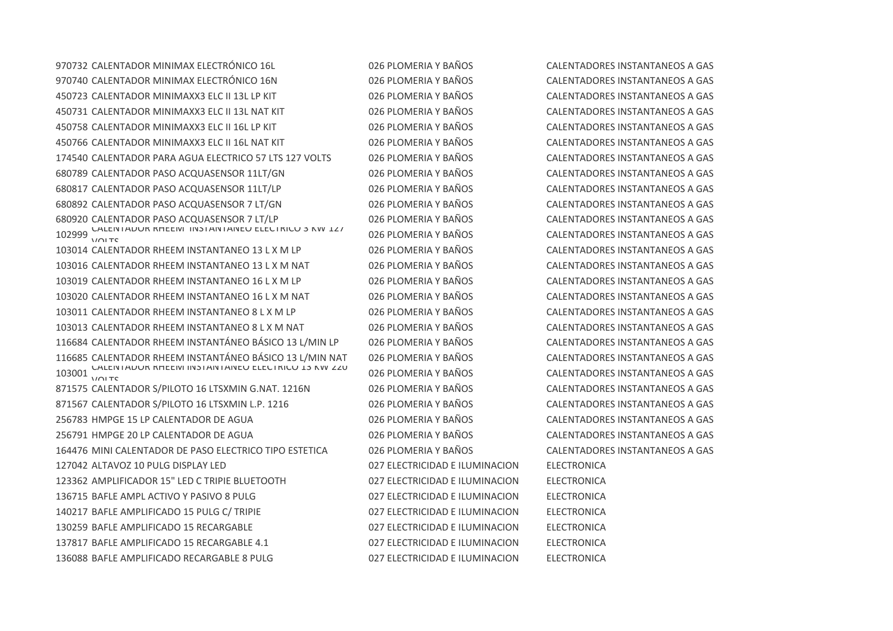CALENTADOR MINIMAX ELECTRÓNICO 16L 026 PLOMERIA Y BAÑOS CALENTADORES INSTANTANEOS A GAS CALENTADOR MINIMAX ELECTRÓNICO 16N 026 PLOMERIA Y BAÑOS CALENTADORES INSTANTANEOS A GAS CALENTADOR MINIMAXX3 ELC II 13L LP KIT 026 PLOMERIA Y BAÑOS CALENTADORES INSTANTANEOS A GAS CALENTADOR MINIMAXX3 ELC II 13L NAT KIT 026 PLOMERIA Y BAÑOS CALENTADORES INSTANTANEOS A GAS CALENTADOR MINIMAXX3 ELC II 16L LP KIT 026 PLOMERIA Y BAÑOS CALENTADORES INSTANTANEOS A GAS CALENTADOR MINIMAXX3 ELC II 16L NAT KIT 026 PLOMERIA Y BAÑOS CALENTADORES INSTANTANEOS A GAS CALENTADOR PARA AGUA ELECTRICO 57 LTS 127 VOLTS 026 PLOMERIA Y BAÑOS CALENTADORES INSTANTANEOS A GAS CALENTADOR PASO ACQUASENSOR 11LT/GN 026 PLOMERIA Y BAÑOS CALENTADORES INSTANTANEOS A GAS CALENTADOR PASO ACQUASENSOR 11LT/LP 026 PLOMERIA Y BAÑOS CALENTADORES INSTANTANEOS A GAS CALENTADOR PASO ACQUASENSOR 7 LT/GN 026 PLOMERIA Y BAÑOS CALENTADORES INSTANTANEOS A GAS CALENTADOR PASO ACQUASENSOR 7 LT/LP 026 PLOMERIA Y BAÑOS CALENTADORES INSTANTANEOS A GAS CALENTADOR RHEEM INSTANTANEO ELÉCTRICO 3 KW 127 103014 CALENTADOR RHEEM INSTANTANEO 13 L X M LP 026 PLOMERIA Y BAÑOS CALENTADORES INSTANTANEOS A GAS CALENTADOR RHEEM INSTANTANEO 13 L X M NAT 026 PLOMERIA Y BAÑOS CALENTADORES INSTANTANEOS A GAS CALENTADOR RHEEM INSTANTANEO 16 L X M LP 026 PLOMERIA Y BAÑOS CALENTADORES INSTANTANEOS A GAS CALENTADOR RHEEM INSTANTANEO 16 L X M NAT 026 PLOMERIA Y BAÑOS CALENTADORES INSTANTANEOS A GAS CALENTADOR RHEEM INSTANTANEO 8 L X M LP 026 PLOMERIA Y BAÑOS CALENTADORES INSTANTANEOS A GAS CALENTADOR RHEEM INSTANTANEO 8 L X M NAT 026 PLOMERIA Y BAÑOS CALENTADORES INSTANTANEOS A GAS CALENTADOR RHEEM INSTANTÁNEO BÁSICO 13 L/MIN LP 026 PLOMERIA Y BAÑOS CALENTADORES INSTANTANEOS A GAS CALENTADOR RHEEM INSTANTÁNEO BÁSICO 13 L/MIN NAT 026 PLOMERIA Y BAÑOS CALENTADORES INSTANTANEOS A GAS CALENTADOR RHEEM INSTANTANEO ELÉCTRICO 13 KW 220 VOLTS CALENTADOR S/PILOTO 16 LTSXMIN G.NAT. 1216N 026 PLOMERIA Y BAÑOS CALENTADORES INSTANTANEOS A GAS 871567 CALENTADOR S/PILOTO 16 LTSXMIN L.P. 1216 026 PLOMERIA Y BAÑOS CALENTADORES INSTANTANEOS A GAS HMPGE 15 LP CALENTADOR DE AGUA 026 PLOMERIA Y BAÑOS CALENTADORES INSTANTANEOS A GAS HMPGE 20 LP CALENTADOR DE AGUA 026 PLOMERIA Y BAÑOS CALENTADORES INSTANTANEOS A GAS MINI CALENTADOR DE PASO ELECTRICO TIPO ESTETICA 026 PLOMERIA Y BAÑOS CALENTADORES INSTANTANEOS A GAS ALTAVOZ 10 PULG DISPLAY LED 027 ELECTRICIDAD E ILUMINACION ELECTRONICA AMPLIFICADOR 15" LED C TRIPIE BLUETOOTH 027 ELECTRICIDAD E ILUMINACION ELECTRONICA BAFLE AMPL ACTIVO Y PASIVO 8 PULG 027 ELECTRICIDAD E ILUMINACION ELECTRONICA BAFLE AMPLIFICADO 15 PULG C/ TRIPIE 027 ELECTRICIDAD E ILUMINACION ELECTRONICA BAFLE AMPLIFICADO 15 RECARGABLE 027 ELECTRICIDAD E ILUMINACION ELECTRONICA BAFLE AMPLIFICADO 15 RECARGABLE 4.1 027 ELECTRICIDAD E ILUMINACION ELECTRONICA BAFLE AMPLIFICADO RECARGABLE 8 PULG 027 ELECTRICIDAD E ILUMINACION ELECTRONICA

026 PLOMERIA Y BAÑOS CALENTADORES INSTANTANEOS A GAS 026 PLOMERIA Y BAÑOS CALENTADORES INSTANTANEOS A GAS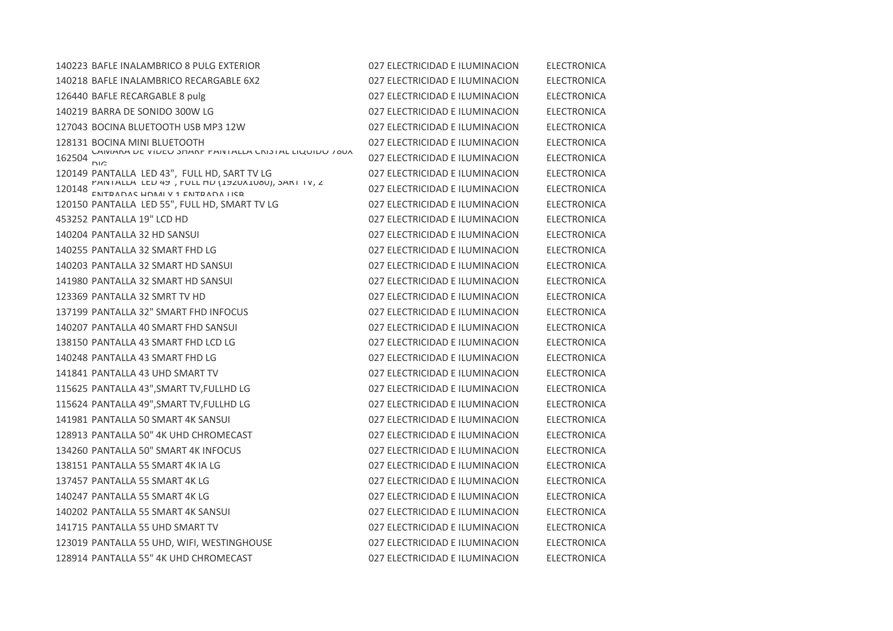| 140223 BAFLE INALAMBRICO 8 PULG EXTERIOR                                                                                                                              | 027 ELECTRICIDAD E ILUMINACION | <b>ELECTRONICA</b> |
|-----------------------------------------------------------------------------------------------------------------------------------------------------------------------|--------------------------------|--------------------|
| 140218 BAFLE INALAMBRICO RECARGABLE 6X2                                                                                                                               | 027 ELECTRICIDAD E ILUMINACION | <b>ELECTRONICA</b> |
| 126440 BAFLE RECARGABLE 8 pulg                                                                                                                                        | 027 ELECTRICIDAD E ILUMINACION | <b>ELECTRONICA</b> |
| 140219 BARRA DE SONIDO 300W LG                                                                                                                                        | 027 ELECTRICIDAD E ILUMINACION | <b>ELECTRONICA</b> |
| 127043 BOCINA BLUETOOTH USB MP3 12W                                                                                                                                   | 027 ELECTRICIDAD E ILUMINACION | <b>ELECTRONICA</b> |
|                                                                                                                                                                       | 027 ELECTRICIDAD E ILUMINACION | <b>ELECTRONICA</b> |
| LAIVIARA DE VIDEO STARP PAINTALLA UNISTAL LIQUIDO 780A                                                                                                                | 027 ELECTRICIDAD E ILUMINACION | <b>ELECTRONICA</b> |
| 120149 PANTALLA LED 43", FULL HD, SART TV LG                                                                                                                          | 027 ELECTRICIDAD E ILUMINACION | <b>ELECTRONICA</b> |
| $\frac{120148}{\text{ENTDANCE HOMA}}$ $\frac{120148}{\text{ENTDAMA}}$ $\frac{120148}{\text{ENTDAMA}}$ $\frac{120148}{\text{ENTDAMA}}$ $\frac{120148}{\text{ENTDAMA}}$ | 027 ELECTRICIDAD E ILUMINACION | <b>ELECTRONICA</b> |
| 120150 PANTALLA LED 55", FULL HD, SMART TV LG                                                                                                                         | 027 ELECTRICIDAD E ILUMINACION | <b>ELECTRONICA</b> |
| 453252 PANTALLA 19" LCD HD                                                                                                                                            | 027 ELECTRICIDAD E ILUMINACION | ELECTRONICA        |
| 140204 PANTALLA 32 HD SANSUI                                                                                                                                          | 027 ELECTRICIDAD E ILUMINACION | ELECTRONICA        |
| 140255 PANTALLA 32 SMART FHD LG                                                                                                                                       | 027 ELECTRICIDAD E ILUMINACION | <b>ELECTRONICA</b> |
| 140203 PANTALLA 32 SMART HD SANSUI                                                                                                                                    | 027 ELECTRICIDAD E ILUMINACION | <b>ELECTRONICA</b> |
| 141980 PANTALLA 32 SMART HD SANSUI                                                                                                                                    | 027 ELECTRICIDAD E ILUMINACION | <b>ELECTRONICA</b> |
| 123369 PANTALLA 32 SMRT TV HD                                                                                                                                         | 027 ELECTRICIDAD E ILUMINACION | <b>ELECTRONICA</b> |
| 137199 PANTALLA 32" SMART FHD INFOCUS                                                                                                                                 | 027 ELECTRICIDAD E ILUMINACION | <b>ELECTRONICA</b> |
| 140207 PANTALLA 40 SMART FHD SANSUI                                                                                                                                   | 027 ELECTRICIDAD E ILUMINACION | <b>ELECTRONICA</b> |
| 138150 PANTALLA 43 SMART FHD LCD LG                                                                                                                                   | 027 ELECTRICIDAD E ILUMINACION | <b>ELECTRONICA</b> |
| 140248 PANTALLA 43 SMART FHD LG                                                                                                                                       | 027 ELECTRICIDAD E ILUMINACION | <b>ELECTRONICA</b> |
| 141841 PANTALLA 43 UHD SMART TV                                                                                                                                       | 027 ELECTRICIDAD E ILUMINACION | <b>ELECTRONICA</b> |
| 115625 PANTALLA 43", SMART TV, FULLHD LG                                                                                                                              | 027 ELECTRICIDAD E ILUMINACION | <b>ELECTRONICA</b> |
| 115624 PANTALLA 49", SMART TV, FULLHD LG                                                                                                                              | 027 ELECTRICIDAD E ILUMINACION | <b>ELECTRONICA</b> |
| 141981 PANTALLA 50 SMART 4K SANSUI                                                                                                                                    | 027 ELECTRICIDAD E ILUMINACION | <b>ELECTRONICA</b> |
| 128913 PANTALLA 50" 4K UHD CHROMECAST                                                                                                                                 | 027 ELECTRICIDAD E ILUMINACION | <b>ELECTRONICA</b> |
| 134260 PANTALLA 50" SMART 4K INFOCUS                                                                                                                                  | 027 ELECTRICIDAD E ILUMINACION | <b>ELECTRONICA</b> |
| 138151 PANTALLA 55 SMART 4K IA LG                                                                                                                                     | 027 ELECTRICIDAD E ILUMINACION | <b>ELECTRONICA</b> |
| 137457 PANTALLA 55 SMART 4K LG                                                                                                                                        | 027 ELECTRICIDAD E ILUMINACION | <b>ELECTRONICA</b> |
| 140247 PANTALLA 55 SMART 4K LG                                                                                                                                        | 027 ELECTRICIDAD E ILUMINACION | <b>ELECTRONICA</b> |
| 140202 PANTALLA 55 SMART 4K SANSUI                                                                                                                                    | 027 ELECTRICIDAD E ILUMINACION | <b>ELECTRONICA</b> |
| 141715 PANTALLA 55 UHD SMART TV                                                                                                                                       | 027 ELECTRICIDAD E ILUMINACION | ELECTRONICA        |
| 123019 PANTALLA 55 UHD, WIFI, WESTINGHOUSE                                                                                                                            | 027 ELECTRICIDAD E ILUMINACION | <b>ELECTRONICA</b> |
| 128914 PANTALLA 55" 4K UHD CHROMECAST                                                                                                                                 | 027 ELECTRICIDAD E ILUMINACION | <b>ELECTRONICA</b> |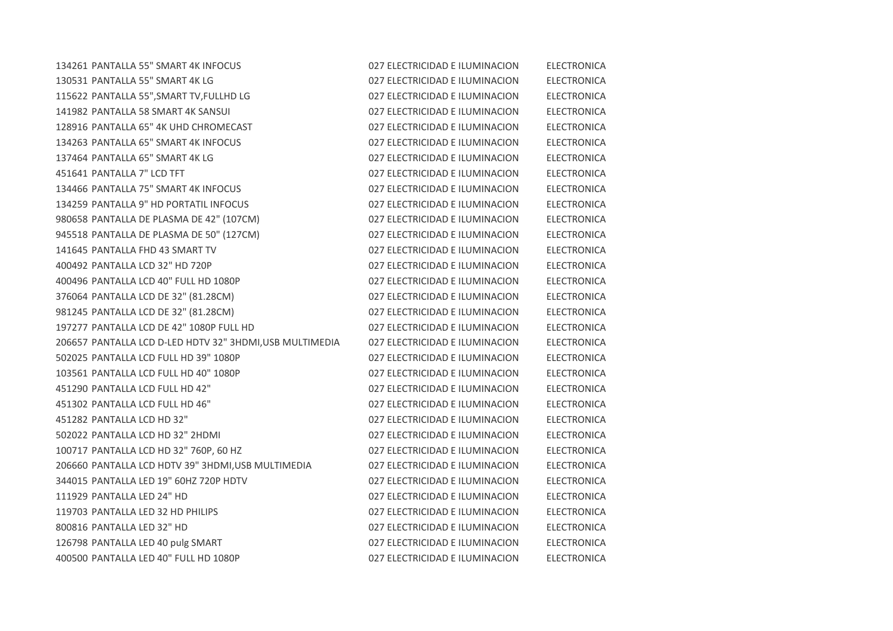| 134261 PANTALLA 55" SMART 4K INFOCUS                    | 027 ELECTRICIDAD E ILUMINACION | <b>ELECTRONICA</b> |
|---------------------------------------------------------|--------------------------------|--------------------|
| 130531 PANTALLA 55" SMART 4K LG                         | 027 ELECTRICIDAD E ILUMINACION | <b>ELECTRONICA</b> |
| 115622 PANTALLA 55", SMART TV, FULLHD LG                | 027 ELECTRICIDAD E ILUMINACION | <b>ELECTRONICA</b> |
| 141982 PANTALLA 58 SMART 4K SANSUI                      | 027 ELECTRICIDAD E ILUMINACION | <b>ELECTRONICA</b> |
| 128916 PANTALLA 65" 4K UHD CHROMECAST                   | 027 ELECTRICIDAD E ILUMINACION | <b>ELECTRONICA</b> |
| 134263 PANTALLA 65" SMART 4K INFOCUS                    | 027 ELECTRICIDAD E ILUMINACION | <b>ELECTRONICA</b> |
| 137464 PANTALLA 65" SMART 4K LG                         | 027 ELECTRICIDAD E ILUMINACION | <b>ELECTRONICA</b> |
| 451641 PANTALLA 7" LCD TFT                              | 027 ELECTRICIDAD E ILUMINACION | <b>ELECTRONICA</b> |
| 134466 PANTALLA 75" SMART 4K INFOCUS                    | 027 ELECTRICIDAD E ILUMINACION | <b>ELECTRONICA</b> |
| 134259 PANTALLA 9" HD PORTATIL INFOCUS                  | 027 ELECTRICIDAD E ILUMINACION | <b>ELECTRONICA</b> |
| 980658 PANTALLA DE PLASMA DE 42" (107CM)                | 027 ELECTRICIDAD E ILUMINACION | <b>ELECTRONICA</b> |
| 945518 PANTALLA DE PLASMA DE 50" (127CM)                | 027 ELECTRICIDAD E ILUMINACION | <b>ELECTRONICA</b> |
| 141645 PANTALLA FHD 43 SMART TV                         | 027 ELECTRICIDAD E ILUMINACION | <b>ELECTRONICA</b> |
| 400492 PANTALLA LCD 32" HD 720P                         | 027 ELECTRICIDAD E ILUMINACION | <b>ELECTRONICA</b> |
| 400496 PANTALLA LCD 40" FULL HD 1080P                   | 027 ELECTRICIDAD E ILUMINACION | <b>ELECTRONICA</b> |
| 376064 PANTALLA LCD DE 32" (81.28CM)                    | 027 ELECTRICIDAD E ILUMINACION | <b>ELECTRONICA</b> |
| 981245 PANTALLA LCD DE 32" (81.28CM)                    | 027 ELECTRICIDAD E ILUMINACION | <b>ELECTRONICA</b> |
| 197277 PANTALLA LCD DE 42" 1080P FULL HD                | 027 ELECTRICIDAD E ILUMINACION | <b>ELECTRONICA</b> |
| 206657 PANTALLA LCD D-LED HDTV 32" 3HDMI,USB MULTIMEDIA | 027 ELECTRICIDAD E ILUMINACION | <b>ELECTRONICA</b> |
| 502025 PANTALLA LCD FULL HD 39" 1080P                   | 027 ELECTRICIDAD E ILUMINACION | <b>ELECTRONICA</b> |
| 103561 PANTALLA LCD FULL HD 40" 1080P                   | 027 ELECTRICIDAD E ILUMINACION | <b>ELECTRONICA</b> |
| 451290 PANTALLA LCD FULL HD 42"                         | 027 ELECTRICIDAD E ILUMINACION | <b>ELECTRONICA</b> |
| 451302 PANTALLA LCD FULL HD 46"                         | 027 ELECTRICIDAD E ILUMINACION | <b>ELECTRONICA</b> |
| 451282 PANTALLA LCD HD 32"                              | 027 ELECTRICIDAD E ILUMINACION | <b>ELECTRONICA</b> |
| 502022 PANTALLA LCD HD 32" 2HDMI                        | 027 ELECTRICIDAD E ILUMINACION | <b>ELECTRONICA</b> |
| 100717 PANTALLA LCD HD 32" 760P, 60 HZ                  | 027 ELECTRICIDAD E ILUMINACION | <b>ELECTRONICA</b> |
| 206660 PANTALLA LCD HDTV 39" 3HDMI, USB MULTIMEDIA      | 027 ELECTRICIDAD E ILUMINACION | <b>ELECTRONICA</b> |
| 344015 PANTALLA LED 19" 60HZ 720P HDTV                  | 027 ELECTRICIDAD E ILUMINACION | <b>ELECTRONICA</b> |
| 111929 PANTALLA LED 24" HD                              | 027 ELECTRICIDAD E ILUMINACION | <b>ELECTRONICA</b> |
| 119703 PANTALLA LED 32 HD PHILIPS                       | 027 ELECTRICIDAD E ILUMINACION | <b>ELECTRONICA</b> |
| 800816 PANTALLA LED 32" HD                              | 027 ELECTRICIDAD E ILUMINACION | <b>ELECTRONICA</b> |
| 126798 PANTALLA LED 40 pulg SMART                       | 027 ELECTRICIDAD E ILUMINACION | <b>ELECTRONICA</b> |
| 400500 PANTALLA LED 40" FULL HD 1080P                   | 027 ELECTRICIDAD E ILUMINACION | <b>ELECTRONICA</b> |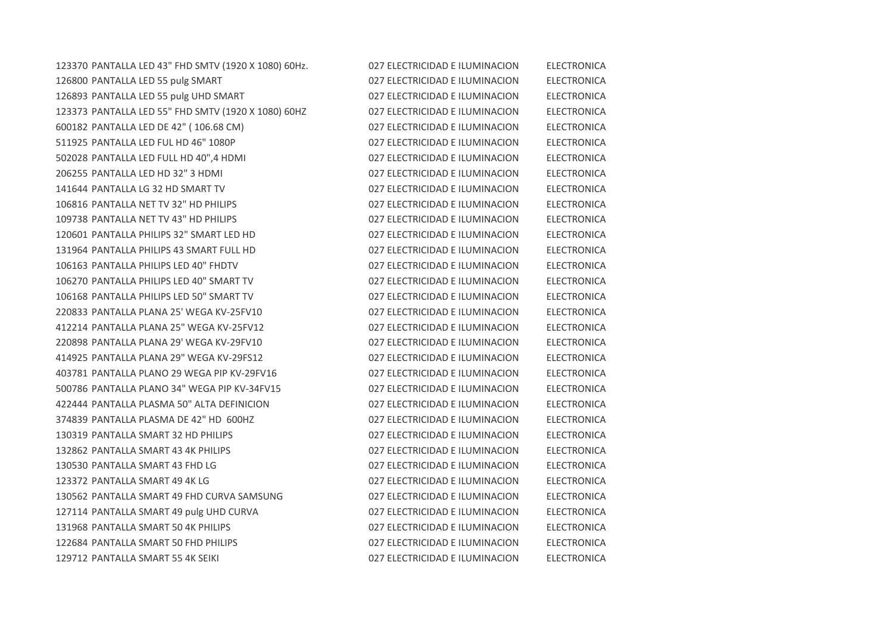PANTALLA LED 43" FHD SMTV (1920 X 1080) 60Hz. 027 ELECTRICIDAD E ILUMINACION ELECTRONICA PANTALLA LED 55 pulg SMART 027 ELECTRICIDAD E ILUMINACION ELECTRONICA PANTALLA LED 55 pulg UHD SMART 027 ELECTRICIDAD E ILUMINACION ELECTRONICA PANTALLA LED 55" FHD SMTV (1920 X 1080) 60HZ 027 ELECTRICIDAD E ILUMINACION ELECTRONICA PANTALLA LED DE 42" ( 106.68 CM) 027 ELECTRICIDAD E ILUMINACION ELECTRONICA PANTALLA LED FUL HD 46" 1080P 027 ELECTRICIDAD E ILUMINACION ELECTRONICA PANTALLA LED FULL HD 40",4 HDMI 027 ELECTRICIDAD E ILUMINACION ELECTRONICA PANTALLA LED HD 32" 3 HDMI 027 ELECTRICIDAD E ILUMINACION ELECTRONICA PANTALLA LG 32 HD SMART TV 027 ELECTRICIDAD E ILUMINACION ELECTRONICA PANTALLA NET TV 32" HD PHILIPS 027 ELECTRICIDAD E ILUMINACION ELECTRONICA PANTALLA NET TV 43" HD PHILIPS 027 ELECTRICIDAD E ILUMINACION ELECTRONICA PANTALLA PHILIPS 32" SMART LED HD 027 ELECTRICIDAD E ILUMINACION ELECTRONICA PANTALLA PHILIPS 43 SMART FULL HD 027 ELECTRICIDAD E ILUMINACION ELECTRONICA PANTALLA PHILIPS LED 40" FHDTV 027 ELECTRICIDAD E ILUMINACION ELECTRONICA PANTALLA PHILIPS LED 40" SMART TV 027 ELECTRICIDAD E ILUMINACION ELECTRONICA PANTALLA PHILIPS LED 50" SMART TV 027 ELECTRICIDAD E ILUMINACION ELECTRONICA PANTALLA PLANA 25' WEGA KV-25FV10 027 ELECTRICIDAD E ILUMINACION ELECTRONICA PANTALLA PLANA 25" WEGA KV-25FV12 027 ELECTRICIDAD E ILUMINACION ELECTRONICA PANTALLA PLANA 29' WEGA KV-29FV10 027 ELECTRICIDAD E ILUMINACION ELECTRONICA PANTALLA PLANA 29" WEGA KV-29FS12 027 ELECTRICIDAD E ILUMINACION ELECTRONICA PANTALLA PLANO 29 WEGA PIP KV-29FV16 027 ELECTRICIDAD E ILUMINACION ELECTRONICA PANTALLA PLANO 34" WEGA PIP KV-34FV15 027 ELECTRICIDAD E ILUMINACION ELECTRONICA PANTALLA PLASMA 50" ALTA DEFINICION 027 ELECTRICIDAD E ILUMINACION ELECTRONICA PANTALLA PLASMA DE 42" HD 600HZ 027 ELECTRICIDAD E ILUMINACION ELECTRONICA PANTALLA SMART 32 HD PHILIPS 027 ELECTRICIDAD E ILUMINACION ELECTRONICA PANTALLA SMART 43 4K PHILIPS 027 ELECTRICIDAD E ILUMINACION ELECTRONICA PANTALLA SMART 43 FHD LG 027 ELECTRICIDAD E ILUMINACION ELECTRONICA PANTALLA SMART 49 4K LG 027 ELECTRICIDAD E ILUMINACION ELECTRONICA PANTALLA SMART 49 FHD CURVA SAMSUNG 027 ELECTRICIDAD E ILUMINACION ELECTRONICA 127114 PANTALLA SMART 49 pulg UHD CURVA 027 ELECTRICIDAD E ILUMINACION ELECTRONICA PANTALLA SMART 50 4K PHILIPS 027 ELECTRICIDAD E ILUMINACION ELECTRONICA PANTALLA SMART 50 FHD PHILIPS 027 ELECTRICIDAD E ILUMINACION ELECTRONICA PANTALLA SMART 55 4K SEIKI 027 ELECTRICIDAD E ILUMINACION ELECTRONICA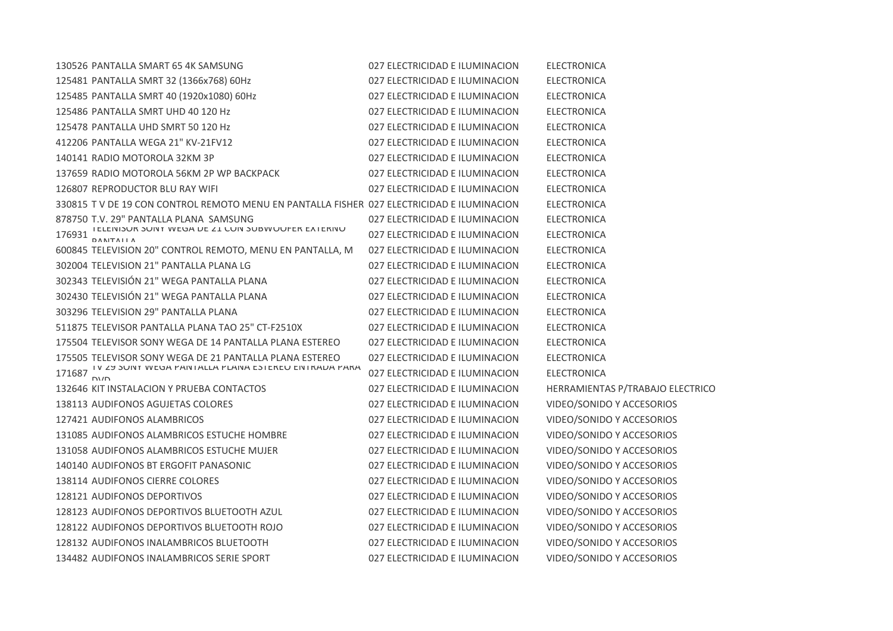| 130526 PANTALLA SMART 65 4K SAMSUNG                                                        | 027 ELECTRICIDAD E ILUMINACION | <b>ELECTRONICA</b>               |
|--------------------------------------------------------------------------------------------|--------------------------------|----------------------------------|
| 125481 PANTALLA SMRT 32 (1366x768) 60Hz                                                    | 027 ELECTRICIDAD E ILUMINACION | <b>ELECTRONICA</b>               |
| 125485 PANTALLA SMRT 40 (1920x1080) 60Hz                                                   | 027 ELECTRICIDAD E ILUMINACION | <b>ELECTRONICA</b>               |
| 125486 PANTALLA SMRT UHD 40 120 Hz                                                         | 027 ELECTRICIDAD E ILUMINACION | <b>ELECTRONICA</b>               |
| 125478 PANTALLA UHD SMRT 50 120 Hz                                                         | 027 ELECTRICIDAD E ILUMINACION | <b>ELECTRONICA</b>               |
| 412206 PANTALLA WEGA 21" KV-21FV12                                                         | 027 ELECTRICIDAD E ILUMINACION | <b>ELECTRONICA</b>               |
| 140141 RADIO MOTOROLA 32KM 3P                                                              | 027 ELECTRICIDAD E ILUMINACION | <b>ELECTRONICA</b>               |
| 137659 RADIO MOTOROLA 56KM 2P WP BACKPACK                                                  | 027 ELECTRICIDAD E ILUMINACION | <b>ELECTRONICA</b>               |
| 126807 REPRODUCTOR BLU RAY WIFI                                                            | 027 ELECTRICIDAD E ILUMINACION | <b>ELECTRONICA</b>               |
| 330815 T V DE 19 CON CONTROL REMOTO MENU EN PANTALLA FISHER 027 ELECTRICIDAD E ILUMINACION |                                | <b>ELECTRONICA</b>               |
| 878750 T.V. 29" PANTALLA PLANA SAMSUNG                                                     | 027 ELECTRICIDAD E ILUMINACION | <b>ELECTRONICA</b>               |
| I ELEINISUR SUINT WEGA DE ZI CUIN SUBWUUFER EXTERINU<br>176931<br><b>DANTALLA</b>          | 027 ELECTRICIDAD E ILUMINACION | <b>ELECTRONICA</b>               |
| 600845 TELEVISION 20" CONTROL REMOTO, MENU EN PANTALLA, M                                  | 027 ELECTRICIDAD E ILUMINACION | <b>ELECTRONICA</b>               |
| 302004 TELEVISION 21" PANTALLA PLANA LG                                                    | 027 ELECTRICIDAD E ILUMINACION | <b>ELECTRONICA</b>               |
| 302343 TELEVISIÓN 21" WEGA PANTALLA PLANA                                                  | 027 ELECTRICIDAD E ILUMINACION | <b>ELECTRONICA</b>               |
| 302430 TELEVISIÓN 21" WEGA PANTALLA PLANA                                                  | 027 ELECTRICIDAD E ILUMINACION | <b>ELECTRONICA</b>               |
| 303296 TELEVISION 29" PANTALLA PLANA                                                       | 027 ELECTRICIDAD E ILUMINACION | <b>ELECTRONICA</b>               |
| 511875 TELEVISOR PANTALLA PLANA TAO 25" CT-F2510X                                          | 027 ELECTRICIDAD E ILUMINACION | <b>ELECTRONICA</b>               |
| 175504 TELEVISOR SONY WEGA DE 14 PANTALLA PLANA ESTEREO                                    | 027 ELECTRICIDAD E ILUMINACION | <b>ELECTRONICA</b>               |
| 175505 TELEVISOR SONY WEGA DE 21 PANTALLA PLANA ESTEREO                                    | 027 ELECTRICIDAD E ILUMINACION | <b>ELECTRONICA</b>               |
|                                                                                            | 027 ELECTRICIDAD E ILUMINACION | <b>ELECTRONICA</b>               |
| 132646 KIT INSTALACION Y PRUEBA CONTACTOS                                                  | 027 ELECTRICIDAD E ILUMINACION | HERRAMIENTAS P/TRABAJO ELECTRICO |
| 138113 AUDIFONOS AGUJETAS COLORES                                                          | 027 ELECTRICIDAD E ILUMINACION | VIDEO/SONIDO Y ACCESORIOS        |
| 127421 AUDIFONOS ALAMBRICOS                                                                | 027 ELECTRICIDAD E ILUMINACION | VIDEO/SONIDO Y ACCESORIOS        |
| 131085 AUDIFONOS ALAMBRICOS ESTUCHE HOMBRE                                                 | 027 ELECTRICIDAD E ILUMINACION | VIDEO/SONIDO Y ACCESORIOS        |
| 131058 AUDIFONOS ALAMBRICOS ESTUCHE MUJER                                                  | 027 ELECTRICIDAD E ILUMINACION | VIDEO/SONIDO Y ACCESORIOS        |
| 140140 AUDIFONOS BT ERGOFIT PANASONIC                                                      | 027 ELECTRICIDAD E ILUMINACION | VIDEO/SONIDO Y ACCESORIOS        |
| 138114 AUDIFONOS CIERRE COLORES                                                            | 027 ELECTRICIDAD E ILUMINACION | VIDEO/SONIDO Y ACCESORIOS        |
| 128121 AUDIFONOS DEPORTIVOS                                                                | 027 ELECTRICIDAD E ILUMINACION | VIDEO/SONIDO Y ACCESORIOS        |
| 128123 AUDIFONOS DEPORTIVOS BLUETOOTH AZUL                                                 | 027 ELECTRICIDAD E ILUMINACION | VIDEO/SONIDO Y ACCESORIOS        |
| 128122 AUDIFONOS DEPORTIVOS BLUETOOTH ROJO                                                 | 027 ELECTRICIDAD E ILUMINACION | VIDEO/SONIDO Y ACCESORIOS        |
| 128132 AUDIFONOS INALAMBRICOS BLUETOOTH                                                    | 027 ELECTRICIDAD E ILUMINACION | VIDEO/SONIDO Y ACCESORIOS        |
| 134482 AUDIFONOS INALAMBRICOS SERIE SPORT                                                  | 027 ELECTRICIDAD E ILUMINACION | VIDEO/SONIDO Y ACCESORIOS        |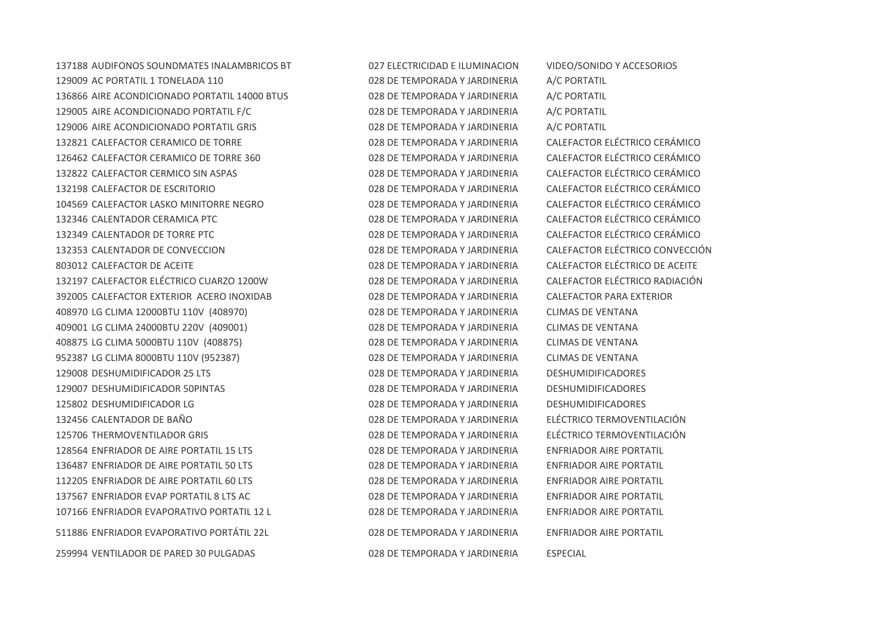AUDIFONOS SOUNDMATES INALAMBRICOS BT 027 ELECTRICIDAD E ILUMINACION VIDEO/SONIDO Y ACCESORIOS AC PORTATIL 1 TONELADA 110 028 DE TEMPORADA Y JARDINERIA A/C PORTATIL AIRE ACONDICIONADO PORTATIL 14000 BTUS 028 DE TEMPORADA Y JARDINERIA A/C PORTATIL AIRE ACONDICIONADO PORTATIL F/C 028 DE TEMPORADA Y JARDINERIA A/C PORTATIL AIRE ACONDICIONADO PORTATIL GRIS 028 DE TEMPORADA Y JARDINERIA A/C PORTATIL CALEFACTOR CERAMICO DE TORRE 028 DE TEMPORADA Y JARDINERIA CALEFACTOR ELÉCTRICO CERÁMICO CALEFACTOR CERAMICO DE TORRE 360 028 DE TEMPORADA Y JARDINERIA CALEFACTOR ELÉCTRICO CERÁMICO CALEFACTOR CERMICO SIN ASPAS 028 DE TEMPORADA Y JARDINERIA CALEFACTOR ELÉCTRICO CERÁMICO CALEFACTOR DE ESCRITORIO 028 DE TEMPORADA Y JARDINERIA CALEFACTOR ELÉCTRICO CERÁMICO CALEFACTOR LASKO MINITORRE NEGRO 028 DE TEMPORADA Y JARDINERIA CALEFACTOR ELÉCTRICO CERÁMICO CALENTADOR CERAMICA PTC 028 DE TEMPORADA Y JARDINERIA CALEFACTOR ELÉCTRICO CERÁMICO CALENTADOR DE TORRE PTC 028 DE TEMPORADA Y JARDINERIA CALEFACTOR ELÉCTRICO CERÁMICO CALENTADOR DE CONVECCION 028 DE TEMPORADA Y JARDINERIA CALEFACTOR ELÉCTRICO CONVECCIÓN 803012 CALEFACTOR DE ACEITE CONTRA LO DE ACEITE DE SOLO E ACEITE DE SOLO E ACEITE DE ACEITE DE ACEITE DE ACEITE CALEFACTOR ELÉCTRICO CUARZO 1200W 028 DE TEMPORADA Y JARDINERIA CALEFACTOR ELÉCTRICO RADIACIÓN CALEFACTOR EXTERIOR ACERO INOXIDAB 028 DE TEMPORADA Y JARDINERIA CALEFACTOR PARA EXTERIOR LG CLIMA 12000BTU 110V (408970) 028 DE TEMPORADA Y JARDINERIA CLIMAS DE VENTANA LG CLIMA 24000BTU 220V (409001) 028 DE TEMPORADA Y JARDINERIA CLIMAS DE VENTANA LG CLIMA 5000BTU 110V (408875) 028 DE TEMPORADA Y JARDINERIA CLIMAS DE VENTANA LG CLIMA 8000BTU 110V (952387) 028 DE TEMPORADA Y JARDINERIA CLIMAS DE VENTANA DESHUMIDIFICADOR 25 LTS 028 DE TEMPORADA Y JARDINERIA DESHUMIDIFICADORES DESHUMIDIFICADOR 50PINTAS 028 DE TEMPORADA Y JARDINERIA DESHUMIDIFICADORES DESHUMIDIFICADOR LG 028 DE TEMPORADA Y JARDINERIA DESHUMIDIFICADORES CALENTADOR DE BAÑO 028 DE TEMPORADA Y JARDINERIA ELÉCTRICO TERMOVENTILACIÓN THERMOVENTILADOR GRIS 028 DE TEMPORADA Y JARDINERIA ELÉCTRICO TERMOVENTILACIÓN ENFRIADOR DE AIRE PORTATIL 15 LTS 028 DE TEMPORADA Y JARDINERIA ENFRIADOR AIRE PORTATIL ENFRIADOR DE AIRE PORTATIL 50 LTS 028 DE TEMPORADA Y JARDINERIA ENFRIADOR AIRE PORTATIL ENFRIADOR DE AIRE PORTATIL 60 LTS 028 DE TEMPORADA Y JARDINERIA ENFRIADOR AIRE PORTATIL ENFRIADOR EVAP PORTATIL 8 LTS AC 028 DE TEMPORADA Y JARDINERIA ENFRIADOR AIRE PORTATIL ENFRIADOR EVAPORATIVO PORTATIL 12 L 028 DE TEMPORADA Y JARDINERIA ENFRIADOR AIRE PORTATIL ENFRIADOR EVAPORATIVO PORTÁTIL 22L 028 DE TEMPORADA Y JARDINERIA ENFRIADOR AIRE PORTATIL VENTILADOR DE PARED 30 PULGADAS 028 DE TEMPORADA Y JARDINERIA ESPECIAL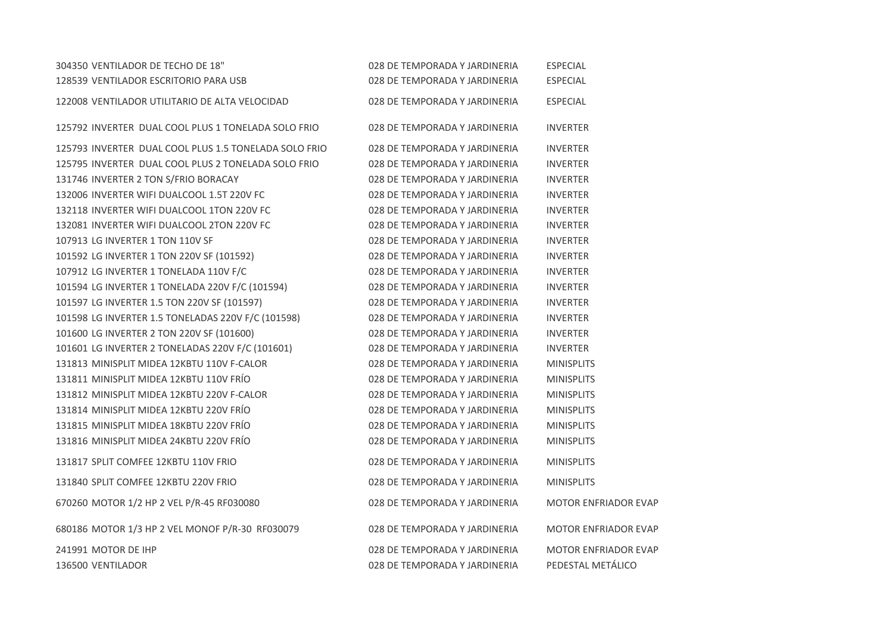| 304350 VENTILADOR DE TECHO DE 18"                     | 028 DE TEMPORADA Y JARDINERIA | <b>ESPECIAL</b>             |
|-------------------------------------------------------|-------------------------------|-----------------------------|
| 128539 VENTILADOR ESCRITORIO PARA USB                 | 028 DE TEMPORADA Y JARDINERIA | <b>ESPECIAL</b>             |
| 122008 VENTILADOR UTILITARIO DE ALTA VELOCIDAD        | 028 DE TEMPORADA Y JARDINERIA | <b>ESPECIAL</b>             |
| 125792 INVERTER DUAL COOL PLUS 1 TONELADA SOLO FRIO   | 028 DE TEMPORADA Y JARDINERIA | <b>INVERTER</b>             |
| 125793 INVERTER DUAL COOL PLUS 1.5 TONELADA SOLO FRIO | 028 DE TEMPORADA Y JARDINERIA | <b>INVERTER</b>             |
| 125795 INVERTER DUAL COOL PLUS 2 TONELADA SOLO FRIO   | 028 DE TEMPORADA Y JARDINERIA | <b>INVERTER</b>             |
| 131746 INVERTER 2 TON S/FRIO BORACAY                  | 028 DE TEMPORADA Y JARDINERIA | <b>INVERTER</b>             |
| 132006 INVERTER WIFI DUALCOOL 1.5T 220V FC            | 028 DE TEMPORADA Y JARDINERIA | <b>INVERTER</b>             |
| 132118 INVERTER WIFI DUALCOOL 1TON 220V FC            | 028 DE TEMPORADA Y JARDINERIA | <b>INVERTER</b>             |
| 132081 INVERTER WIFI DUALCOOL 2TON 220V FC            | 028 DE TEMPORADA Y JARDINERIA | <b>INVERTER</b>             |
| 107913 LG INVERTER 1 TON 110V SF                      | 028 DE TEMPORADA Y JARDINERIA | <b>INVERTER</b>             |
| 101592 LG INVERTER 1 TON 220V SF (101592)             | 028 DE TEMPORADA Y JARDINERIA | <b>INVERTER</b>             |
| 107912 LG INVERTER 1 TONELADA 110V F/C                | 028 DE TEMPORADA Y JARDINERIA | <b>INVERTER</b>             |
| 101594 LG INVERTER 1 TONELADA 220V F/C (101594)       | 028 DE TEMPORADA Y JARDINERIA | <b>INVERTER</b>             |
| 101597 LG INVERTER 1.5 TON 220V SF (101597)           | 028 DE TEMPORADA Y JARDINERIA | <b>INVERTER</b>             |
| 101598 LG INVERTER 1.5 TONELADAS 220V F/C (101598)    | 028 DE TEMPORADA Y JARDINERIA | <b>INVERTER</b>             |
| 101600 LG INVERTER 2 TON 220V SF (101600)             | 028 DE TEMPORADA Y JARDINERIA | <b>INVERTER</b>             |
| 101601 LG INVERTER 2 TONELADAS 220V F/C (101601)      | 028 DE TEMPORADA Y JARDINERIA | <b>INVERTER</b>             |
| 131813 MINISPLIT MIDEA 12KBTU 110V F-CALOR            | 028 DE TEMPORADA Y JARDINERIA | <b>MINISPLITS</b>           |
| 131811 MINISPLIT MIDEA 12KBTU 110V FRÍO               | 028 DE TEMPORADA Y JARDINERIA | <b>MINISPLITS</b>           |
| 131812 MINISPLIT MIDEA 12KBTU 220V F-CALOR            | 028 DE TEMPORADA Y JARDINERIA | <b>MINISPLITS</b>           |
| 131814 MINISPLIT MIDEA 12KBTU 220V FRIO               | 028 DE TEMPORADA Y JARDINERIA | <b>MINISPLITS</b>           |
| 131815 MINISPLIT MIDEA 18KBTU 220V FRÍO               | 028 DE TEMPORADA Y JARDINERIA | <b>MINISPLITS</b>           |
| 131816 MINISPLIT MIDEA 24KBTU 220V FRÍO               | 028 DE TEMPORADA Y JARDINERIA | <b>MINISPLITS</b>           |
| 131817 SPLIT COMFEE 12KBTU 110V FRIO                  | 028 DE TEMPORADA Y JARDINERIA | <b>MINISPLITS</b>           |
| 131840 SPLIT COMFEE 12KBTU 220V FRIO                  | 028 DE TEMPORADA Y JARDINERIA | <b>MINISPLITS</b>           |
| 670260 MOTOR 1/2 HP 2 VEL P/R-45 RF030080             | 028 DE TEMPORADA Y JARDINERIA | <b>MOTOR ENFRIADOR EVAP</b> |
| 680186 MOTOR 1/3 HP 2 VEL MONOF P/R-30 RF030079       | 028 DE TEMPORADA Y JARDINERIA | <b>MOTOR ENFRIADOR EVAP</b> |
| 241991 MOTOR DE IHP                                   | 028 DE TEMPORADA Y JARDINERIA | <b>MOTOR ENFRIADOR EVAP</b> |
| 136500 VENTILADOR                                     | 028 DE TEMPORADA Y JARDINERIA | PEDESTAL METÁLICO           |
|                                                       |                               |                             |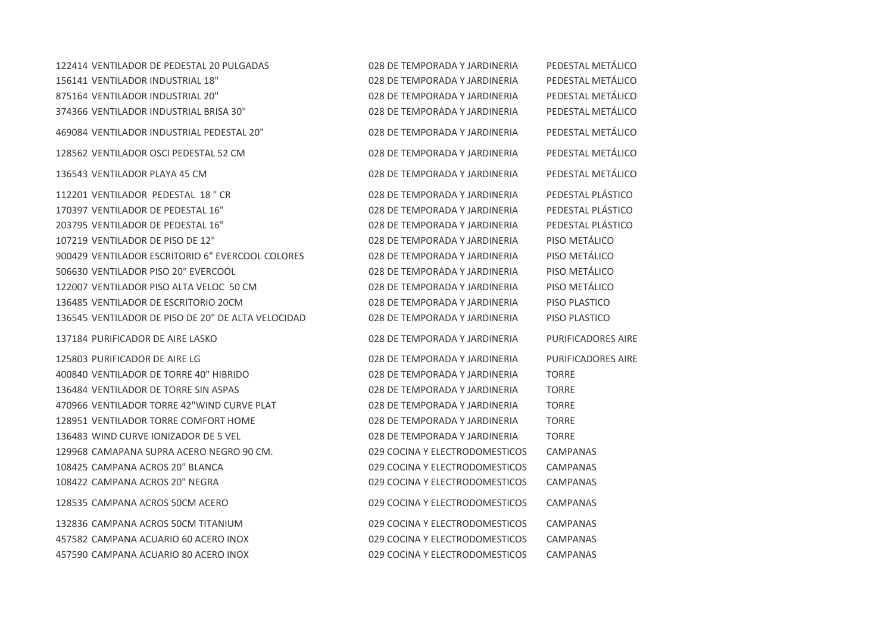| 122414 VENTILADOR DE PEDESTAL 20 PULGADAS          | 028 DE TEMPORADA Y JARDINERIA  | PEDESTAL METÁLICO  |
|----------------------------------------------------|--------------------------------|--------------------|
| 156141 VENTILADOR INDUSTRIAL 18"                   | 028 DE TEMPORADA Y JARDINERIA  | PEDESTAL METÁLICO  |
| 875164 VENTILADOR INDUSTRIAL 20"                   | 028 DE TEMPORADA Y JARDINERIA  | PEDESTAL METÁLICO  |
| 374366 VENTILADOR INDUSTRIAL BRISA 30"             | 028 DE TEMPORADA Y JARDINERIA  | PEDESTAL METÁLICO  |
| 469084 VENTILADOR INDUSTRIAL PEDESTAL 20"          | 028 DE TEMPORADA Y JARDINERIA  | PEDESTAL METÁLICO  |
| 128562 VENTILADOR OSCI PEDESTAL 52 CM              | 028 DE TEMPORADA Y JARDINERIA  | PEDESTAL METÁLICO  |
| 136543 VENTILADOR PLAYA 45 CM                      | 028 DE TEMPORADA Y JARDINERIA  | PEDESTAL METÁLICO  |
| 112201 VENTILADOR PEDESTAL 18" CR                  | 028 DE TEMPORADA Y JARDINERIA  | PEDESTAL PLÁSTICO  |
| 170397 VENTILADOR DE PEDESTAL 16"                  | 028 DE TEMPORADA Y JARDINERIA  | PEDESTAL PLÁSTICO  |
| 203795 VENTILADOR DE PEDESTAL 16"                  | 028 DE TEMPORADA Y JARDINERIA  | PEDESTAL PLÁSTICO  |
| 107219 VENTILADOR DE PISO DE 12"                   | 028 DE TEMPORADA Y JARDINERIA  | PISO METÁLICO      |
| 900429 VENTILADOR ESCRITORIO 6" EVERCOOL COLORES   | 028 DE TEMPORADA Y JARDINERIA  | PISO METÁLICO      |
| 506630 VENTILADOR PISO 20" EVERCOOL                | 028 DE TEMPORADA Y JARDINERIA  | PISO METÁLICO      |
| 122007 VENTILADOR PISO ALTA VELOC 50 CM            | 028 DE TEMPORADA Y JARDINERIA  | PISO METÁLICO      |
| 136485 VENTILADOR DE ESCRITORIO 20CM               | 028 DE TEMPORADA Y JARDINERIA  | PISO PLASTICO      |
| 136545 VENTILADOR DE PISO DE 20" DE ALTA VELOCIDAD | 028 DE TEMPORADA Y JARDINERIA  | PISO PLASTICO      |
| 137184 PURIFICADOR DE AIRE LASKO                   | 028 DE TEMPORADA Y JARDINERIA  | PURIFICADORES AIRE |
| 125803 PURIFICADOR DE AIRE LG                      | 028 DE TEMPORADA Y JARDINERIA  | PURIFICADORES AIRE |
| 400840 VENTILADOR DE TORRE 40" HIBRIDO             | 028 DE TEMPORADA Y JARDINERIA  | <b>TORRE</b>       |
| 136484 VENTILADOR DE TORRE SIN ASPAS               | 028 DE TEMPORADA Y JARDINERIA  | <b>TORRE</b>       |
| 470966 VENTILADOR TORRE 42"WIND CURVE PLAT         | 028 DE TEMPORADA Y JARDINERIA  | <b>TORRE</b>       |
| 128951 VENTILADOR TORRE COMFORT HOME               | 028 DE TEMPORADA Y JARDINERIA  | <b>TORRE</b>       |
| 136483 WIND CURVE IONIZADOR DE 5 VEL               | 028 DE TEMPORADA Y JARDINERIA  | <b>TORRE</b>       |
| 129968 CAMAPANA SUPRA ACERO NEGRO 90 CM.           | 029 COCINA Y ELECTRODOMESTICOS | <b>CAMPANAS</b>    |
| 108425 CAMPANA ACROS 20" BLANCA                    | 029 COCINA Y ELECTRODOMESTICOS | <b>CAMPANAS</b>    |
| 108422 CAMPANA ACROS 20" NEGRA                     | 029 COCINA Y ELECTRODOMESTICOS | <b>CAMPANAS</b>    |
| 128535 CAMPANA ACROS 50CM ACERO                    | 029 COCINA Y ELECTRODOMESTICOS | <b>CAMPANAS</b>    |
| 132836 CAMPANA ACROS 50CM TITANIUM                 | 029 COCINA Y ELECTRODOMESTICOS | <b>CAMPANAS</b>    |
| 457582 CAMPANA ACUARIO 60 ACERO INOX               | 029 COCINA Y ELECTRODOMESTICOS | <b>CAMPANAS</b>    |
| 457590 CAMPANA ACUARIO 80 ACERO INOX               | 029 COCINA Y ELECTRODOMESTICOS | <b>CAMPANAS</b>    |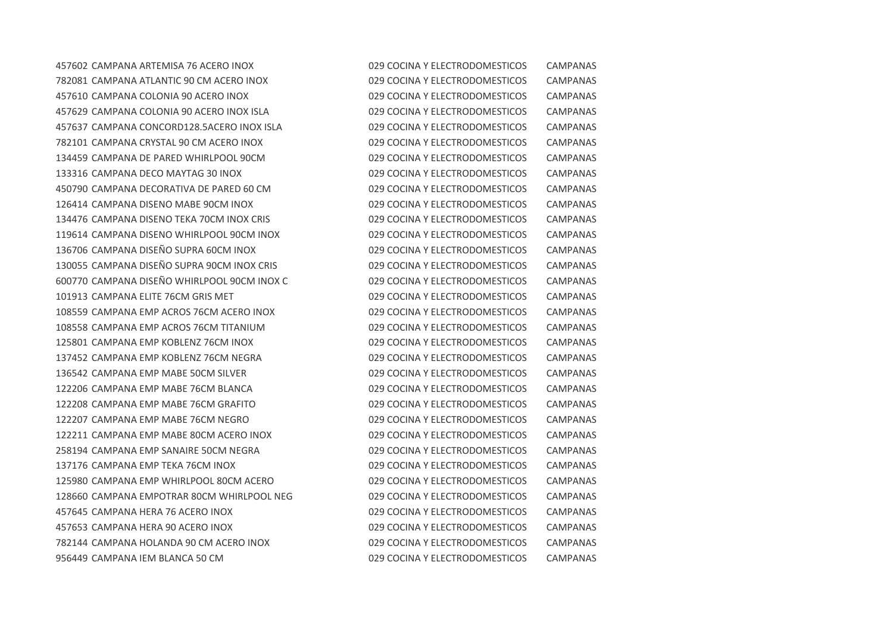CAMPANA ARTEMISA 76 ACERO INOX 029 COCINA Y ELECTRODOMESTICOS CAMPANAS CAMPANA ATLANTIC 90 CM ACERO INOX 029 COCINA Y ELECTRODOMESTICOS CAMPANAS CAMPANA COLONIA 90 ACERO INOX 029 COCINA Y ELECTRODOMESTICOS CAMPANAS CAMPANA COLONIA 90 ACERO INOX ISLA 029 COCINA Y ELECTRODOMESTICOS CAMPANAS CAMPANA CONCORD128.5ACERO INOX ISLA 029 COCINA Y ELECTRODOMESTICOS CAMPANAS CAMPANA CRYSTAL 90 CM ACERO INOX 029 COCINA Y ELECTRODOMESTICOS CAMPANAS CAMPANA DE PARED WHIRLPOOL 90CM 029 COCINA Y ELECTRODOMESTICOS CAMPANAS CAMPANA DECO MAYTAG 30 INOX 029 COCINA Y ELECTRODOMESTICOS CAMPANAS CAMPANA DECORATIVA DE PARED 60 CM 029 COCINA Y ELECTRODOMESTICOS CAMPANAS CAMPANA DISENO MABE 90CM INOX 029 COCINA Y ELECTRODOMESTICOS CAMPANAS CAMPANA DISENO TEKA 70CM INOX CRIS 029 COCINA Y ELECTRODOMESTICOS CAMPANAS CAMPANA DISENO WHIRLPOOL 90CM INOX 029 COCINA Y ELECTRODOMESTICOS CAMPANAS CAMPANA DISEÑO SUPRA 60CM INOX 029 COCINA Y ELECTRODOMESTICOS CAMPANAS CAMPANA DISEÑO SUPRA 90CM INOX CRIS 029 COCINA Y ELECTRODOMESTICOS CAMPANAS CAMPANA DISEÑO WHIRLPOOL 90CM INOX C 029 COCINA Y ELECTRODOMESTICOS CAMPANAS CAMPANA ELITE 76CM GRIS MET 029 COCINA Y ELECTRODOMESTICOS CAMPANAS CAMPANA EMP ACROS 76CM ACERO INOX 029 COCINA Y ELECTRODOMESTICOS CAMPANAS CAMPANA EMP ACROS 76CM TITANIUM 029 COCINA Y ELECTRODOMESTICOS CAMPANAS CAMPANA EMP KOBLENZ 76CM INOX 029 COCINA Y ELECTRODOMESTICOS CAMPANAS CAMPANA EMP KOBLENZ 76CM NEGRA 029 COCINA Y ELECTRODOMESTICOS CAMPANAS CAMPANA EMP MABE 50CM SILVER 029 COCINA Y ELECTRODOMESTICOS CAMPANAS CAMPANA EMP MABE 76CM BLANCA 029 COCINA Y ELECTRODOMESTICOS CAMPANAS CAMPANA EMP MABE 76CM GRAFITO 029 COCINA Y ELECTRODOMESTICOS CAMPANAS CAMPANA EMP MABE 76CM NEGRO 029 COCINA Y ELECTRODOMESTICOS CAMPANAS CAMPANA EMP MABE 80CM ACERO INOX 029 COCINA Y ELECTRODOMESTICOS CAMPANAS CAMPANA EMP SANAIRE 50CM NEGRA 029 COCINA Y ELECTRODOMESTICOS CAMPANAS CAMPANA EMP TEKA 76CM INOX 029 COCINA Y ELECTRODOMESTICOS CAMPANAS CAMPANA EMP WHIRLPOOL 80CM ACERO 029 COCINA Y ELECTRODOMESTICOS CAMPANAS CAMPANA EMPOTRAR 80CM WHIRLPOOL NEG 029 COCINA Y ELECTRODOMESTICOS CAMPANAS CAMPANA HERA 76 ACERO INOX 029 COCINA Y ELECTRODOMESTICOS CAMPANAS CAMPANA HERA 90 ACERO INOX 029 COCINA Y ELECTRODOMESTICOS CAMPANAS CAMPANA HOLANDA 90 CM ACERO INOX 029 COCINA Y ELECTRODOMESTICOS CAMPANAS CAMPANA IEM BLANCA 50 CM 029 COCINA Y ELECTRODOMESTICOS CAMPANAS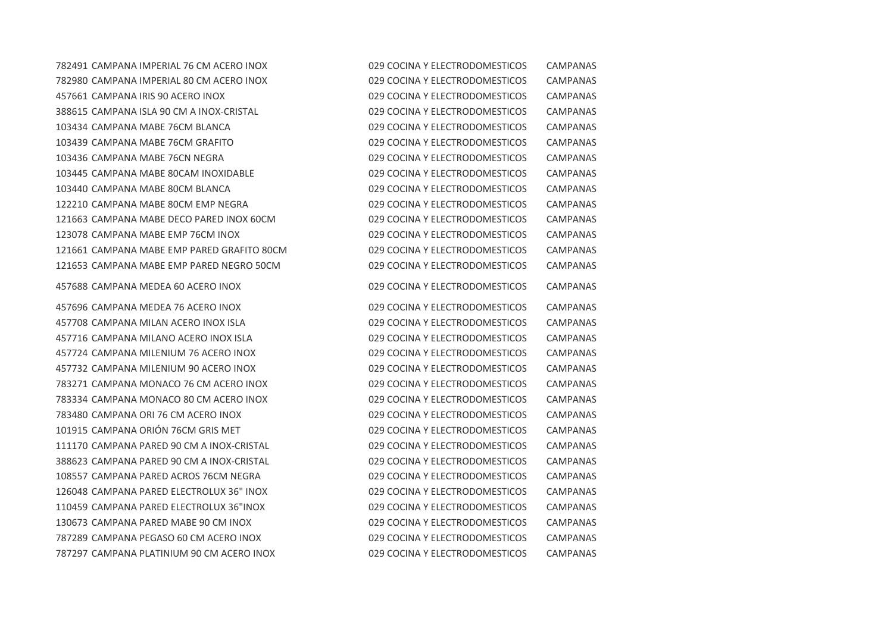CAMPANA IMPERIAL 76 CM ACERO INOX 029 COCINA Y ELECTRODOMESTICOS CAMPANAS CAMPANA IMPERIAL 80 CM ACERO INOX 029 COCINA Y ELECTRODOMESTICOS CAMPANAS CAMPANA IRIS 90 ACERO INOX 029 COCINA Y ELECTRODOMESTICOS CAMPANAS CAMPANA ISLA 90 CM A INOX-CRISTAL 029 COCINA Y ELECTRODOMESTICOS CAMPANAS CAMPANA MABE 76CM BLANCA 029 COCINA Y ELECTRODOMESTICOS CAMPANAS CAMPANA MABE 76CM GRAFITO 029 COCINA Y ELECTRODOMESTICOS CAMPANAS CAMPANA MABE 76CN NEGRA 029 COCINA Y ELECTRODOMESTICOS CAMPANAS CAMPANA MABE 80CAM INOXIDABLE 029 COCINA Y ELECTRODOMESTICOS CAMPANAS CAMPANA MABE 80CM BLANCA 029 COCINA Y ELECTRODOMESTICOS CAMPANAS CAMPANA MABE 80CM EMP NEGRA 029 COCINA Y ELECTRODOMESTICOS CAMPANAS CAMPANA MABE DECO PARED INOX 60CM 029 COCINA Y ELECTRODOMESTICOS CAMPANAS CAMPANA MABE EMP 76CM INOX 029 COCINA Y ELECTRODOMESTICOS CAMPANAS CAMPANA MABE EMP PARED GRAFITO 80CM 029 COCINA Y ELECTRODOMESTICOS CAMPANAS CAMPANA MABE EMP PARED NEGRO 50CM 029 COCINA Y ELECTRODOMESTICOS CAMPANAS CAMPANA MEDEA 60 ACERO INOX 029 COCINA Y ELECTRODOMESTICOS CAMPANAS CAMPANA MEDEA 76 ACERO INOX 029 COCINA Y ELECTRODOMESTICOS CAMPANAS CAMPANA MILAN ACERO INOX ISLA 029 COCINA Y ELECTRODOMESTICOS CAMPANAS CAMPANA MILANO ACERO INOX ISLA 029 COCINA Y ELECTRODOMESTICOS CAMPANAS CAMPANA MILENIUM 76 ACERO INOX 029 COCINA Y ELECTRODOMESTICOS CAMPANAS CAMPANA MILENIUM 90 ACERO INOX 029 COCINA Y ELECTRODOMESTICOS CAMPANAS CAMPANA MONACO 76 CM ACERO INOX 029 COCINA Y ELECTRODOMESTICOS CAMPANAS CAMPANA MONACO 80 CM ACERO INOX 029 COCINA Y ELECTRODOMESTICOS CAMPANAS CAMPANA ORI 76 CM ACERO INOX 029 COCINA Y ELECTRODOMESTICOS CAMPANAS CAMPANA ORIÓN 76CM GRIS MET 029 COCINA Y ELECTRODOMESTICOS CAMPANAS CAMPANA PARED 90 CM A INOX-CRISTAL 029 COCINA Y ELECTRODOMESTICOS CAMPANAS CAMPANA PARED 90 CM A INOX-CRISTAL 029 COCINA Y ELECTRODOMESTICOS CAMPANAS CAMPANA PARED ACROS 76CM NEGRA 029 COCINA Y ELECTRODOMESTICOS CAMPANAS CAMPANA PARED ELECTROLUX 36" INOX 029 COCINA Y ELECTRODOMESTICOS CAMPANAS CAMPANA PARED ELECTROLUX 36"INOX 029 COCINA Y ELECTRODOMESTICOS CAMPANAS CAMPANA PARED MABE 90 CM INOX 029 COCINA Y ELECTRODOMESTICOS CAMPANAS CAMPANA PEGASO 60 CM ACERO INOX 029 COCINA Y ELECTRODOMESTICOS CAMPANAS CAMPANA PLATINIUM 90 CM ACERO INOX 029 COCINA Y ELECTRODOMESTICOS CAMPANAS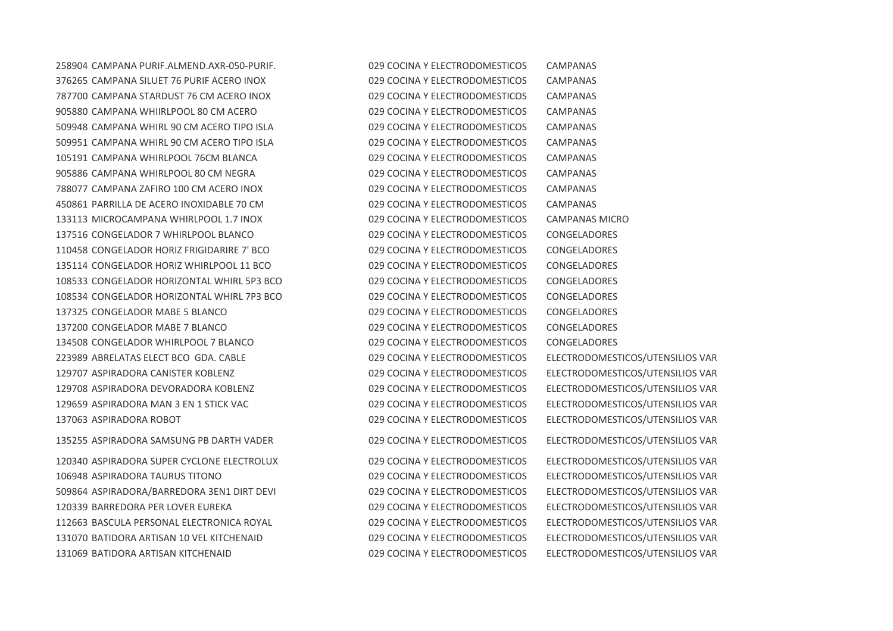CAMPANA SILUET 76 PURIF ACERO INOX 029 COCINA Y ELECTRODOMESTICOS CAMPANAS CAMPANA STARDUST 76 CM ACERO INOX 029 COCINA Y ELECTRODOMESTICOS CAMPANAS CAMPANA WHIIRLPOOL 80 CM ACERO 029 COCINA Y ELECTRODOMESTICOS CAMPANAS CAMPANA WHIRL 90 CM ACERO TIPO ISLA 029 COCINA Y ELECTRODOMESTICOS CAMPANAS CAMPANA WHIRL 90 CM ACERO TIPO ISLA 029 COCINA Y ELECTRODOMESTICOS CAMPANAS CAMPANA WHIRLPOOL 76CM BLANCA 029 COCINA Y ELECTRODOMESTICOS CAMPANAS CAMPANA WHIRLPOOL 80 CM NEGRA 029 COCINA Y ELECTRODOMESTICOS CAMPANAS CAMPANA ZAFIRO 100 CM ACERO INOX 029 COCINA Y ELECTRODOMESTICOS CAMPANAS PARRILLA DE ACERO INOXIDABLE 70 CM 029 COCINA Y ELECTRODOMESTICOS CAMPANAS MICROCAMPANA WHIRLPOOL 1.7 INOX 029 COCINA Y ELECTRODOMESTICOS CAMPANAS MICRO CONGELADOR 7 WHIRLPOOL BLANCO 029 COCINA Y ELECTRODOMESTICOS CONGELADORES CONGELADOR HORIZ FRIGIDARIRE 7' BCO 029 COCINA Y ELECTRODOMESTICOS CONGELADORES CONGELADOR HORIZ WHIRLPOOL 11 BCO 029 COCINA Y ELECTRODOMESTICOS CONGELADORES CONGELADOR HORIZONTAL WHIRL 5P3 BCO 029 COCINA Y ELECTRODOMESTICOS CONGELADORES CONGELADOR HORIZONTAL WHIRL 7P3 BCO 029 COCINA Y ELECTRODOMESTICOS CONGELADORES CONGELADOR MABE 5 BLANCO 029 COCINA Y ELECTRODOMESTICOS CONGELADORES CONGELADOR MABE 7 BLANCO 029 COCINA Y ELECTRODOMESTICOS CONGELADORES CONGELADOR WHIRLPOOL 7 BLANCO 029 COCINA Y ELECTRODOMESTICOS CONGELADORES ABRELATAS ELECT BCO GDA. CABLE 029 COCINA Y ELECTRODOMESTICOS ELECTRODOMESTICOS/UTENSILIOS VAR ASPIRADORA CANISTER KOBLENZ 029 COCINA Y ELECTRODOMESTICOS ELECTRODOMESTICOS/UTENSILIOS VAR ASPIRADORA DEVORADORA KOBLENZ 029 COCINA Y ELECTRODOMESTICOS ELECTRODOMESTICOS/UTENSILIOS VAR ASPIRADORA MAN 3 EN 1 STICK VAC 029 COCINA Y ELECTRODOMESTICOS ELECTRODOMESTICOS/UTENSILIOS VAR ASPIRADORA ROBOT 029 COCINA Y ELECTRODOMESTICOS ELECTRODOMESTICOS/UTENSILIOS VAR

ASPIRADORA SAMSUNG PB DARTH VADER 029 COCINA Y ELECTRODOMESTICOS ELECTRODOMESTICOS/UTENSILIOS VAR

 ASPIRADORA SUPER CYCLONE ELECTROLUX 029 COCINA Y ELECTRODOMESTICOS ELECTRODOMESTICOS/UTENSILIOS VAR ASPIRADORA TAURUS TITONO 029 COCINA Y ELECTRODOMESTICOS ELECTRODOMESTICOS/UTENSILIOS VAR ASPIRADORA/BARREDORA 3EN1 DIRT DEVI 029 COCINA Y ELECTRODOMESTICOS ELECTRODOMESTICOS/UTENSILIOS VAR BARREDORA PER LOVER EUREKA 029 COCINA Y ELECTRODOMESTICOS ELECTRODOMESTICOS/UTENSILIOS VAR BASCULA PERSONAL ELECTRONICA ROYAL 029 COCINA Y ELECTRODOMESTICOS ELECTRODOMESTICOS/UTENSILIOS VAR BATIDORA ARTISAN 10 VEL KITCHENAID 029 COCINA Y ELECTRODOMESTICOS ELECTRODOMESTICOS/UTENSILIOS VAR BATIDORA ARTISAN KITCHENAID 029 COCINA Y ELECTRODOMESTICOS ELECTRODOMESTICOS/UTENSILIOS VAR

CAMPANA PURIF.ALMEND.AXR-050-PURIF. 029 COCINA Y ELECTRODOMESTICOS CAMPANAS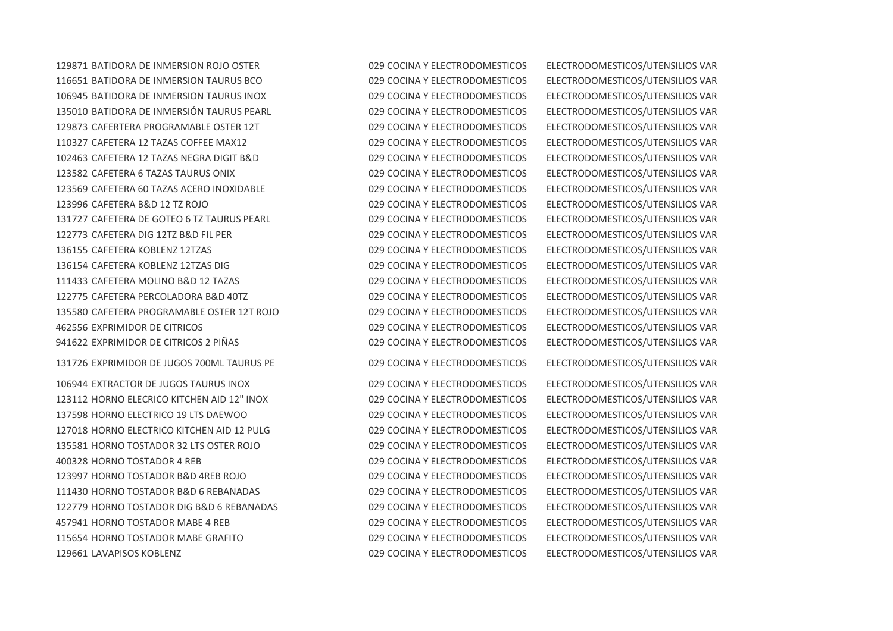BATIDORA DE INMERSION ROJO OSTER 029 COCINA Y ELECTRODOMESTICOS ELECTRODOMESTICOS/UTENSILIOS VAR BATIDORA DE INMERSION TAURUS BCO 029 COCINA Y ELECTRODOMESTICOS ELECTRODOMESTICOS/UTENSILIOS VAR BATIDORA DE INMERSION TAURUS INOX 029 COCINA Y ELECTRODOMESTICOS ELECTRODOMESTICOS/UTENSILIOS VAR BATIDORA DE INMERSIÓN TAURUS PEARL 029 COCINA Y ELECTRODOMESTICOS ELECTRODOMESTICOS/UTENSILIOS VAR CAFERTERA PROGRAMABLE OSTER 12T 029 COCINA Y ELECTRODOMESTICOS ELECTRODOMESTICOS/UTENSILIOS VAR CAFETERA 12 TAZAS COFFEE MAX12 029 COCINA Y ELECTRODOMESTICOS ELECTRODOMESTICOS/UTENSILIOS VAR CAFETERA 12 TAZAS NEGRA DIGIT B&D 029 COCINA Y ELECTRODOMESTICOS ELECTRODOMESTICOS/UTENSILIOS VAR CAFETERA 6 TAZAS TAURUS ONIX 029 COCINA Y ELECTRODOMESTICOS ELECTRODOMESTICOS/UTENSILIOS VAR CAFETERA 60 TAZAS ACERO INOXIDABLE 029 COCINA Y ELECTRODOMESTICOS ELECTRODOMESTICOS/UTENSILIOS VAR CAFETERA B&D 12 TZ ROJO 029 COCINA Y ELECTRODOMESTICOS ELECTRODOMESTICOS/UTENSILIOS VAR CAFETERA DE GOTEO 6 TZ TAURUS PEARL 029 COCINA Y ELECTRODOMESTICOS ELECTRODOMESTICOS/UTENSILIOS VAR CAFETERA DIG 12TZ B&D FIL PER 029 COCINA Y ELECTRODOMESTICOS ELECTRODOMESTICOS/UTENSILIOS VAR CAFETERA KOBLENZ 12TZAS 029 COCINA Y ELECTRODOMESTICOS ELECTRODOMESTICOS/UTENSILIOS VAR CAFETERA KOBLENZ 12TZAS DIG 029 COCINA Y ELECTRODOMESTICOS ELECTRODOMESTICOS/UTENSILIOS VAR CAFETERA MOLINO B&D 12 TAZAS 029 COCINA Y ELECTRODOMESTICOS ELECTRODOMESTICOS/UTENSILIOS VAR CAFETERA PERCOLADORA B&D 40TZ 029 COCINA Y ELECTRODOMESTICOS ELECTRODOMESTICOS/UTENSILIOS VAR CAFETERA PROGRAMABLE OSTER 12T ROJO 029 COCINA Y ELECTRODOMESTICOS ELECTRODOMESTICOS/UTENSILIOS VAR EXPRIMIDOR DE CITRICOS 029 COCINA Y ELECTRODOMESTICOS ELECTRODOMESTICOS/UTENSILIOS VAR EXPRIMIDOR DE CITRICOS 2 PIÑAS 029 COCINA Y ELECTRODOMESTICOS ELECTRODOMESTICOS/UTENSILIOS VAR

EXPRIMIDOR DE JUGOS 700ML TAURUS PE 029 COCINA Y ELECTRODOMESTICOS ELECTRODOMESTICOS/UTENSILIOS VAR

 EXTRACTOR DE JUGOS TAURUS INOX 029 COCINA Y ELECTRODOMESTICOS ELECTRODOMESTICOS/UTENSILIOS VAR HORNO ELECRICO KITCHEN AID 12" INOX 029 COCINA Y ELECTRODOMESTICOS ELECTRODOMESTICOS/UTENSILIOS VAR HORNO ELECTRICO 19 LTS DAEWOO 029 COCINA Y ELECTRODOMESTICOS ELECTRODOMESTICOS/UTENSILIOS VAR HORNO ELECTRICO KITCHEN AID 12 PULG 029 COCINA Y ELECTRODOMESTICOS ELECTRODOMESTICOS/UTENSILIOS VAR HORNO TOSTADOR 32 LTS OSTER ROJO 029 COCINA Y ELECTRODOMESTICOS ELECTRODOMESTICOS/UTENSILIOS VAR HORNO TOSTADOR 4 REB 029 COCINA Y ELECTRODOMESTICOS ELECTRODOMESTICOS/UTENSILIOS VAR HORNO TOSTADOR B&D 4REB ROJO 029 COCINA Y ELECTRODOMESTICOS ELECTRODOMESTICOS/UTENSILIOS VAR HORNO TOSTADOR B&D 6 REBANADAS 029 COCINA Y ELECTRODOMESTICOS ELECTRODOMESTICOS/UTENSILIOS VAR HORNO TOSTADOR DIG B&D 6 REBANADAS 029 COCINA Y ELECTRODOMESTICOS ELECTRODOMESTICOS/UTENSILIOS VAR HORNO TOSTADOR MABE 4 REB 029 COCINA Y ELECTRODOMESTICOS ELECTRODOMESTICOS/UTENSILIOS VAR HORNO TOSTADOR MABE GRAFITO 029 COCINA Y ELECTRODOMESTICOS ELECTRODOMESTICOS/UTENSILIOS VAR LAVAPISOS KOBLENZ 029 COCINA Y ELECTRODOMESTICOS ELECTRODOMESTICOS/UTENSILIOS VAR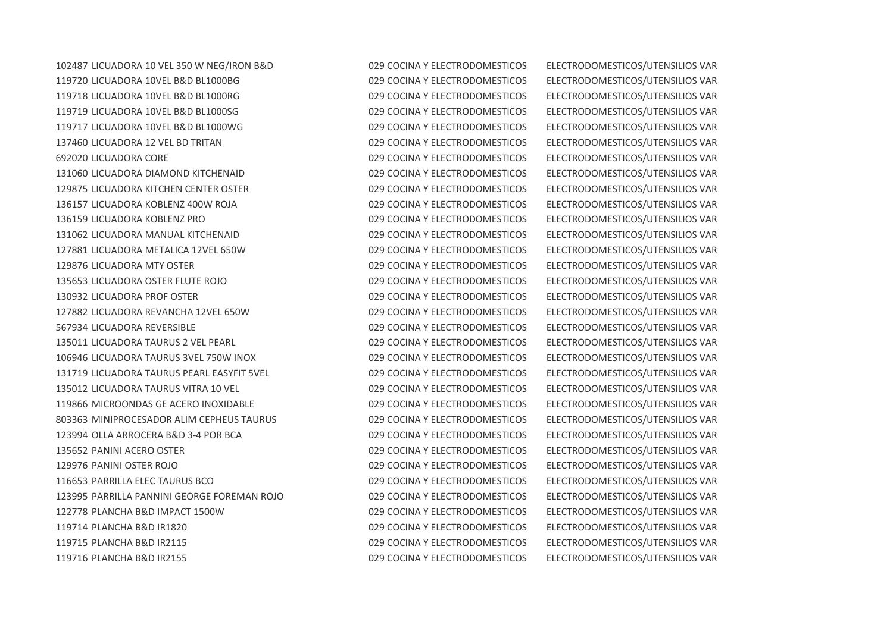LICUADORA 10 VEL 350 W NEG/IRON B&D 029 COCINA Y ELECTRODOMESTICOS ELECTRODOMESTICOS/UTENSILIOS VAR LICUADORA 10VEL B&D BL1000BG 029 COCINA Y ELECTRODOMESTICOS ELECTRODOMESTICOS/UTENSILIOS VAR LICUADORA 10VEL B&D BL1000RG 029 COCINA Y ELECTRODOMESTICOS ELECTRODOMESTICOS/UTENSILIOS VAR LICUADORA 10VEL B&D BL1000SG 029 COCINA Y ELECTRODOMESTICOS ELECTRODOMESTICOS/UTENSILIOS VAR LICUADORA 10VEL B&D BL1000WG 029 COCINA Y ELECTRODOMESTICOS ELECTRODOMESTICOS/UTENSILIOS VAR LICUADORA 12 VEL BD TRITAN 029 COCINA Y ELECTRODOMESTICOS ELECTRODOMESTICOS/UTENSILIOS VAR LICUADORA CORE 029 COCINA Y ELECTRODOMESTICOS ELECTRODOMESTICOS/UTENSILIOS VAR LICUADORA DIAMOND KITCHENAID 029 COCINA Y ELECTRODOMESTICOS ELECTRODOMESTICOS/UTENSILIOS VAR LICUADORA KITCHEN CENTER OSTER 029 COCINA Y ELECTRODOMESTICOS ELECTRODOMESTICOS/UTENSILIOS VAR LICUADORA KOBLENZ 400W ROJA 029 COCINA Y ELECTRODOMESTICOS ELECTRODOMESTICOS/UTENSILIOS VAR LICUADORA KOBLENZ PRO 029 COCINA Y ELECTRODOMESTICOS ELECTRODOMESTICOS/UTENSILIOS VAR LICUADORA MANUAL KITCHENAID 029 COCINA Y ELECTRODOMESTICOS ELECTRODOMESTICOS/UTENSILIOS VAR LICUADORA METALICA 12VEL 650W 029 COCINA Y ELECTRODOMESTICOS ELECTRODOMESTICOS/UTENSILIOS VAR LICUADORA MTY OSTER 029 COCINA Y ELECTRODOMESTICOS ELECTRODOMESTICOS/UTENSILIOS VAR LICUADORA OSTER FLUTE ROJO 029 COCINA Y ELECTRODOMESTICOS ELECTRODOMESTICOS/UTENSILIOS VAR LICUADORA PROF OSTER 029 COCINA Y ELECTRODOMESTICOS ELECTRODOMESTICOS/UTENSILIOS VAR LICUADORA REVANCHA 12VEL 650W 029 COCINA Y ELECTRODOMESTICOS ELECTRODOMESTICOS/UTENSILIOS VAR LICUADORA REVERSIBLE 029 COCINA Y ELECTRODOMESTICOS ELECTRODOMESTICOS/UTENSILIOS VAR LICUADORA TAURUS 2 VEL PEARL 029 COCINA Y ELECTRODOMESTICOS ELECTRODOMESTICOS/UTENSILIOS VAR LICUADORA TAURUS 3VEL 750W INOX 029 COCINA Y ELECTRODOMESTICOS ELECTRODOMESTICOS/UTENSILIOS VAR LICUADORA TAURUS PEARL EASYFIT 5VEL 029 COCINA Y ELECTRODOMESTICOS ELECTRODOMESTICOS/UTENSILIOS VAR LICUADORA TAURUS VITRA 10 VEL 029 COCINA Y ELECTRODOMESTICOS ELECTRODOMESTICOS/UTENSILIOS VAR MICROONDAS GE ACERO INOXIDABLE 029 COCINA Y ELECTRODOMESTICOS ELECTRODOMESTICOS/UTENSILIOS VAR MINIPROCESADOR ALIM CEPHEUS TAURUS 029 COCINA Y ELECTRODOMESTICOS ELECTRODOMESTICOS/UTENSILIOS VAR OLLA ARROCERA B&D 3-4 POR BCA 029 COCINA Y ELECTRODOMESTICOS ELECTRODOMESTICOS/UTENSILIOS VAR PANINI ACERO OSTER 029 COCINA Y ELECTRODOMESTICOS ELECTRODOMESTICOS/UTENSILIOS VAR PANINI OSTER ROJO 029 COCINA Y ELECTRODOMESTICOS ELECTRODOMESTICOS/UTENSILIOS VAR PARRILLA ELEC TAURUS BCO 029 COCINA Y ELECTRODOMESTICOS ELECTRODOMESTICOS/UTENSILIOS VAR PARRILLA PANNINI GEORGE FOREMAN ROJO 029 COCINA Y ELECTRODOMESTICOS ELECTRODOMESTICOS/UTENSILIOS VAR PLANCHA B&D IMPACT 1500W 029 COCINA Y ELECTRODOMESTICOS ELECTRODOMESTICOS/UTENSILIOS VAR PLANCHA B&D IR1820 029 COCINA Y ELECTRODOMESTICOS ELECTRODOMESTICOS/UTENSILIOS VAR PLANCHA B&D IR2115 029 COCINA Y ELECTRODOMESTICOS ELECTRODOMESTICOS/UTENSILIOS VAR PLANCHA B&D IR2155 029 COCINA Y ELECTRODOMESTICOS ELECTRODOMESTICOS/UTENSILIOS VAR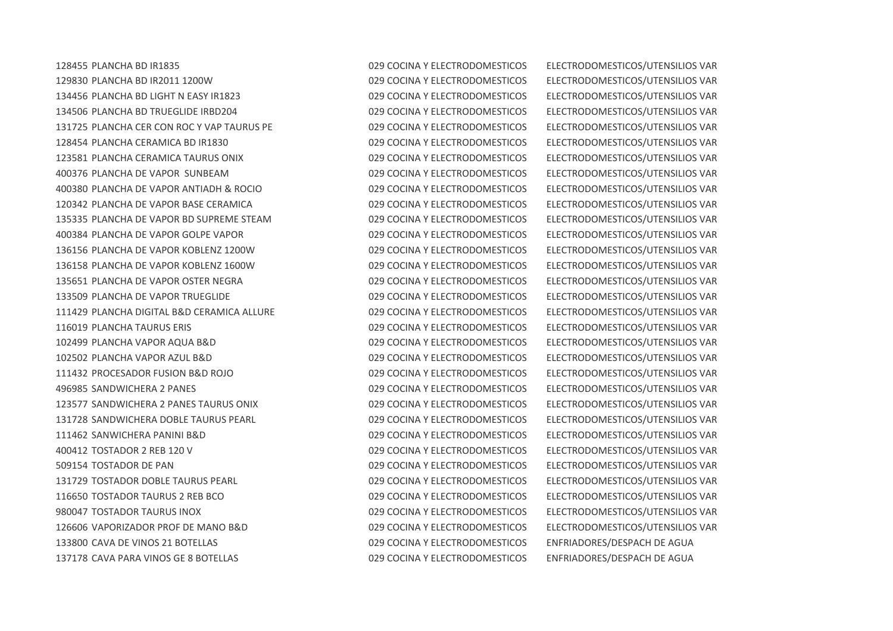PLANCHA BD IR1835 029 COCINA Y ELECTRODOMESTICOS ELECTRODOMESTICOS/UTENSILIOS VAR PLANCHA BD IR2011 1200W 029 COCINA Y ELECTRODOMESTICOS ELECTRODOMESTICOS/UTENSILIOS VAR PLANCHA BD LIGHT N EASY IR1823 029 COCINA Y ELECTRODOMESTICOS ELECTRODOMESTICOS/UTENSILIOS VAR PLANCHA BD TRUEGLIDE IRBD204 029 COCINA Y ELECTRODOMESTICOS ELECTRODOMESTICOS/UTENSILIOS VAR PLANCHA CER CON ROC Y VAP TAURUS PE 029 COCINA Y ELECTRODOMESTICOS ELECTRODOMESTICOS/UTENSILIOS VAR PLANCHA CERAMICA BD IR1830 029 COCINA Y ELECTRODOMESTICOS ELECTRODOMESTICOS/UTENSILIOS VAR PLANCHA CERAMICA TAURUS ONIX 029 COCINA Y ELECTRODOMESTICOS ELECTRODOMESTICOS/UTENSILIOS VAR PLANCHA DE VAPOR SUNBEAM 029 COCINA Y ELECTRODOMESTICOS ELECTRODOMESTICOS/UTENSILIOS VAR PLANCHA DE VAPOR ANTIADH & ROCIO 029 COCINA Y ELECTRODOMESTICOS ELECTRODOMESTICOS/UTENSILIOS VAR PLANCHA DE VAPOR BASE CERAMICA 029 COCINA Y ELECTRODOMESTICOS ELECTRODOMESTICOS/UTENSILIOS VAR PLANCHA DE VAPOR BD SUPREME STEAM 029 COCINA Y ELECTRODOMESTICOS ELECTRODOMESTICOS/UTENSILIOS VAR PLANCHA DE VAPOR GOLPE VAPOR 029 COCINA Y ELECTRODOMESTICOS ELECTRODOMESTICOS/UTENSILIOS VAR PLANCHA DE VAPOR KOBLENZ 1200W 029 COCINA Y ELECTRODOMESTICOS ELECTRODOMESTICOS/UTENSILIOS VAR PLANCHA DE VAPOR KOBLENZ 1600W 029 COCINA Y ELECTRODOMESTICOS ELECTRODOMESTICOS/UTENSILIOS VAR PLANCHA DE VAPOR OSTER NEGRA 029 COCINA Y ELECTRODOMESTICOS ELECTRODOMESTICOS/UTENSILIOS VAR PLANCHA DE VAPOR TRUEGLIDE 029 COCINA Y ELECTRODOMESTICOS ELECTRODOMESTICOS/UTENSILIOS VAR PLANCHA DIGITAL B&D CERAMICA ALLURE 029 COCINA Y ELECTRODOMESTICOS ELECTRODOMESTICOS/UTENSILIOS VAR PLANCHA TAURUS ERIS 029 COCINA Y ELECTRODOMESTICOS ELECTRODOMESTICOS/UTENSILIOS VAR PLANCHA VAPOR AQUA B&D 029 COCINA Y ELECTRODOMESTICOS ELECTRODOMESTICOS/UTENSILIOS VAR PLANCHA VAPOR AZUL B&D 029 COCINA Y ELECTRODOMESTICOS ELECTRODOMESTICOS/UTENSILIOS VAR PROCESADOR FUSION B&D ROJO 029 COCINA Y ELECTRODOMESTICOS ELECTRODOMESTICOS/UTENSILIOS VAR SANDWICHERA 2 PANES 029 COCINA Y ELECTRODOMESTICOS ELECTRODOMESTICOS/UTENSILIOS VAR SANDWICHERA 2 PANES TAURUS ONIX 029 COCINA Y ELECTRODOMESTICOS ELECTRODOMESTICOS/UTENSILIOS VAR SANDWICHERA DOBLE TAURUS PEARL 029 COCINA Y ELECTRODOMESTICOS ELECTRODOMESTICOS/UTENSILIOS VAR SANWICHERA PANINI B&D 029 COCINA Y ELECTRODOMESTICOS ELECTRODOMESTICOS/UTENSILIOS VAR TOSTADOR 2 REB 120 V 029 COCINA Y ELECTRODOMESTICOS ELECTRODOMESTICOS/UTENSILIOS VAR TOSTADOR DE PAN 029 COCINA Y ELECTRODOMESTICOS ELECTRODOMESTICOS/UTENSILIOS VAR TOSTADOR DOBLE TAURUS PEARL 029 COCINA Y ELECTRODOMESTICOS ELECTRODOMESTICOS/UTENSILIOS VAR TOSTADOR TAURUS 2 REB BCO 029 COCINA Y ELECTRODOMESTICOS ELECTRODOMESTICOS/UTENSILIOS VAR TOSTADOR TAURUS INOX 029 COCINA Y ELECTRODOMESTICOS ELECTRODOMESTICOS/UTENSILIOS VAR VAPORIZADOR PROF DE MANO B&D 029 COCINA Y ELECTRODOMESTICOS ELECTRODOMESTICOS/UTENSILIOS VAR CAVA DE VINOS 21 BOTELLAS 029 COCINA Y ELECTRODOMESTICOS ENFRIADORES/DESPACH DE AGUA CAVA PARA VINOS GE 8 BOTELLAS 029 COCINA Y ELECTRODOMESTICOS ENFRIADORES/DESPACH DE AGUA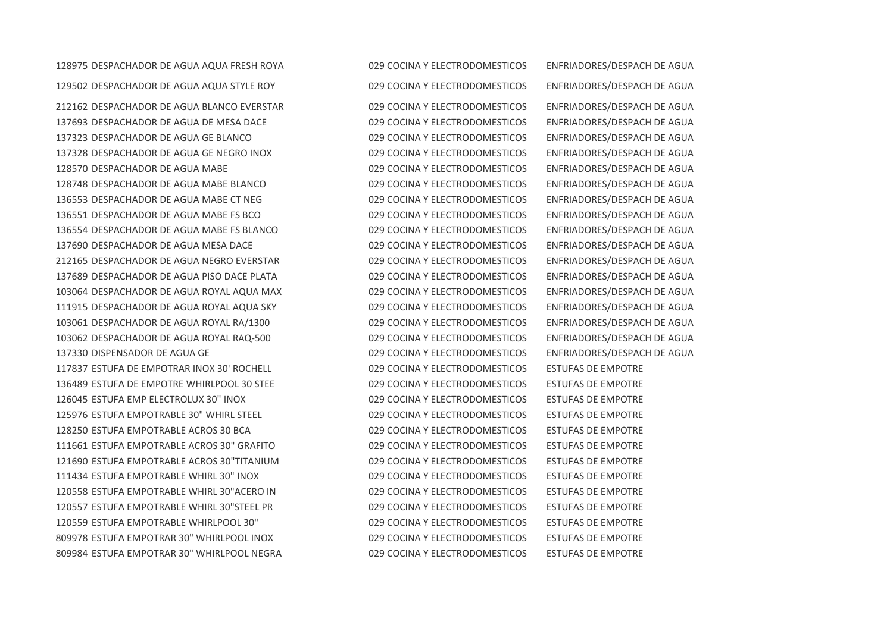DESPACHADOR DE AGUA AQUA FRESH ROYA 029 COCINA Y ELECTRODOMESTICOS ENFRIADORES/DESPACH DE AGUA DESPACHADOR DE AGUA AQUA STYLE ROY 029 COCINA Y ELECTRODOMESTICOS ENFRIADORES/DESPACH DE AGUA

 DESPACHADOR DE AGUA BLANCO EVERSTAR 029 COCINA Y ELECTRODOMESTICOS ENFRIADORES/DESPACH DE AGUA 137693 DESPACHADOR DE AGUA DE MESA DACE 029 COCINA Y ELECTRODOMESTICOS ENFRIADORES/DESPACH DE AGUA DESPACHADOR DE AGUA GE BLANCO 029 COCINA Y ELECTRODOMESTICOS ENFRIADORES/DESPACH DE AGUA DESPACHADOR DE AGUA GE NEGRO INOX 029 COCINA Y ELECTRODOMESTICOS ENFRIADORES/DESPACH DE AGUA DESPACHADOR DE AGUA MABE 029 COCINA Y ELECTRODOMESTICOS ENFRIADORES/DESPACH DE AGUA DESPACHADOR DE AGUA MABE BLANCO 029 COCINA Y ELECTRODOMESTICOS ENFRIADORES/DESPACH DE AGUA DESPACHADOR DE AGUA MABE CT NEG 029 COCINA Y ELECTRODOMESTICOS ENFRIADORES/DESPACH DE AGUA DESPACHADOR DE AGUA MABE FS BCO 029 COCINA Y ELECTRODOMESTICOS ENFRIADORES/DESPACH DE AGUA DESPACHADOR DE AGUA MABE FS BLANCO 029 COCINA Y ELECTRODOMESTICOS ENFRIADORES/DESPACH DE AGUA DESPACHADOR DE AGUA MESA DACE 029 COCINA Y ELECTRODOMESTICOS ENFRIADORES/DESPACH DE AGUA DESPACHADOR DE AGUA NEGRO EVERSTAR 029 COCINA Y ELECTRODOMESTICOS ENFRIADORES/DESPACH DE AGUA DESPACHADOR DE AGUA PISO DACE PLATA 029 COCINA Y ELECTRODOMESTICOS ENFRIADORES/DESPACH DE AGUA DESPACHADOR DE AGUA ROYAL AQUA MAX 029 COCINA Y ELECTRODOMESTICOS ENFRIADORES/DESPACH DE AGUA DESPACHADOR DE AGUA ROYAL AQUA SKY 029 COCINA Y ELECTRODOMESTICOS ENFRIADORES/DESPACH DE AGUA DESPACHADOR DE AGUA ROYAL RA/1300 029 COCINA Y ELECTRODOMESTICOS ENFRIADORES/DESPACH DE AGUA DESPACHADOR DE AGUA ROYAL RAQ-500 029 COCINA Y ELECTRODOMESTICOS ENFRIADORES/DESPACH DE AGUA DISPENSADOR DE AGUA GE 029 COCINA Y ELECTRODOMESTICOS ENFRIADORES/DESPACH DE AGUA ESTUFA DE EMPOTRAR INOX 30' ROCHELL 029 COCINA Y ELECTRODOMESTICOS ESTUFAS DE EMPOTRE ESTUFA DE EMPOTRE WHIRLPOOL 30 STEE 029 COCINA Y ELECTRODOMESTICOS ESTUFAS DE EMPOTRE ESTUFA EMP ELECTROLUX 30" INOX 029 COCINA Y ELECTRODOMESTICOS ESTUFAS DE EMPOTRE ESTUFA EMPOTRABLE 30" WHIRL STEEL 029 COCINA Y ELECTRODOMESTICOS ESTUFAS DE EMPOTRE ESTUFA EMPOTRABLE ACROS 30 BCA 029 COCINA Y ELECTRODOMESTICOS ESTUFAS DE EMPOTRE ESTUFA EMPOTRABLE ACROS 30" GRAFITO 029 COCINA Y ELECTRODOMESTICOS ESTUFAS DE EMPOTRE ESTUFA EMPOTRABLE ACROS 30"TITANIUM 029 COCINA Y ELECTRODOMESTICOS ESTUFAS DE EMPOTRE ESTUFA EMPOTRABLE WHIRL 30" INOX 029 COCINA Y ELECTRODOMESTICOS ESTUFAS DE EMPOTRE ESTUFA EMPOTRABLE WHIRL 30"ACERO IN 029 COCINA Y ELECTRODOMESTICOS ESTUFAS DE EMPOTRE ESTUFA EMPOTRABLE WHIRL 30"STEEL PR 029 COCINA Y ELECTRODOMESTICOS ESTUFAS DE EMPOTRE ESTUFA EMPOTRABLE WHIRLPOOL 30" 029 COCINA Y ELECTRODOMESTICOS ESTUFAS DE EMPOTRE ESTUFA EMPOTRAR 30" WHIRLPOOL INOX 029 COCINA Y ELECTRODOMESTICOS ESTUFAS DE EMPOTRE ESTUFA EMPOTRAR 30" WHIRLPOOL NEGRA 029 COCINA Y ELECTRODOMESTICOS ESTUFAS DE EMPOTRE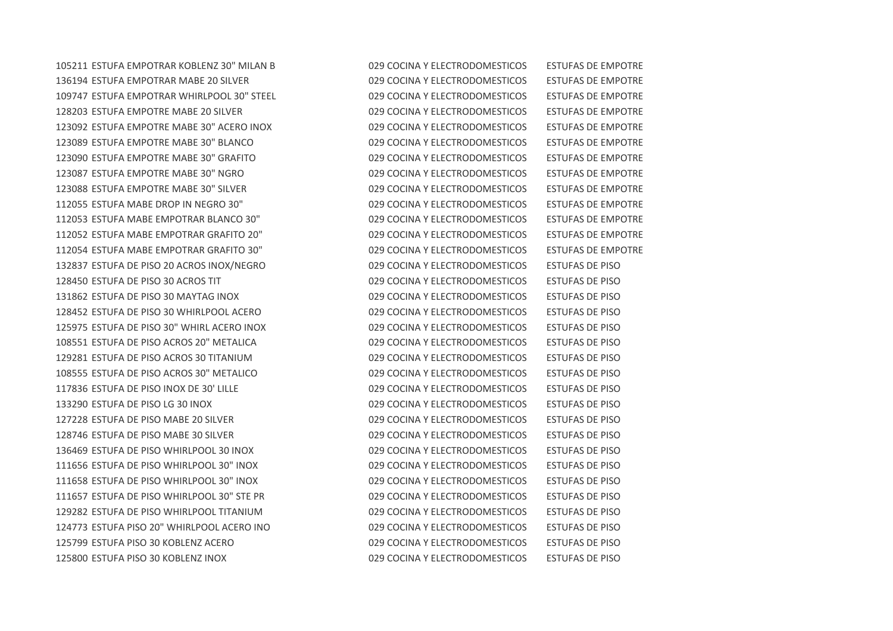ESTUFA EMPOTRAR KOBLENZ 30" MILAN B 029 COCINA Y ELECTRODOMESTICOS ESTUFAS DE EMPOTRE 136194 ESTUFA EMPOTRAR MABE 20 SILVER 029 COCINA Y ELECTRODOMESTICOS ESTUFAS DE EMPOTRE ESTUFA EMPOTRAR WHIRLPOOL 30" STEEL 029 COCINA Y ELECTRODOMESTICOS ESTUFAS DE EMPOTRE ESTUFA EMPOTRE MABE 20 SILVER 029 COCINA Y ELECTRODOMESTICOS ESTUFAS DE EMPOTRE ESTUFA EMPOTRE MABE 30" ACERO INOX 029 COCINA Y ELECTRODOMESTICOS ESTUFAS DE EMPOTRE ESTUFA EMPOTRE MABE 30" BLANCO 029 COCINA Y ELECTRODOMESTICOS ESTUFAS DE EMPOTRE ESTUFA EMPOTRE MABE 30" GRAFITO 029 COCINA Y ELECTRODOMESTICOS ESTUFAS DE EMPOTRE ESTUFA EMPOTRE MABE 30" NGRO 029 COCINA Y ELECTRODOMESTICOS ESTUFAS DE EMPOTRE ESTUFA EMPOTRE MABE 30" SILVER 029 COCINA Y ELECTRODOMESTICOS ESTUFAS DE EMPOTRE ESTUFA MABE DROP IN NEGRO 30" 029 COCINA Y ELECTRODOMESTICOS ESTUFAS DE EMPOTRE ESTUFA MABE EMPOTRAR BLANCO 30" 029 COCINA Y ELECTRODOMESTICOS ESTUFAS DE EMPOTRE ESTUFA MABE EMPOTRAR GRAFITO 20" 029 COCINA Y ELECTRODOMESTICOS ESTUFAS DE EMPOTRE ESTUFA MABE EMPOTRAR GRAFITO 30" 029 COCINA Y ELECTRODOMESTICOS ESTUFAS DE EMPOTRE ESTUFA DE PISO 20 ACROS INOX/NEGRO 029 COCINA Y ELECTRODOMESTICOS ESTUFAS DE PISO ESTUFA DE PISO 30 ACROS TIT 029 COCINA Y ELECTRODOMESTICOS ESTUFAS DE PISO ESTUFA DE PISO 30 MAYTAG INOX 029 COCINA Y ELECTRODOMESTICOS ESTUFAS DE PISO ESTUFA DE PISO 30 WHIRLPOOL ACERO 029 COCINA Y ELECTRODOMESTICOS ESTUFAS DE PISO ESTUFA DE PISO 30" WHIRL ACERO INOX 029 COCINA Y ELECTRODOMESTICOS ESTUFAS DE PISO ESTUFA DE PISO ACROS 20" METALICA 029 COCINA Y ELECTRODOMESTICOS ESTUFAS DE PISO ESTUFA DE PISO ACROS 30 TITANIUM 029 COCINA Y ELECTRODOMESTICOS ESTUFAS DE PISO ESTUFA DE PISO ACROS 30" METALICO 029 COCINA Y ELECTRODOMESTICOS ESTUFAS DE PISO ESTUFA DE PISO INOX DE 30' LILLE 029 COCINA Y ELECTRODOMESTICOS ESTUFAS DE PISO ESTUFA DE PISO LG 30 INOX 029 COCINA Y ELECTRODOMESTICOS ESTUFAS DE PISO ESTUFA DE PISO MABE 20 SILVER 029 COCINA Y ELECTRODOMESTICOS ESTUFAS DE PISO ESTUFA DE PISO MABE 30 SILVER 029 COCINA Y ELECTRODOMESTICOS ESTUFAS DE PISO ESTUFA DE PISO WHIRLPOOL 30 INOX 029 COCINA Y ELECTRODOMESTICOS ESTUFAS DE PISO ESTUFA DE PISO WHIRLPOOL 30" INOX 029 COCINA Y ELECTRODOMESTICOS ESTUFAS DE PISO ESTUFA DE PISO WHIRLPOOL 30" INOX 029 COCINA Y ELECTRODOMESTICOS ESTUFAS DE PISO ESTUFA DE PISO WHIRLPOOL 30" STE PR 029 COCINA Y ELECTRODOMESTICOS ESTUFAS DE PISO ESTUFA DE PISO WHIRLPOOL TITANIUM 029 COCINA Y ELECTRODOMESTICOS ESTUFAS DE PISO ESTUFA PISO 20" WHIRLPOOL ACERO INO 029 COCINA Y ELECTRODOMESTICOS ESTUFAS DE PISO ESTUFA PISO 30 KOBLENZ ACERO 029 COCINA Y ELECTRODOMESTICOS ESTUFAS DE PISO ESTUFA PISO 30 KOBLENZ INOX 029 COCINA Y ELECTRODOMESTICOS ESTUFAS DE PISO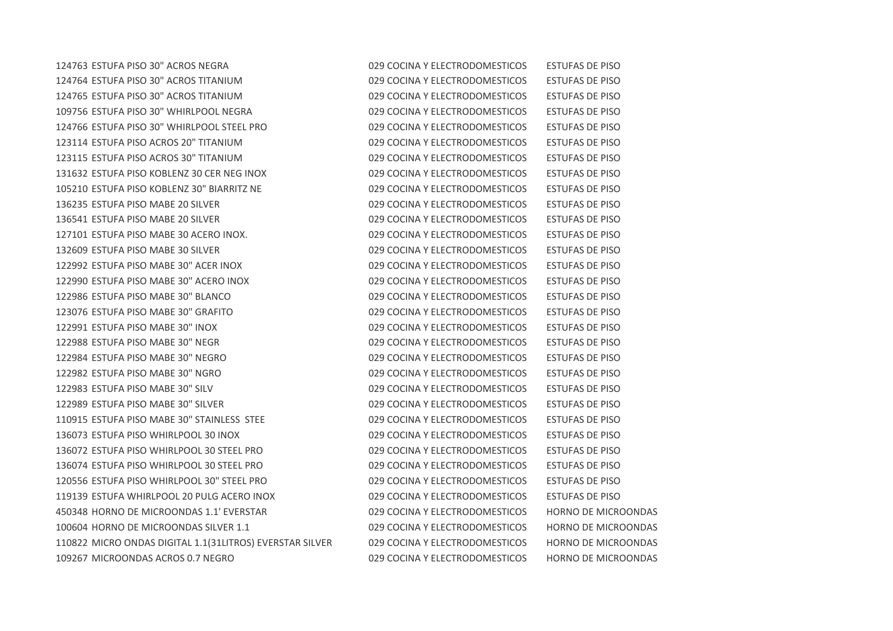ESTUFA PISO 30" ACROS NEGRA 029 COCINA Y ELECTRODOMESTICOS ESTUFAS DE PISO ESTUFA PISO 30" ACROS TITANIUM 029 COCINA Y ELECTRODOMESTICOS ESTUFAS DE PISO ESTUFA PISO 30" ACROS TITANIUM 029 COCINA Y ELECTRODOMESTICOS ESTUFAS DE PISO ESTUFA PISO 30" WHIRLPOOL NEGRA 029 COCINA Y ELECTRODOMESTICOS ESTUFAS DE PISO ESTUFA PISO 30" WHIRLPOOL STEEL PRO 029 COCINA Y ELECTRODOMESTICOS ESTUFAS DE PISO ESTUFA PISO ACROS 20" TITANIUM 029 COCINA Y ELECTRODOMESTICOS ESTUFAS DE PISO ESTUFA PISO ACROS 30" TITANIUM 029 COCINA Y ELECTRODOMESTICOS ESTUFAS DE PISO ESTUFA PISO KOBLENZ 30 CER NEG INOX 029 COCINA Y ELECTRODOMESTICOS ESTUFAS DE PISO ESTUFA PISO KOBLENZ 30" BIARRITZ NE 029 COCINA Y ELECTRODOMESTICOS ESTUFAS DE PISO ESTUFA PISO MABE 20 SILVER 029 COCINA Y ELECTRODOMESTICOS ESTUFAS DE PISO ESTUFA PISO MABE 20 SILVER 029 COCINA Y ELECTRODOMESTICOS ESTUFAS DE PISO ESTUFA PISO MABE 30 ACERO INOX. 029 COCINA Y ELECTRODOMESTICOS ESTUFAS DE PISO ESTUFA PISO MABE 30 SILVER 029 COCINA Y ELECTRODOMESTICOS ESTUFAS DE PISO ESTUFA PISO MABE 30" ACER INOX 029 COCINA Y ELECTRODOMESTICOS ESTUFAS DE PISO ESTUFA PISO MABE 30" ACERO INOX 029 COCINA Y ELECTRODOMESTICOS ESTUFAS DE PISO ESTUFA PISO MABE 30" BLANCO 029 COCINA Y ELECTRODOMESTICOS ESTUFAS DE PISO ESTUFA PISO MABE 30" GRAFITO 029 COCINA Y ELECTRODOMESTICOS ESTUFAS DE PISO ESTUFA PISO MABE 30" INOX 029 COCINA Y ELECTRODOMESTICOS ESTUFAS DE PISO ESTUFA PISO MABE 30" NEGR 029 COCINA Y ELECTRODOMESTICOS ESTUFAS DE PISO ESTUFA PISO MABE 30" NEGRO 029 COCINA Y ELECTRODOMESTICOS ESTUFAS DE PISO ESTUFA PISO MABE 30" NGRO 029 COCINA Y ELECTRODOMESTICOS ESTUFAS DE PISO ESTUFA PISO MABE 30" SILV 029 COCINA Y ELECTRODOMESTICOS ESTUFAS DE PISO ESTUFA PISO MABE 30" SILVER 029 COCINA Y ELECTRODOMESTICOS ESTUFAS DE PISO ESTUFA PISO MABE 30" STAINLESS STEE 029 COCINA Y ELECTRODOMESTICOS ESTUFAS DE PISO ESTUFA PISO WHIRLPOOL 30 INOX 029 COCINA Y ELECTRODOMESTICOS ESTUFAS DE PISO ESTUFA PISO WHIRLPOOL 30 STEEL PRO 029 COCINA Y ELECTRODOMESTICOS ESTUFAS DE PISO ESTUFA PISO WHIRLPOOL 30 STEEL PRO 029 COCINA Y ELECTRODOMESTICOS ESTUFAS DE PISO ESTUFA PISO WHIRLPOOL 30" STEEL PRO 029 COCINA Y ELECTRODOMESTICOS ESTUFAS DE PISO ESTUFA WHIRLPOOL 20 PULG ACERO INOX 029 COCINA Y ELECTRODOMESTICOS ESTUFAS DE PISO HORNO DE MICROONDAS 1.1' EVERSTAR 029 COCINA Y ELECTRODOMESTICOS HORNO DE MICROONDAS HORNO DE MICROONDAS SILVER 1.1 029 COCINA Y ELECTRODOMESTICOS HORNO DE MICROONDAS MICRO ONDAS DIGITAL 1.1(31LITROS) EVERSTAR SILVER 029 COCINA Y ELECTRODOMESTICOS HORNO DE MICROONDAS MICROONDAS ACROS 0.7 NEGRO 029 COCINA Y ELECTRODOMESTICOS HORNO DE MICROONDAS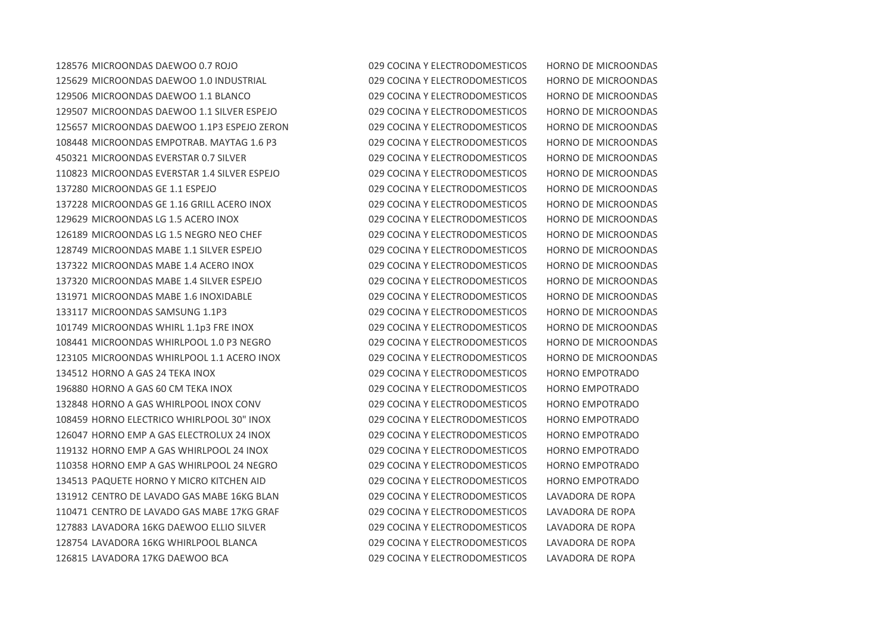MICROONDAS DAEWOO 0.7 ROJO 029 COCINA Y ELECTRODOMESTICOS HORNO DE MICROONDAS MICROONDAS DAEWOO 1.0 INDUSTRIAL 029 COCINA Y ELECTRODOMESTICOS HORNO DE MICROONDAS MICROONDAS DAEWOO 1.1 BLANCO 029 COCINA Y ELECTRODOMESTICOS HORNO DE MICROONDAS MICROONDAS DAEWOO 1.1 SILVER ESPEJO 029 COCINA Y ELECTRODOMESTICOS HORNO DE MICROONDAS MICROONDAS DAEWOO 1.1P3 ESPEJO ZERON 029 COCINA Y ELECTRODOMESTICOS HORNO DE MICROONDAS MICROONDAS EMPOTRAB. MAYTAG 1.6 P3 029 COCINA Y ELECTRODOMESTICOS HORNO DE MICROONDAS MICROONDAS EVERSTAR 0.7 SILVER 029 COCINA Y ELECTRODOMESTICOS HORNO DE MICROONDAS MICROONDAS EVERSTAR 1.4 SILVER ESPEJO 029 COCINA Y ELECTRODOMESTICOS HORNO DE MICROONDAS MICROONDAS GE 1.1 ESPEJO 029 COCINA Y ELECTRODOMESTICOS HORNO DE MICROONDAS MICROONDAS GE 1.16 GRILL ACERO INOX 029 COCINA Y ELECTRODOMESTICOS HORNO DE MICROONDAS MICROONDAS LG 1.5 ACERO INOX 029 COCINA Y ELECTRODOMESTICOS HORNO DE MICROONDAS MICROONDAS LG 1.5 NEGRO NEO CHEF 029 COCINA Y ELECTRODOMESTICOS HORNO DE MICROONDAS MICROONDAS MABE 1.1 SILVER ESPEJO 029 COCINA Y ELECTRODOMESTICOS HORNO DE MICROONDAS MICROONDAS MABE 1.4 ACERO INOX 029 COCINA Y ELECTRODOMESTICOS HORNO DE MICROONDAS MICROONDAS MABE 1.4 SILVER ESPEJO 029 COCINA Y ELECTRODOMESTICOS HORNO DE MICROONDAS MICROONDAS MABE 1.6 INOXIDABLE 029 COCINA Y ELECTRODOMESTICOS HORNO DE MICROONDAS MICROONDAS SAMSUNG 1.1P3 029 COCINA Y ELECTRODOMESTICOS HORNO DE MICROONDAS MICROONDAS WHIRL 1.1p3 FRE INOX 029 COCINA Y ELECTRODOMESTICOS HORNO DE MICROONDAS MICROONDAS WHIRLPOOL 1.0 P3 NEGRO 029 COCINA Y ELECTRODOMESTICOS HORNO DE MICROONDAS MICROONDAS WHIRLPOOL 1.1 ACERO INOX 029 COCINA Y ELECTRODOMESTICOS HORNO DE MICROONDAS HORNO A GAS 24 TEKA INOX 029 COCINA Y ELECTRODOMESTICOS HORNO EMPOTRADO HORNO A GAS 60 CM TEKA INOX 029 COCINA Y ELECTRODOMESTICOS HORNO EMPOTRADO HORNO A GAS WHIRLPOOL INOX CONV 029 COCINA Y ELECTRODOMESTICOS HORNO EMPOTRADO HORNO ELECTRICO WHIRLPOOL 30" INOX 029 COCINA Y ELECTRODOMESTICOS HORNO EMPOTRADO HORNO EMP A GAS ELECTROLUX 24 INOX 029 COCINA Y ELECTRODOMESTICOS HORNO EMPOTRADO HORNO EMP A GAS WHIRLPOOL 24 INOX 029 COCINA Y ELECTRODOMESTICOS HORNO EMPOTRADO HORNO EMP A GAS WHIRLPOOL 24 NEGRO 029 COCINA Y ELECTRODOMESTICOS HORNO EMPOTRADO PAQUETE HORNO Y MICRO KITCHEN AID 029 COCINA Y ELECTRODOMESTICOS HORNO EMPOTRADO CENTRO DE LAVADO GAS MABE 16KG BLAN 029 COCINA Y ELECTRODOMESTICOS LAVADORA DE ROPA CENTRO DE LAVADO GAS MABE 17KG GRAF 029 COCINA Y ELECTRODOMESTICOS LAVADORA DE ROPA LAVADORA 16KG DAEWOO ELLIO SILVER 029 COCINA Y ELECTRODOMESTICOS LAVADORA DE ROPA LAVADORA 16KG WHIRLPOOL BLANCA 029 COCINA Y ELECTRODOMESTICOS LAVADORA DE ROPA LAVADORA 17KG DAEWOO BCA 029 COCINA Y ELECTRODOMESTICOS LAVADORA DE ROPA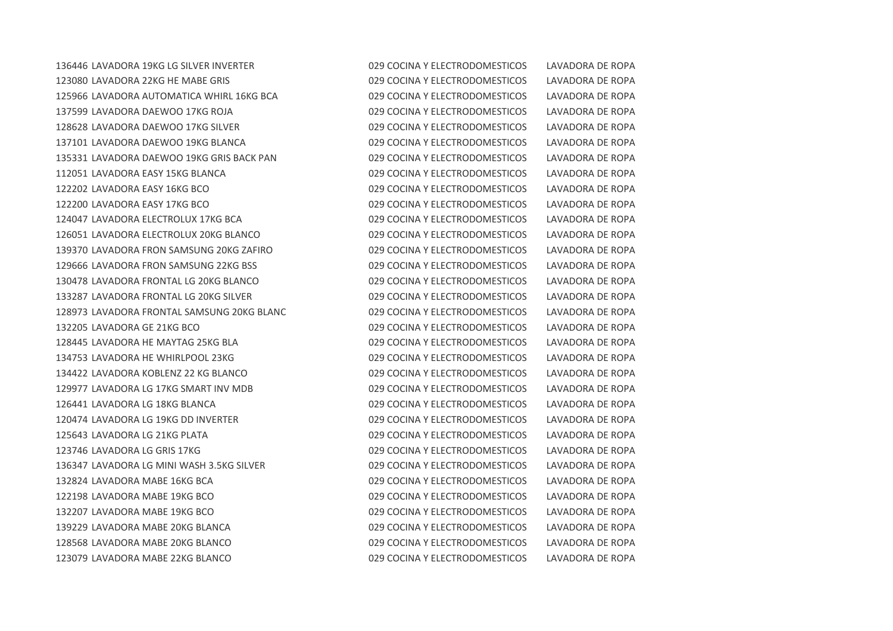LAVADORA 19KG LG SILVER INVERTER 029 COCINA Y ELECTRODOMESTICOS LAVADORA DE ROPA LAVADORA 22KG HE MABE GRIS 029 COCINA Y ELECTRODOMESTICOS LAVADORA DE ROPA LAVADORA AUTOMATICA WHIRL 16KG BCA 029 COCINA Y ELECTRODOMESTICOS LAVADORA DE ROPA LAVADORA DAEWOO 17KG ROJA 029 COCINA Y ELECTRODOMESTICOS LAVADORA DE ROPA LAVADORA DAEWOO 17KG SILVER 029 COCINA Y ELECTRODOMESTICOS LAVADORA DE ROPA LAVADORA DAEWOO 19KG BLANCA 029 COCINA Y ELECTRODOMESTICOS LAVADORA DE ROPA LAVADORA DAEWOO 19KG GRIS BACK PAN 029 COCINA Y ELECTRODOMESTICOS LAVADORA DE ROPA LAVADORA EASY 15KG BLANCA 029 COCINA Y ELECTRODOMESTICOS LAVADORA DE ROPA LAVADORA EASY 16KG BCO 029 COCINA Y ELECTRODOMESTICOS LAVADORA DE ROPA LAVADORA EASY 17KG BCO 029 COCINA Y ELECTRODOMESTICOS LAVADORA DE ROPA LAVADORA ELECTROLUX 17KG BCA 029 COCINA Y ELECTRODOMESTICOS LAVADORA DE ROPA LAVADORA ELECTROLUX 20KG BLANCO 029 COCINA Y ELECTRODOMESTICOS LAVADORA DE ROPA LAVADORA FRON SAMSUNG 20KG ZAFIRO 029 COCINA Y ELECTRODOMESTICOS LAVADORA DE ROPA LAVADORA FRON SAMSUNG 22KG BSS 029 COCINA Y ELECTRODOMESTICOS LAVADORA DE ROPA LAVADORA FRONTAL LG 20KG BLANCO 029 COCINA Y ELECTRODOMESTICOS LAVADORA DE ROPA LAVADORA FRONTAL LG 20KG SILVER 029 COCINA Y ELECTRODOMESTICOS LAVADORA DE ROPA LAVADORA FRONTAL SAMSUNG 20KG BLANC 029 COCINA Y ELECTRODOMESTICOS LAVADORA DE ROPA LAVADORA GE 21KG BCO 029 COCINA Y ELECTRODOMESTICOS LAVADORA DE ROPA LAVADORA HE MAYTAG 25KG BLA 029 COCINA Y ELECTRODOMESTICOS LAVADORA DE ROPA LAVADORA HE WHIRLPOOL 23KG 029 COCINA Y ELECTRODOMESTICOS LAVADORA DE ROPA LAVADORA KOBLENZ 22 KG BLANCO 029 COCINA Y ELECTRODOMESTICOS LAVADORA DE ROPA LAVADORA LG 17KG SMART INV MDB 029 COCINA Y ELECTRODOMESTICOS LAVADORA DE ROPA LAVADORA LG 18KG BLANCA 029 COCINA Y ELECTRODOMESTICOS LAVADORA DE ROPA LAVADORA LG 19KG DD INVERTER 029 COCINA Y ELECTRODOMESTICOS LAVADORA DE ROPA LAVADORA LG 21KG PLATA 029 COCINA Y ELECTRODOMESTICOS LAVADORA DE ROPA LAVADORA LG GRIS 17KG 029 COCINA Y ELECTRODOMESTICOS LAVADORA DE ROPA LAVADORA LG MINI WASH 3.5KG SILVER 029 COCINA Y ELECTRODOMESTICOS LAVADORA DE ROPA LAVADORA MABE 16KG BCA 029 COCINA Y ELECTRODOMESTICOS LAVADORA DE ROPA LAVADORA MABE 19KG BCO 029 COCINA Y ELECTRODOMESTICOS LAVADORA DE ROPA LAVADORA MABE 19KG BCO 029 COCINA Y ELECTRODOMESTICOS LAVADORA DE ROPA LAVADORA MABE 20KG BLANCA 029 COCINA Y ELECTRODOMESTICOS LAVADORA DE ROPA LAVADORA MABE 20KG BLANCO 029 COCINA Y ELECTRODOMESTICOS LAVADORA DE ROPA LAVADORA MABE 22KG BLANCO 029 COCINA Y ELECTRODOMESTICOS LAVADORA DE ROPA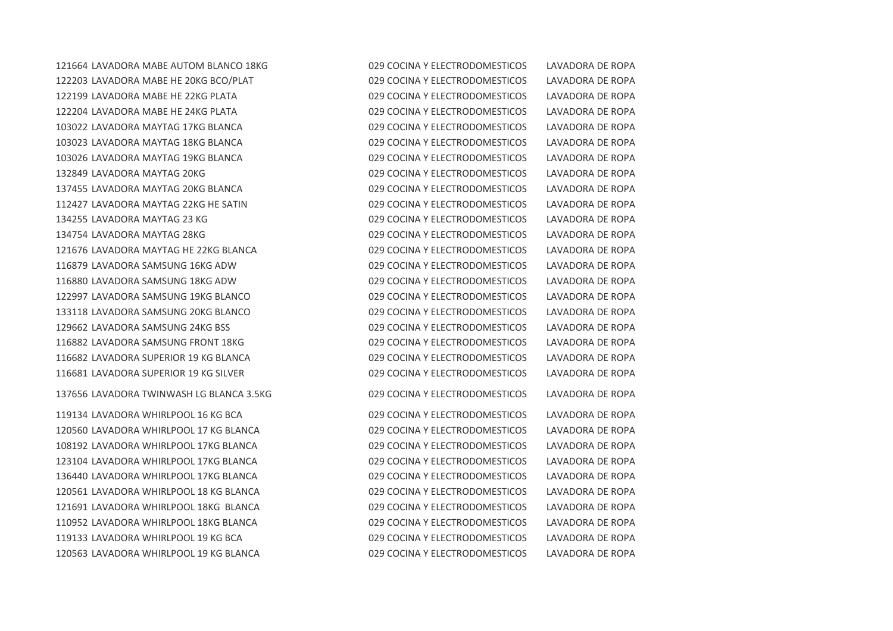LAVADORA MABE AUTOM BLANCO 18KG 029 COCINA Y ELECTRODOMESTICOS LAVADORA DE ROPA LAVADORA MABE HE 20KG BCO/PLAT 029 COCINA Y ELECTRODOMESTICOS LAVADORA DE ROPA LAVADORA MABE HE 22KG PLATA 029 COCINA Y ELECTRODOMESTICOS LAVADORA DE ROPA LAVADORA MABE HE 24KG PLATA 029 COCINA Y ELECTRODOMESTICOS LAVADORA DE ROPA LAVADORA MAYTAG 17KG BLANCA 029 COCINA Y ELECTRODOMESTICOS LAVADORA DE ROPA LAVADORA MAYTAG 18KG BLANCA 029 COCINA Y ELECTRODOMESTICOS LAVADORA DE ROPA LAVADORA MAYTAG 19KG BLANCA 029 COCINA Y ELECTRODOMESTICOS LAVADORA DE ROPA LAVADORA MAYTAG 20KG 029 COCINA Y ELECTRODOMESTICOS LAVADORA DE ROPA LAVADORA MAYTAG 20KG BLANCA 029 COCINA Y ELECTRODOMESTICOS LAVADORA DE ROPA LAVADORA MAYTAG 22KG HE SATIN 029 COCINA Y ELECTRODOMESTICOS LAVADORA DE ROPA LAVADORA MAYTAG 23 KG 029 COCINA Y ELECTRODOMESTICOS LAVADORA DE ROPA LAVADORA MAYTAG 28KG 029 COCINA Y ELECTRODOMESTICOS LAVADORA DE ROPA LAVADORA MAYTAG HE 22KG BLANCA 029 COCINA Y ELECTRODOMESTICOS LAVADORA DE ROPA LAVADORA SAMSUNG 16KG ADW 029 COCINA Y ELECTRODOMESTICOS LAVADORA DE ROPA LAVADORA SAMSUNG 18KG ADW 029 COCINA Y ELECTRODOMESTICOS LAVADORA DE ROPA LAVADORA SAMSUNG 19KG BLANCO 029 COCINA Y ELECTRODOMESTICOS LAVADORA DE ROPA LAVADORA SAMSUNG 20KG BLANCO 029 COCINA Y ELECTRODOMESTICOS LAVADORA DE ROPA LAVADORA SAMSUNG 24KG BSS 029 COCINA Y ELECTRODOMESTICOS LAVADORA DE ROPA LAVADORA SAMSUNG FRONT 18KG 029 COCINA Y ELECTRODOMESTICOS LAVADORA DE ROPA LAVADORA SUPERIOR 19 KG BLANCA 029 COCINA Y ELECTRODOMESTICOS LAVADORA DE ROPA LAVADORA SUPERIOR 19 KG SILVER 029 COCINA Y ELECTRODOMESTICOS LAVADORA DE ROPA

 LAVADORA WHIRLPOOL 16 KG BCA 029 COCINA Y ELECTRODOMESTICOS LAVADORA DE ROPA LAVADORA WHIRLPOOL 17 KG BLANCA 029 COCINA Y ELECTRODOMESTICOS LAVADORA DE ROPA LAVADORA WHIRLPOOL 17KG BLANCA 029 COCINA Y ELECTRODOMESTICOS LAVADORA DE ROPA LAVADORA WHIRLPOOL 17KG BLANCA 029 COCINA Y ELECTRODOMESTICOS LAVADORA DE ROPA LAVADORA WHIRLPOOL 17KG BLANCA 029 COCINA Y ELECTRODOMESTICOS LAVADORA DE ROPA LAVADORA WHIRLPOOL 18 KG BLANCA 029 COCINA Y ELECTRODOMESTICOS LAVADORA DE ROPA LAVADORA WHIRLPOOL 18KG BLANCA 029 COCINA Y ELECTRODOMESTICOS LAVADORA DE ROPA LAVADORA WHIRLPOOL 18KG BLANCA 029 COCINA Y ELECTRODOMESTICOS LAVADORA DE ROPA LAVADORA WHIRLPOOL 19 KG BCA 029 COCINA Y ELECTRODOMESTICOS LAVADORA DE ROPA LAVADORA WHIRLPOOL 19 KG BLANCA 029 COCINA Y ELECTRODOMESTICOS LAVADORA DE ROPA

LAVADORA TWINWASH LG BLANCA 3.5KG 029 COCINA Y ELECTRODOMESTICOS LAVADORA DE ROPA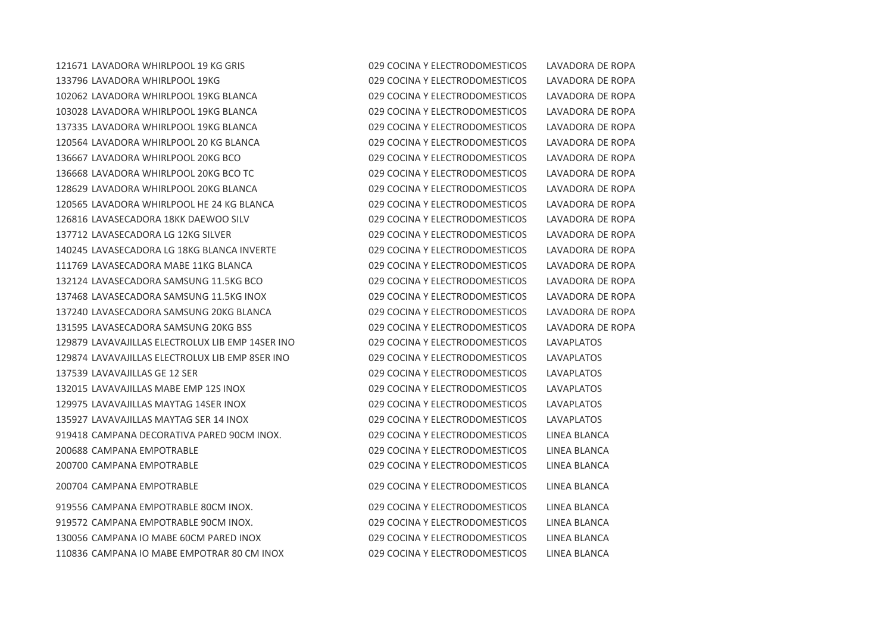LAVADORA WHIRLPOOL 19 KG GRIS 029 COCINA Y ELECTRODOMESTICOS LAVADORA DE ROPA LAVADORA WHIRLPOOL 19KG 029 COCINA Y ELECTRODOMESTICOS LAVADORA DE ROPA LAVADORA WHIRLPOOL 19KG BLANCA 029 COCINA Y ELECTRODOMESTICOS LAVADORA DE ROPA LAVADORA WHIRLPOOL 19KG BLANCA 029 COCINA Y ELECTRODOMESTICOS LAVADORA DE ROPA LAVADORA WHIRLPOOL 19KG BLANCA 029 COCINA Y ELECTRODOMESTICOS LAVADORA DE ROPA LAVADORA WHIRLPOOL 20 KG BLANCA 029 COCINA Y ELECTRODOMESTICOS LAVADORA DE ROPA LAVADORA WHIRLPOOL 20KG BCO 029 COCINA Y ELECTRODOMESTICOS LAVADORA DE ROPA LAVADORA WHIRLPOOL 20KG BCO TC 029 COCINA Y ELECTRODOMESTICOS LAVADORA DE ROPA LAVADORA WHIRLPOOL 20KG BLANCA 029 COCINA Y ELECTRODOMESTICOS LAVADORA DE ROPA LAVADORA WHIRLPOOL HE 24 KG BLANCA 029 COCINA Y ELECTRODOMESTICOS LAVADORA DE ROPA LAVASECADORA 18KK DAEWOO SILV 029 COCINA Y ELECTRODOMESTICOS LAVADORA DE ROPA LAVASECADORA LG 12KG SILVER 029 COCINA Y ELECTRODOMESTICOS LAVADORA DE ROPA LAVASECADORA LG 18KG BLANCA INVERTE 029 COCINA Y ELECTRODOMESTICOS LAVADORA DE ROPA LAVASECADORA MABE 11KG BLANCA 029 COCINA Y ELECTRODOMESTICOS LAVADORA DE ROPA LAVASECADORA SAMSUNG 11.5KG BCO 029 COCINA Y ELECTRODOMESTICOS LAVADORA DE ROPA LAVASECADORA SAMSUNG 11.5KG INOX 029 COCINA Y ELECTRODOMESTICOS LAVADORA DE ROPA LAVASECADORA SAMSUNG 20KG BLANCA 029 COCINA Y ELECTRODOMESTICOS LAVADORA DE ROPA LAVASECADORA SAMSUNG 20KG BSS 029 COCINA Y ELECTRODOMESTICOS LAVADORA DE ROPA LAVAVAJILLAS ELECTROLUX LIB EMP 14SER INO 029 COCINA Y ELECTRODOMESTICOS LAVAPLATOS LAVAVAJILLAS ELECTROLUX LIB EMP 8SER INO 029 COCINA Y ELECTRODOMESTICOS LAVAPLATOS LAVAVAJILLAS GE 12 SER 029 COCINA Y ELECTRODOMESTICOS LAVAPLATOS LAVAVAJILLAS MABE EMP 12S INOX 029 COCINA Y ELECTRODOMESTICOS LAVAPLATOS LAVAVAJILLAS MAYTAG 14SER INOX 029 COCINA Y ELECTRODOMESTICOS LAVAPLATOS LAVAVAJILLAS MAYTAG SER 14 INOX 029 COCINA Y ELECTRODOMESTICOS LAVAPLATOS CAMPANA DECORATIVA PARED 90CM INOX. 029 COCINA Y ELECTRODOMESTICOS LINEA BLANCA CAMPANA EMPOTRABLE 029 COCINA Y ELECTRODOMESTICOS LINEA BLANCA CAMPANA EMPOTRABLE 029 COCINA Y ELECTRODOMESTICOS LINEA BLANCA

 CAMPANA EMPOTRABLE 80CM INOX. 029 COCINA Y ELECTRODOMESTICOS LINEA BLANCA CAMPANA EMPOTRABLE 90CM INOX. 029 COCINA Y ELECTRODOMESTICOS LINEA BLANCA CAMPANA IO MABE 60CM PARED INOX 029 COCINA Y ELECTRODOMESTICOS LINEA BLANCA CAMPANA IO MABE EMPOTRAR 80 CM INOX 029 COCINA Y ELECTRODOMESTICOS LINEA BLANCA

CAMPANA EMPOTRABLE 029 COCINA Y ELECTRODOMESTICOS LINEA BLANCA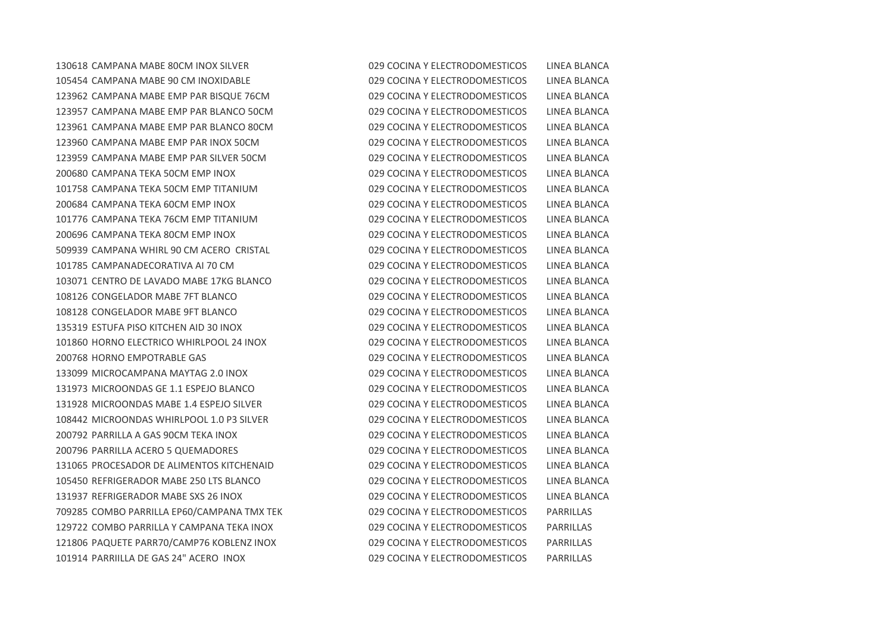COMBO PARRILLA EP60/CAMPANA TMX TEK 029 COCINA Y ELECTRODOMESTICOS PARRILLAS COMBO PARRILLA Y CAMPANA TEKA INOX 029 COCINA Y ELECTRODOMESTICOS PARRILLAS PAQUETE PARR70/CAMP76 KOBLENZ INOX 029 COCINA Y ELECTRODOMESTICOS PARRILLAS PARRIILLA DE GAS 24" ACERO INOX 029 COCINA Y ELECTRODOMESTICOS PARRILLAS

 CAMPANA MABE 80CM INOX SILVER 029 COCINA Y ELECTRODOMESTICOS LINEA BLANCA CAMPANA MABE 90 CM INOXIDABLE 029 COCINA Y ELECTRODOMESTICOS LINEA BLANCA CAMPANA MABE EMP PAR BISQUE 76CM 029 COCINA Y ELECTRODOMESTICOS LINEA BLANCA CAMPANA MABE EMP PAR BLANCO 50CM 029 COCINA Y ELECTRODOMESTICOS LINEA BLANCA CAMPANA MABE EMP PAR BLANCO 80CM 029 COCINA Y ELECTRODOMESTICOS LINEA BLANCA CAMPANA MABE EMP PAR INOX 50CM 029 COCINA Y ELECTRODOMESTICOS LINEA BLANCA CAMPANA MABE EMP PAR SILVER 50CM 029 COCINA Y ELECTRODOMESTICOS LINEA BLANCA CAMPANA TEKA 50CM EMP INOX 029 COCINA Y ELECTRODOMESTICOS LINEA BLANCA CAMPANA TEKA 50CM EMP TITANIUM 029 COCINA Y ELECTRODOMESTICOS LINEA BLANCA CAMPANA TEKA 60CM EMP INOX 029 COCINA Y ELECTRODOMESTICOS LINEA BLANCA CAMPANA TEKA 76CM EMP TITANIUM 029 COCINA Y ELECTRODOMESTICOS LINEA BLANCA CAMPANA TEKA 80CM EMP INOX 029 COCINA Y ELECTRODOMESTICOS LINEA BLANCA CAMPANA WHIRL 90 CM ACERO CRISTAL 029 COCINA Y ELECTRODOMESTICOS LINEA BLANCA CAMPANADECORATIVA AI 70 CM 029 COCINA Y ELECTRODOMESTICOS LINEA BLANCA CENTRO DE LAVADO MABE 17KG BLANCO 029 COCINA Y ELECTRODOMESTICOS LINEA BLANCA CONGELADOR MABE 7FT BLANCO 029 COCINA Y ELECTRODOMESTICOS LINEA BLANCA CONGELADOR MABE 9FT BLANCO 029 COCINA Y ELECTRODOMESTICOS LINEA BLANCA ESTUFA PISO KITCHEN AID 30 INOX 029 COCINA Y ELECTRODOMESTICOS LINEA BLANCA HORNO ELECTRICO WHIRLPOOL 24 INOX 029 COCINA Y ELECTRODOMESTICOS LINEA BLANCA HORNO EMPOTRABLE GAS 029 COCINA Y ELECTRODOMESTICOS LINEA BLANCA MICROCAMPANA MAYTAG 2.0 INOX 029 COCINA Y ELECTRODOMESTICOS LINEA BLANCA MICROONDAS GE 1.1 ESPEJO BLANCO 029 COCINA Y ELECTRODOMESTICOS LINEA BLANCA MICROONDAS MABE 1.4 ESPEJO SILVER 029 COCINA Y ELECTRODOMESTICOS LINEA BLANCA 108442 MICROONDAS WHIRLPOOL 1.0 P3 SILVER 029 COCINA Y ELECTRODOMESTICOS LINEA BLANCA PARRILLA A GAS 90CM TEKA INOX 029 COCINA Y ELECTRODOMESTICOS LINEA BLANCA PARRILLA ACERO 5 QUEMADORES 029 COCINA Y ELECTRODOMESTICOS LINEA BLANCA PROCESADOR DE ALIMENTOS KITCHENAID 029 COCINA Y ELECTRODOMESTICOS LINEA BLANCA REFRIGERADOR MABE 250 LTS BLANCO 029 COCINA Y ELECTRODOMESTICOS LINEA BLANCA REFRIGERADOR MABE SXS 26 INOX 029 COCINA Y ELECTRODOMESTICOS LINEA BLANCA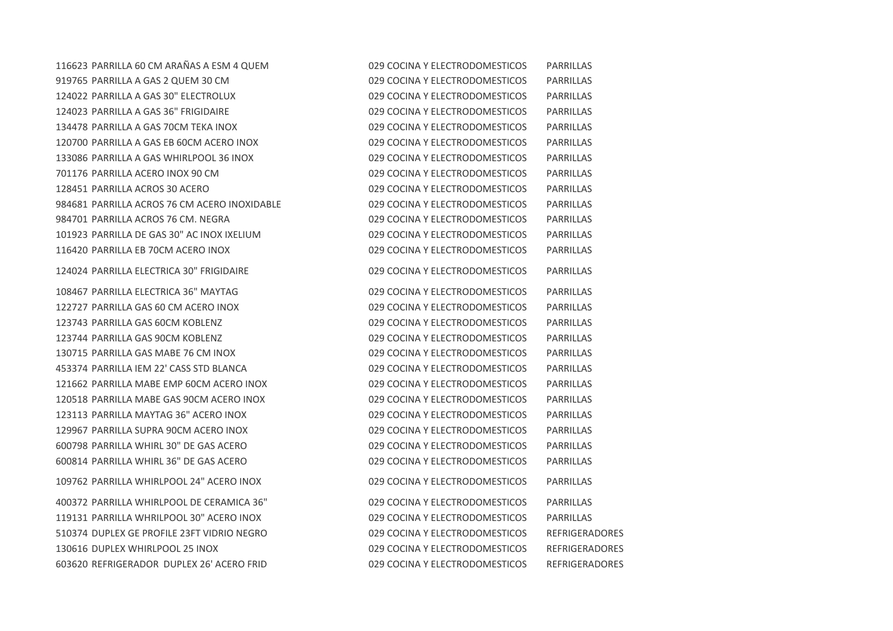PARRILLA 60 CM ARAÑAS A ESM 4 QUEM 029 COCINA Y ELECTRODOMESTICOS PARRILLAS PARRILLA A GAS 2 QUEM 30 CM 029 COCINA Y ELECTRODOMESTICOS PARRILLAS PARRILLA A GAS 30" ELECTROLUX 029 COCINA Y ELECTRODOMESTICOS PARRILLAS PARRILLA A GAS 36" FRIGIDAIRE 029 COCINA Y ELECTRODOMESTICOS PARRILLAS PARRILLA A GAS 70CM TEKA INOX 029 COCINA Y ELECTRODOMESTICOS PARRILLAS PARRILLA A GAS EB 60CM ACERO INOX 029 COCINA Y ELECTRODOMESTICOS PARRILLAS PARRILLA A GAS WHIRLPOOL 36 INOX 029 COCINA Y ELECTRODOMESTICOS PARRILLAS PARRILLA ACERO INOX 90 CM 029 COCINA Y ELECTRODOMESTICOS PARRILLAS PARRILLA ACROS 30 ACERO 029 COCINA Y ELECTRODOMESTICOS PARRILLAS PARRILLA ACROS 76 CM ACERO INOXIDABLE 029 COCINA Y ELECTRODOMESTICOS PARRILLAS PARRILLA ACROS 76 CM. NEGRA 029 COCINA Y ELECTRODOMESTICOS PARRILLAS PARRILLA DE GAS 30" AC INOX IXELIUM 029 COCINA Y ELECTRODOMESTICOS PARRILLAS PARRILLA EB 70CM ACERO INOX 029 COCINA Y ELECTRODOMESTICOS PARRILLAS PARRILLA ELECTRICA 30" FRIGIDAIRE 029 COCINA Y ELECTRODOMESTICOS PARRILLAS PARRILLA ELECTRICA 36" MAYTAG 029 COCINA Y ELECTRODOMESTICOS PARRILLAS PARRILLA GAS 60 CM ACERO INOX 029 COCINA Y ELECTRODOMESTICOS PARRILLAS PARRILLA GAS 60CM KOBLENZ 029 COCINA Y ELECTRODOMESTICOS PARRILLAS PARRILLA GAS 90CM KOBLENZ 029 COCINA Y ELECTRODOMESTICOS PARRILLAS PARRILLA GAS MABE 76 CM INOX 029 COCINA Y ELECTRODOMESTICOS PARRILLAS PARRILLA IEM 22' CASS STD BLANCA 029 COCINA Y ELECTRODOMESTICOS PARRILLAS PARRILLA MABE EMP 60CM ACERO INOX 029 COCINA Y ELECTRODOMESTICOS PARRILLAS PARRILLA MABE GAS 90CM ACERO INOX 029 COCINA Y ELECTRODOMESTICOS PARRILLAS PARRILLA MAYTAG 36" ACERO INOX 029 COCINA Y ELECTRODOMESTICOS PARRILLAS PARRILLA SUPRA 90CM ACERO INOX 029 COCINA Y ELECTRODOMESTICOS PARRILLAS PARRILLA WHIRL 30" DE GAS ACERO 029 COCINA Y ELECTRODOMESTICOS PARRILLAS PARRILLA WHIRL 36" DE GAS ACERO 029 COCINA Y ELECTRODOMESTICOS PARRILLAS PARRILLA WHIRLPOOL 24" ACERO INOX 029 COCINA Y ELECTRODOMESTICOS PARRILLAS PARRILLA WHIRLPOOL DE CERAMICA 36" 029 COCINA Y ELECTRODOMESTICOS PARRILLAS PARRILLA WHRILPOOL 30" ACERO INOX 029 COCINA Y ELECTRODOMESTICOS PARRILLAS DUPLEX GE PROFILE 23FT VIDRIO NEGRO 029 COCINA Y ELECTRODOMESTICOS REFRIGERADORES DUPLEX WHIRLPOOL 25 INOX 029 COCINA Y ELECTRODOMESTICOS REFRIGERADORES REFRIGERADOR DUPLEX 26' ACERO FRID 029 COCINA Y ELECTRODOMESTICOS REFRIGERADORES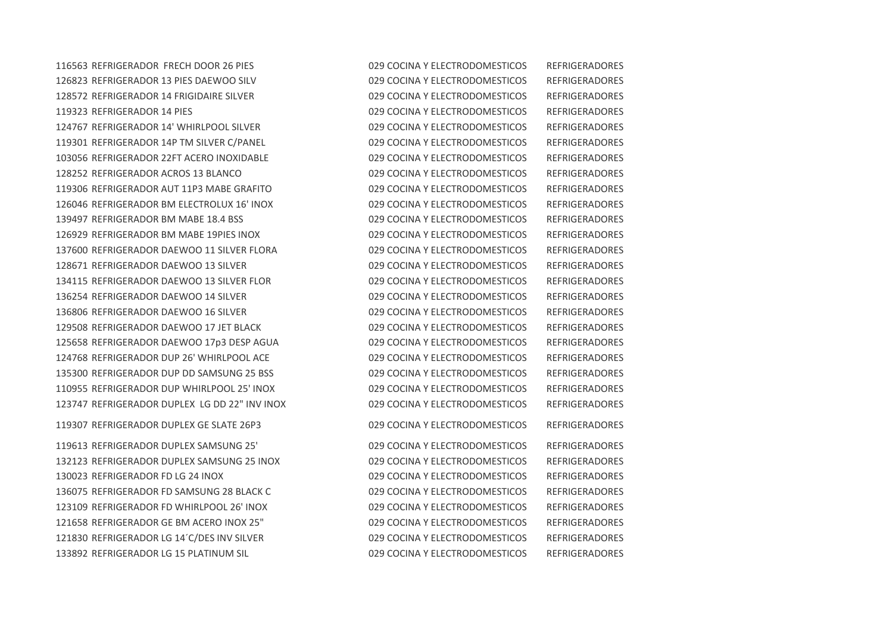REFRIGERADOR LG 15 PLATINUM SIL 029 COCINA Y ELECTRODOMESTICOS REFRIGERADORES

 REFRIGERADOR FRECH DOOR 26 PIES 029 COCINA Y ELECTRODOMESTICOS REFRIGERADORES REFRIGERADOR 13 PIES DAEWOO SILV 029 COCINA Y ELECTRODOMESTICOS REFRIGERADORES REFRIGERADOR 14 FRIGIDAIRE SILVER 029 COCINA Y ELECTRODOMESTICOS REFRIGERADORES REFRIGERADOR 14 PIES 029 COCINA Y ELECTRODOMESTICOS REFRIGERADORES REFRIGERADOR 14' WHIRLPOOL SILVER 029 COCINA Y ELECTRODOMESTICOS REFRIGERADORES REFRIGERADOR 14P TM SILVER C/PANEL 029 COCINA Y ELECTRODOMESTICOS REFRIGERADORES REFRIGERADOR 22FT ACERO INOXIDABLE 029 COCINA Y ELECTRODOMESTICOS REFRIGERADORES REFRIGERADOR ACROS 13 BLANCO 029 COCINA Y ELECTRODOMESTICOS REFRIGERADORES REFRIGERADOR AUT 11P3 MABE GRAFITO 029 COCINA Y ELECTRODOMESTICOS REFRIGERADORES REFRIGERADOR BM ELECTROLUX 16' INOX 029 COCINA Y ELECTRODOMESTICOS REFRIGERADORES REFRIGERADOR BM MABE 18.4 BSS 029 COCINA Y ELECTRODOMESTICOS REFRIGERADORES REFRIGERADOR BM MABE 19PIES INOX 029 COCINA Y ELECTRODOMESTICOS REFRIGERADORES REFRIGERADOR DAEWOO 11 SILVER FLORA 029 COCINA Y ELECTRODOMESTICOS REFRIGERADORES REFRIGERADOR DAEWOO 13 SILVER 029 COCINA Y ELECTRODOMESTICOS REFRIGERADORES REFRIGERADOR DAEWOO 13 SILVER FLOR 029 COCINA Y ELECTRODOMESTICOS REFRIGERADORES REFRIGERADOR DAEWOO 14 SILVER 029 COCINA Y ELECTRODOMESTICOS REFRIGERADORES REFRIGERADOR DAEWOO 16 SILVER 029 COCINA Y ELECTRODOMESTICOS REFRIGERADORES REFRIGERADOR DAEWOO 17 JET BLACK 029 COCINA Y ELECTRODOMESTICOS REFRIGERADORES REFRIGERADOR DAEWOO 17p3 DESP AGUA 029 COCINA Y ELECTRODOMESTICOS REFRIGERADORES REFRIGERADOR DUP 26' WHIRLPOOL ACE 029 COCINA Y ELECTRODOMESTICOS REFRIGERADORES REFRIGERADOR DUP DD SAMSUNG 25 BSS 029 COCINA Y ELECTRODOMESTICOS REFRIGERADORES REFRIGERADOR DUP WHIRLPOOL 25' INOX 029 COCINA Y ELECTRODOMESTICOS REFRIGERADORES REFRIGERADOR DUPLEX LG DD 22" INV INOX 029 COCINA Y ELECTRODOMESTICOS REFRIGERADORES REFRIGERADOR DUPLEX GE SLATE 26P3 029 COCINA Y ELECTRODOMESTICOS REFRIGERADORES REFRIGERADOR DUPLEX SAMSUNG 25' 029 COCINA Y ELECTRODOMESTICOS REFRIGERADORES REFRIGERADOR DUPLEX SAMSUNG 25 INOX 029 COCINA Y ELECTRODOMESTICOS REFRIGERADORES REFRIGERADOR FD LG 24 INOX 029 COCINA Y ELECTRODOMESTICOS REFRIGERADORES REFRIGERADOR FD SAMSUNG 28 BLACK C 029 COCINA Y ELECTRODOMESTICOS REFRIGERADORES REFRIGERADOR FD WHIRLPOOL 26' INOX 029 COCINA Y ELECTRODOMESTICOS REFRIGERADORES REFRIGERADOR GE BM ACERO INOX 25" 029 COCINA Y ELECTRODOMESTICOS REFRIGERADORES REFRIGERADOR LG 14´C/DES INV SILVER 029 COCINA Y ELECTRODOMESTICOS REFRIGERADORES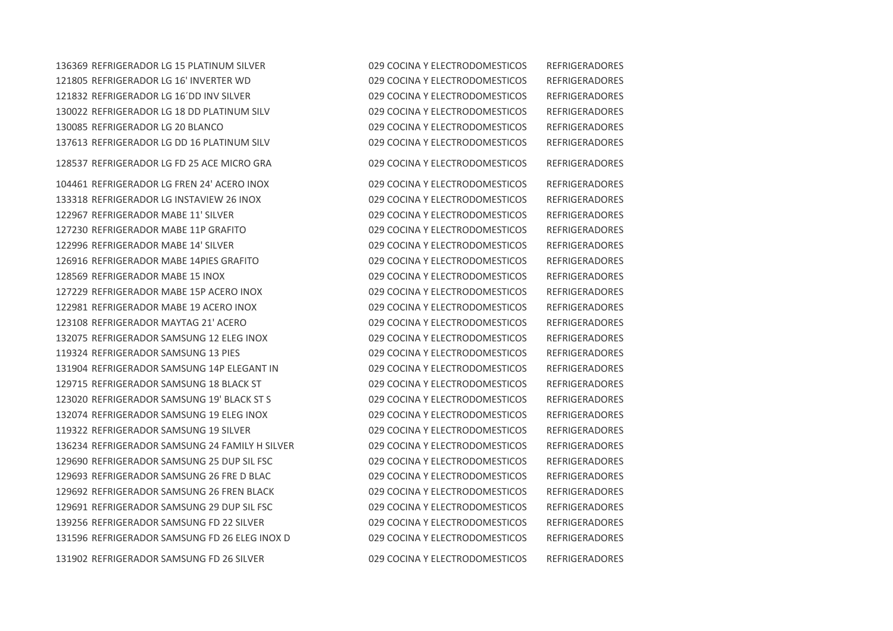REFRIGERADOR LG 15 PLATINUM SILVER 029 COCINA Y ELECTRODOMESTICOS REFRIGERADORES REFRIGERADOR LG 16' INVERTER WD 029 COCINA Y ELECTRODOMESTICOS REFRIGERADORES REFRIGERADOR LG 16´DD INV SILVER 029 COCINA Y ELECTRODOMESTICOS REFRIGERADORES REFRIGERADOR LG 18 DD PLATINUM SILV 029 COCINA Y ELECTRODOMESTICOS REFRIGERADORES REFRIGERADOR LG 20 BLANCO 029 COCINA Y ELECTRODOMESTICOS REFRIGERADORES REFRIGERADOR LG DD 16 PLATINUM SILV 029 COCINA Y ELECTRODOMESTICOS REFRIGERADORES REFRIGERADOR LG FD 25 ACE MICRO GRA 029 COCINA Y ELECTRODOMESTICOS REFRIGERADORES REFRIGERADOR LG FREN 24' ACERO INOX 029 COCINA Y ELECTRODOMESTICOS REFRIGERADORES REFRIGERADOR LG INSTAVIEW 26 INOX 029 COCINA Y ELECTRODOMESTICOS REFRIGERADORES REFRIGERADOR MABE 11' SILVER 029 COCINA Y ELECTRODOMESTICOS REFRIGERADORES REFRIGERADOR MABE 11P GRAFITO 029 COCINA Y ELECTRODOMESTICOS REFRIGERADORES REFRIGERADOR MABE 14' SILVER 029 COCINA Y ELECTRODOMESTICOS REFRIGERADORES REFRIGERADOR MABE 14PIES GRAFITO 029 COCINA Y ELECTRODOMESTICOS REFRIGERADORES REFRIGERADOR MABE 15 INOX 029 COCINA Y ELECTRODOMESTICOS REFRIGERADORES REFRIGERADOR MABE 15P ACERO INOX 029 COCINA Y ELECTRODOMESTICOS REFRIGERADORES REFRIGERADOR MABE 19 ACERO INOX 029 COCINA Y ELECTRODOMESTICOS REFRIGERADORES REFRIGERADOR MAYTAG 21' ACERO 029 COCINA Y ELECTRODOMESTICOS REFRIGERADORES REFRIGERADOR SAMSUNG 12 ELEG INOX 029 COCINA Y ELECTRODOMESTICOS REFRIGERADORES REFRIGERADOR SAMSUNG 13 PIES 029 COCINA Y ELECTRODOMESTICOS REFRIGERADORES REFRIGERADOR SAMSUNG 14P ELEGANT IN 029 COCINA Y ELECTRODOMESTICOS REFRIGERADORES REFRIGERADOR SAMSUNG 18 BLACK ST 029 COCINA Y ELECTRODOMESTICOS REFRIGERADORES REFRIGERADOR SAMSUNG 19' BLACK ST S 029 COCINA Y ELECTRODOMESTICOS REFRIGERADORES REFRIGERADOR SAMSUNG 19 ELEG INOX 029 COCINA Y ELECTRODOMESTICOS REFRIGERADORES REFRIGERADOR SAMSUNG 19 SILVER 029 COCINA Y ELECTRODOMESTICOS REFRIGERADORES REFRIGERADOR SAMSUNG 24 FAMILY H SILVER 029 COCINA Y ELECTRODOMESTICOS REFRIGERADORES REFRIGERADOR SAMSUNG 25 DUP SIL FSC 029 COCINA Y ELECTRODOMESTICOS REFRIGERADORES REFRIGERADOR SAMSUNG 26 FRE D BLAC 029 COCINA Y ELECTRODOMESTICOS REFRIGERADORES REFRIGERADOR SAMSUNG 26 FREN BLACK 029 COCINA Y ELECTRODOMESTICOS REFRIGERADORES REFRIGERADOR SAMSUNG 29 DUP SIL FSC 029 COCINA Y ELECTRODOMESTICOS REFRIGERADORES REFRIGERADOR SAMSUNG FD 22 SILVER 029 COCINA Y ELECTRODOMESTICOS REFRIGERADORES REFRIGERADOR SAMSUNG FD 26 ELEG INOX D 029 COCINA Y ELECTRODOMESTICOS REFRIGERADORES REFRIGERADOR SAMSUNG FD 26 SILVER 029 COCINA Y ELECTRODOMESTICOS REFRIGERADORES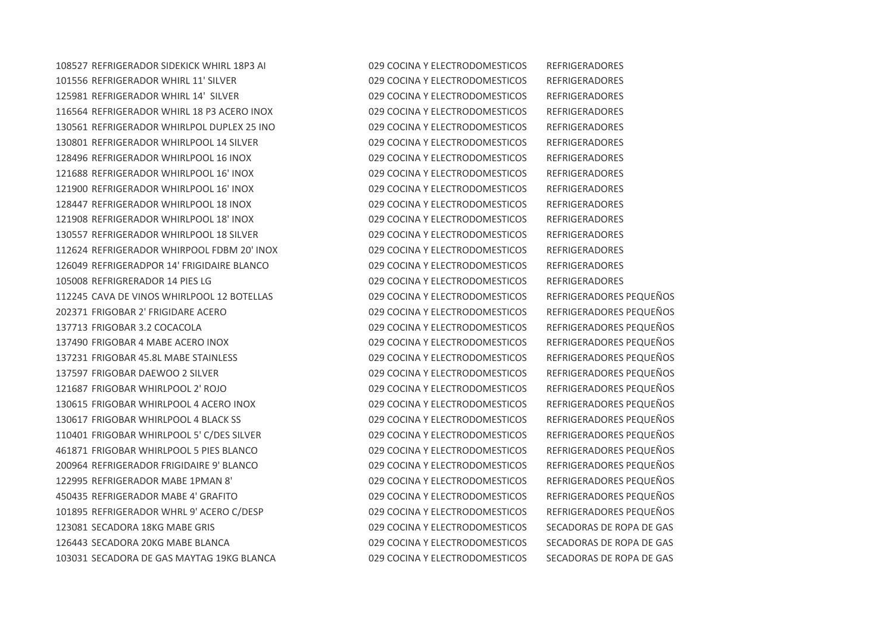REFRIGERADOR SIDEKICK WHIRL 18P3 AI 029 COCINA Y ELECTRODOMESTICOS REFRIGERADORES REFRIGERADOR WHIRL 11' SILVER 029 COCINA Y ELECTRODOMESTICOS REFRIGERADORES REFRIGERADOR WHIRL 14' SILVER 029 COCINA Y ELECTRODOMESTICOS REFRIGERADORES REFRIGERADOR WHIRL 18 P3 ACERO INOX 029 COCINA Y ELECTRODOMESTICOS REFRIGERADORES REFRIGERADOR WHIRLPOL DUPLEX 25 INO 029 COCINA Y ELECTRODOMESTICOS REFRIGERADORES REFRIGERADOR WHIRLPOOL 14 SILVER 029 COCINA Y ELECTRODOMESTICOS REFRIGERADORES REFRIGERADOR WHIRLPOOL 16 INOX 029 COCINA Y ELECTRODOMESTICOS REFRIGERADORES REFRIGERADOR WHIRLPOOL 16' INOX 029 COCINA Y ELECTRODOMESTICOS REFRIGERADORES REFRIGERADOR WHIRLPOOL 16' INOX 029 COCINA Y ELECTRODOMESTICOS REFRIGERADORES REFRIGERADOR WHIRLPOOL 18 INOX 029 COCINA Y ELECTRODOMESTICOS REFRIGERADORES REFRIGERADOR WHIRLPOOL 18' INOX 029 COCINA Y ELECTRODOMESTICOS REFRIGERADORES REFRIGERADOR WHIRLPOOL 18 SILVER 029 COCINA Y ELECTRODOMESTICOS REFRIGERADORES REFRIGERADOR WHIRPOOL FDBM 20' INOX 029 COCINA Y ELECTRODOMESTICOS REFRIGERADORES REFRIGERADPOR 14' FRIGIDAIRE BLANCO 029 COCINA Y ELECTRODOMESTICOS REFRIGERADORES REFRIGRERADOR 14 PIES LG 029 COCINA Y ELECTRODOMESTICOS REFRIGERADORES CAVA DE VINOS WHIRLPOOL 12 BOTELLAS 029 COCINA Y ELECTRODOMESTICOS REFRIGERADORES PEQUEÑOS FRIGOBAR 2' FRIGIDARE ACERO 029 COCINA Y ELECTRODOMESTICOS REFRIGERADORES PEQUEÑOS FRIGOBAR 3.2 COCACOLA 029 COCINA Y ELECTRODOMESTICOS REFRIGERADORES PEQUEÑOS FRIGOBAR 4 MABE ACERO INOX 029 COCINA Y ELECTRODOMESTICOS REFRIGERADORES PEQUEÑOS FRIGOBAR 45.8L MABE STAINLESS 029 COCINA Y ELECTRODOMESTICOS REFRIGERADORES PEQUEÑOS FRIGOBAR DAEWOO 2 SILVER 029 COCINA Y ELECTRODOMESTICOS REFRIGERADORES PEQUEÑOS FRIGOBAR WHIRLPOOL 2' ROJO 029 COCINA Y ELECTRODOMESTICOS REFRIGERADORES PEQUEÑOS FRIGOBAR WHIRLPOOL 4 ACERO INOX 029 COCINA Y ELECTRODOMESTICOS REFRIGERADORES PEQUEÑOS FRIGOBAR WHIRLPOOL 4 BLACK SS 029 COCINA Y ELECTRODOMESTICOS REFRIGERADORES PEQUEÑOS FRIGOBAR WHIRLPOOL 5' C/DES SILVER 029 COCINA Y ELECTRODOMESTICOS REFRIGERADORES PEQUEÑOS FRIGOBAR WHIRLPOOL 5 PIES BLANCO 029 COCINA Y ELECTRODOMESTICOS REFRIGERADORES PEQUEÑOS REFRIGERADOR FRIGIDAIRE 9' BLANCO 029 COCINA Y ELECTRODOMESTICOS REFRIGERADORES PEQUEÑOS REFRIGERADOR MABE 1PMAN 8' 029 COCINA Y ELECTRODOMESTICOS REFRIGERADORES PEQUEÑOS REFRIGERADOR MABE 4' GRAFITO 029 COCINA Y ELECTRODOMESTICOS REFRIGERADORES PEQUEÑOS REFRIGERADOR WHRL 9' ACERO C/DESP 029 COCINA Y ELECTRODOMESTICOS REFRIGERADORES PEQUEÑOS SECADORA 18KG MABE GRIS 029 COCINA Y ELECTRODOMESTICOS SECADORAS DE ROPA DE GAS SECADORA 20KG MABE BLANCA 029 COCINA Y ELECTRODOMESTICOS SECADORAS DE ROPA DE GAS SECADORA DE GAS MAYTAG 19KG BLANCA 029 COCINA Y ELECTRODOMESTICOS SECADORAS DE ROPA DE GAS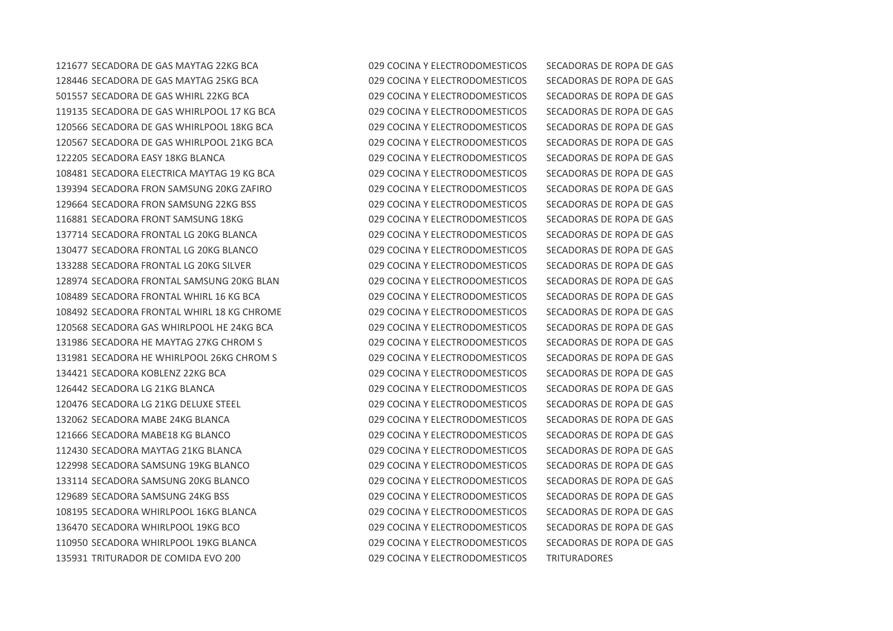SECADORA DE GAS MAYTAG 22KG BCA 029 COCINA Y ELECTRODOMESTICOS SECADORAS DE ROPA DE GAS SECADORA DE GAS MAYTAG 25KG BCA 029 COCINA Y ELECTRODOMESTICOS SECADORAS DE ROPA DE GAS SECADORA DE GAS WHIRL 22KG BCA 029 COCINA Y ELECTRODOMESTICOS SECADORAS DE ROPA DE GAS SECADORA DE GAS WHIRLPOOL 17 KG BCA 029 COCINA Y ELECTRODOMESTICOS SECADORAS DE ROPA DE GAS SECADORA DE GAS WHIRLPOOL 18KG BCA 029 COCINA Y ELECTRODOMESTICOS SECADORAS DE ROPA DE GAS SECADORA DE GAS WHIRLPOOL 21KG BCA 029 COCINA Y ELECTRODOMESTICOS SECADORAS DE ROPA DE GAS SECADORA EASY 18KG BLANCA 029 COCINA Y ELECTRODOMESTICOS SECADORAS DE ROPA DE GAS SECADORA ELECTRICA MAYTAG 19 KG BCA 029 COCINA Y ELECTRODOMESTICOS SECADORAS DE ROPA DE GAS SECADORA FRON SAMSUNG 20KG ZAFIRO 029 COCINA Y ELECTRODOMESTICOS SECADORAS DE ROPA DE GAS SECADORA FRON SAMSUNG 22KG BSS 029 COCINA Y ELECTRODOMESTICOS SECADORAS DE ROPA DE GAS SECADORA FRONT SAMSUNG 18KG 029 COCINA Y ELECTRODOMESTICOS SECADORAS DE ROPA DE GAS SECADORA FRONTAL LG 20KG BLANCA 029 COCINA Y ELECTRODOMESTICOS SECADORAS DE ROPA DE GAS SECADORA FRONTAL LG 20KG BLANCO 029 COCINA Y ELECTRODOMESTICOS SECADORAS DE ROPA DE GAS SECADORA FRONTAL LG 20KG SILVER 029 COCINA Y ELECTRODOMESTICOS SECADORAS DE ROPA DE GAS SECADORA FRONTAL SAMSUNG 20KG BLAN 029 COCINA Y ELECTRODOMESTICOS SECADORAS DE ROPA DE GAS SECADORA FRONTAL WHIRL 16 KG BCA 029 COCINA Y ELECTRODOMESTICOS SECADORAS DE ROPA DE GAS SECADORA FRONTAL WHIRL 18 KG CHROME 029 COCINA Y ELECTRODOMESTICOS SECADORAS DE ROPA DE GAS SECADORA GAS WHIRLPOOL HE 24KG BCA 029 COCINA Y ELECTRODOMESTICOS SECADORAS DE ROPA DE GAS SECADORA HE MAYTAG 27KG CHROM S 029 COCINA Y ELECTRODOMESTICOS SECADORAS DE ROPA DE GAS SECADORA HE WHIRLPOOL 26KG CHROM S 029 COCINA Y ELECTRODOMESTICOS SECADORAS DE ROPA DE GAS SECADORA KOBLENZ 22KG BCA 029 COCINA Y ELECTRODOMESTICOS SECADORAS DE ROPA DE GAS SECADORA LG 21KG BLANCA 029 COCINA Y ELECTRODOMESTICOS SECADORAS DE ROPA DE GAS SECADORA LG 21KG DELUXE STEEL 029 COCINA Y ELECTRODOMESTICOS SECADORAS DE ROPA DE GAS SECADORA MABE 24KG BLANCA 029 COCINA Y ELECTRODOMESTICOS SECADORAS DE ROPA DE GAS SECADORA MABE18 KG BLANCO 029 COCINA Y ELECTRODOMESTICOS SECADORAS DE ROPA DE GAS SECADORA MAYTAG 21KG BLANCA 029 COCINA Y ELECTRODOMESTICOS SECADORAS DE ROPA DE GAS SECADORA SAMSUNG 19KG BLANCO 029 COCINA Y ELECTRODOMESTICOS SECADORAS DE ROPA DE GAS SECADORA SAMSUNG 20KG BLANCO 029 COCINA Y ELECTRODOMESTICOS SECADORAS DE ROPA DE GAS SECADORA SAMSUNG 24KG BSS 029 COCINA Y ELECTRODOMESTICOS SECADORAS DE ROPA DE GAS SECADORA WHIRLPOOL 16KG BLANCA 029 COCINA Y ELECTRODOMESTICOS SECADORAS DE ROPA DE GAS SECADORA WHIRLPOOL 19KG BCO 029 COCINA Y ELECTRODOMESTICOS SECADORAS DE ROPA DE GAS SECADORA WHIRLPOOL 19KG BLANCA 029 COCINA Y ELECTRODOMESTICOS SECADORAS DE ROPA DE GAS TRITURADOR DE COMIDA EVO 200 029 COCINA Y ELECTRODOMESTICOS TRITURADORES